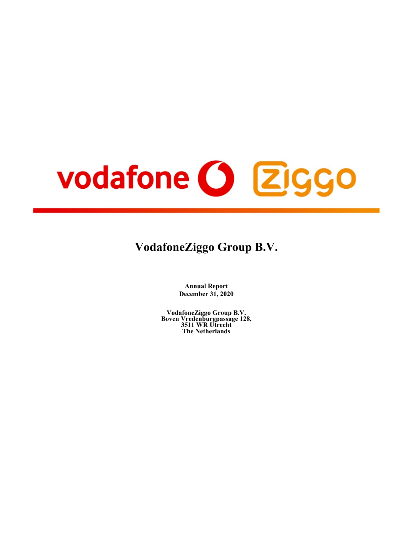# vodafone O Ziggo

# **VodafoneZiggo Group B.V.**

**Annual Report December 31, 2020**

**VodafoneZiggo Group B.V. Boven Vredenburgpassage 128, 3511 WR Utrecht The Netherlands**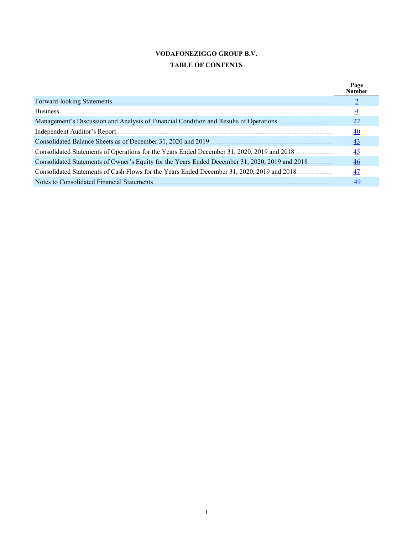# **VODAFONEZIGGO GROUP B.V. TABLE OF CONTENTS**

|                                                                                                 | Page<br>Vumber |
|-------------------------------------------------------------------------------------------------|----------------|
| Forward-looking Statements.                                                                     |                |
| Business.                                                                                       | 4              |
| Management's Discussion and Analysis of Financial Condition and Results of Operations           | 22             |
|                                                                                                 | 40             |
|                                                                                                 | 43             |
| Consolidated Statements of Operations for the Years Ended December 31, 2020, 2019 and 2018      | 45             |
| Consolidated Statements of Owner's Equity for the Years Ended December 31, 2020, 2019 and 2018. | 46             |
| Consolidated Statements of Cash Flows for the Years Ended December 31, 2020, 2019 and 2018.     | 47             |
| Notes to Consolidated Financial Statements                                                      | 49             |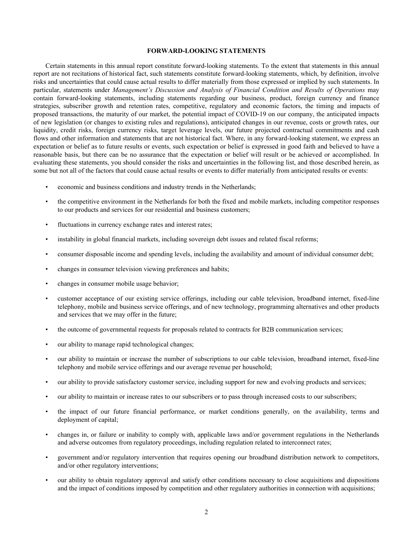#### **FORWARD-LOOKING STATEMENTS**

<span id="page-2-0"></span>Certain statements in this annual report constitute forward-looking statements. To the extent that statements in this annual report are not recitations of historical fact, such statements constitute forward-looking statements, which, by definition, involve risks and uncertainties that could cause actual results to differ materially from those expressed or implied by such statements. In particular, statements under *Management's Discussion and Analysis of Financial Condition and Results of Operations* may contain forward-looking statements, including statements regarding our business, product, foreign currency and finance strategies, subscriber growth and retention rates, competitive, regulatory and economic factors, the timing and impacts of proposed transactions, the maturity of our market, the potential impact of COVID-19 on our company, the anticipated impacts of new legislation (or changes to existing rules and regulations), anticipated changes in our revenue, costs or growth rates, our liquidity, credit risks, foreign currency risks, target leverage levels, our future projected contractual commitments and cash flows and other information and statements that are not historical fact. Where, in any forward-looking statement, we express an expectation or belief as to future results or events, such expectation or belief is expressed in good faith and believed to have a reasonable basis, but there can be no assurance that the expectation or belief will result or be achieved or accomplished. In evaluating these statements, you should consider the risks and uncertainties in the following list, and those described herein, as some but not all of the factors that could cause actual results or events to differ materially from anticipated results or events:

- economic and business conditions and industry trends in the Netherlands;
- the competitive environment in the Netherlands for both the fixed and mobile markets, including competitor responses to our products and services for our residential and business customers;
- fluctuations in currency exchange rates and interest rates;
- instability in global financial markets, including sovereign debt issues and related fiscal reforms;
- consumer disposable income and spending levels, including the availability and amount of individual consumer debt;
- changes in consumer television viewing preferences and habits;
- changes in consumer mobile usage behavior;
- customer acceptance of our existing service offerings, including our cable television, broadband internet, fixed-line telephony, mobile and business service offerings, and of new technology, programming alternatives and other products and services that we may offer in the future;
- the outcome of governmental requests for proposals related to contracts for B2B communication services;
- our ability to manage rapid technological changes;
- our ability to maintain or increase the number of subscriptions to our cable television, broadband internet, fixed-line telephony and mobile service offerings and our average revenue per household;
- our ability to provide satisfactory customer service, including support for new and evolving products and services;
- our ability to maintain or increase rates to our subscribers or to pass through increased costs to our subscribers;
- the impact of our future financial performance, or market conditions generally, on the availability, terms and deployment of capital;
- changes in, or failure or inability to comply with, applicable laws and/or government regulations in the Netherlands and adverse outcomes from regulatory proceedings, including regulation related to interconnect rates;
- government and/or regulatory intervention that requires opening our broadband distribution network to competitors, and/or other regulatory interventions;
- our ability to obtain regulatory approval and satisfy other conditions necessary to close acquisitions and dispositions and the impact of conditions imposed by competition and other regulatory authorities in connection with acquisitions;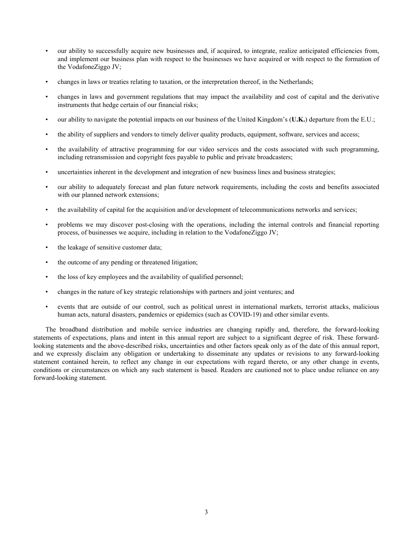- our ability to successfully acquire new businesses and, if acquired, to integrate, realize anticipated efficiencies from, and implement our business plan with respect to the businesses we have acquired or with respect to the formation of the VodafoneZiggo JV;
- changes in laws or treaties relating to taxation, or the interpretation thereof, in the Netherlands;
- changes in laws and government regulations that may impact the availability and cost of capital and the derivative instruments that hedge certain of our financial risks;
- our ability to navigate the potential impacts on our business of the United Kingdom's (**U.K.**) departure from the E.U.;
- the ability of suppliers and vendors to timely deliver quality products, equipment, software, services and access;
- the availability of attractive programming for our video services and the costs associated with such programming, including retransmission and copyright fees payable to public and private broadcasters;
- uncertainties inherent in the development and integration of new business lines and business strategies;
- our ability to adequately forecast and plan future network requirements, including the costs and benefits associated with our planned network extensions;
- the availability of capital for the acquisition and/or development of telecommunications networks and services;
- problems we may discover post-closing with the operations, including the internal controls and financial reporting process, of businesses we acquire, including in relation to the VodafoneZiggo JV;
- the leakage of sensitive customer data;
- the outcome of any pending or threatened litigation;
- the loss of key employees and the availability of qualified personnel;
- changes in the nature of key strategic relationships with partners and joint ventures; and
- events that are outside of our control, such as political unrest in international markets, terrorist attacks, malicious human acts, natural disasters, pandemics or epidemics (such as COVID-19) and other similar events.

The broadband distribution and mobile service industries are changing rapidly and, therefore, the forward-looking statements of expectations, plans and intent in this annual report are subject to a significant degree of risk. These forwardlooking statements and the above-described risks, uncertainties and other factors speak only as of the date of this annual report, and we expressly disclaim any obligation or undertaking to disseminate any updates or revisions to any forward-looking statement contained herein, to reflect any change in our expectations with regard thereto, or any other change in events, conditions or circumstances on which any such statement is based. Readers are cautioned not to place undue reliance on any forward-looking statement.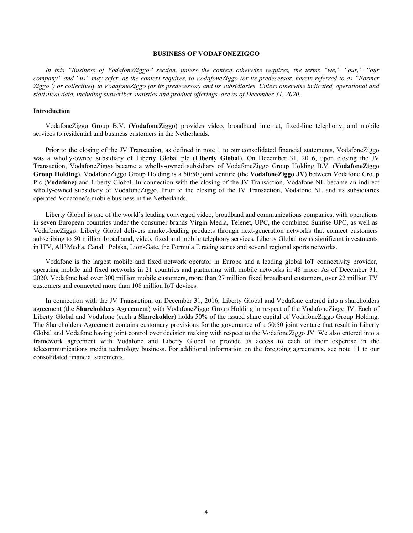#### **BUSINESS OF VODAFONEZIGGO**

<span id="page-4-0"></span>*In this "Business of VodafoneZiggo" section, unless the context otherwise requires, the terms "we," "our," "our company" and "us" may refer, as the context requires, to VodafoneZiggo (or its predecessor, herein referred to as "Former Ziggo") or collectively to VodafoneZiggo (or its predecessor) and its subsidiaries. Unless otherwise indicated, operational and statistical data, including subscriber statistics and product offerings, are as of December 31, 2020.*

# **Introduction**

VodafoneZiggo Group B.V. (**VodafoneZiggo**) provides video, broadband internet, fixed-line telephony, and mobile services to residential and business customers in the Netherlands.

Prior to the closing of the JV Transaction, as defined in note 1 to our consolidated financial statements, VodafoneZiggo was a wholly-owned subsidiary of Liberty Global plc (**Liberty Global**). On December 31, 2016, upon closing the JV Transaction, VodafoneZiggo became a wholly-owned subsidiary of VodafoneZiggo Group Holding B.V. (**VodafoneZiggo Group Holding**). VodafoneZiggo Group Holding is a 50:50 joint venture (the **VodafoneZiggo JV**) between Vodafone Group Plc (**Vodafone**) and Liberty Global. In connection with the closing of the JV Transaction, Vodafone NL became an indirect wholly-owned subsidiary of VodafoneZiggo. Prior to the closing of the JV Transaction, Vodafone NL and its subsidiaries operated Vodafone's mobile business in the Netherlands.

Liberty Global is one of the world's leading converged video, broadband and communications companies, with operations in seven European countries under the consumer brands Virgin Media, Telenet, UPC, the combined Sunrise UPC, as well as VodafoneZiggo. Liberty Global delivers market-leading products through next-generation networks that connect customers subscribing to 50 million broadband, video, fixed and mobile telephony services. Liberty Global owns significant investments in ITV, All3Media, Canal+ Polska, LionsGate, the Formula E racing series and several regional sports networks.

Vodafone is the largest mobile and fixed network operator in Europe and a leading global IoT connectivity provider, operating mobile and fixed networks in 21 countries and partnering with mobile networks in 48 more. As of December 31, 2020, Vodafone had over 300 million mobile customers, more than 27 million fixed broadband customers, over 22 million TV customers and connected more than 108 million IoT devices.

In connection with the JV Transaction, on December 31, 2016, Liberty Global and Vodafone entered into a shareholders agreement (the **Shareholders Agreement**) with VodafoneZiggo Group Holding in respect of the VodafoneZiggo JV. Each of Liberty Global and Vodafone (each a **Shareholder**) holds 50% of the issued share capital of VodafoneZiggo Group Holding. The Shareholders Agreement contains customary provisions for the governance of a 50:50 joint venture that result in Liberty Global and Vodafone having joint control over decision making with respect to the VodafoneZiggo JV. We also entered into a framework agreement with Vodafone and Liberty Global to provide us access to each of their expertise in the telecommunications media technology business. For additional information on the foregoing agreements, see note 11 to our consolidated financial statements.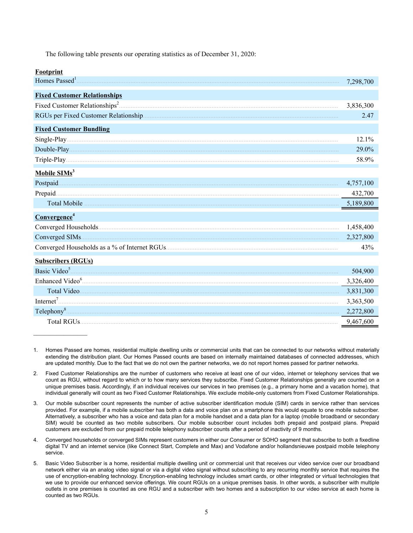The following table presents our operating statistics as of December 31, 2020:

| ootnrını |
|----------|
|          |

 $\mathcal{L}_\text{max}$  and  $\mathcal{L}_\text{max}$ 

|                                     | 7,298,700 |
|-------------------------------------|-----------|
| <b>Fixed Customer Relationships</b> |           |
|                                     | 3,836,300 |
|                                     | 2.47      |
| <b>Fixed Customer Bundling</b>      |           |
|                                     | 12.1%     |
|                                     | 29.0%     |
|                                     | 58.9%     |
| Mobile $SIMs3$                      |           |
|                                     | 4,757,100 |
|                                     | 432,700   |
|                                     |           |
| Convergence <sup>4</sup>            |           |
|                                     | 1,458,400 |
|                                     | 2,327,800 |
|                                     | 43%       |
| <b>Subscribers (RGUs)</b>           |           |
| Basic Video <sup>5</sup>            | 504,900   |
|                                     | 3,326,400 |
| Total Video                         | 3,831,300 |
| Internet <sup>7</sup>               | 3,363,500 |
| Telephony <sup>8</sup>              | 2,272,800 |
|                                     | 9,467,600 |

<sup>1.</sup> Homes Passed are homes, residential multiple dwelling units or commercial units that can be connected to our networks without materially extending the distribution plant. Our Homes Passed counts are based on internally maintained databases of connected addresses, which are updated monthly. Due to the fact that we do not own the partner networks, we do not report homes passed for partner networks.

<sup>2.</sup> Fixed Customer Relationships are the number of customers who receive at least one of our video, internet or telephony services that we count as RGU, without regard to which or to how many services they subscribe. Fixed Customer Relationships generally are counted on a unique premises basis. Accordingly, if an individual receives our services in two premises (e.g., a primary home and a vacation home), that individual generally will count as two Fixed Customer Relationships. We exclude mobile-only customers from Fixed Customer Relationships.

<sup>3.</sup> Our mobile subscriber count represents the number of active subscriber identification module (SIM) cards in service rather than services provided. For example, if a mobile subscriber has both a data and voice plan on a smartphone this would equate to one mobile subscriber. Alternatively, a subscriber who has a voice and data plan for a mobile handset and a data plan for a laptop (mobile broadband or secondary SIM) would be counted as two mobile subscribers. Our mobile subscriber count includes both prepaid and postpaid plans. Prepaid customers are excluded from our prepaid mobile telephony subscriber counts after a period of inactivity of 9 months.

<sup>4.</sup> Converged households or converged SIMs represent customers in either our Consumer or SOHO segment that subscribe to both a fixedline digital TV and an internet service (like Connect Start, Complete and Max) and Vodafone and/or hollandsnieuwe postpaid mobile telephony service.

<sup>5.</sup> Basic Video Subscriber is a home, residential multiple dwelling unit or commercial unit that receives our video service over our broadband network either via an analog video signal or via a digital video signal without subscribing to any recurring monthly service that requires the use of encryption-enabling technology. Encryption-enabling technology includes smart cards, or other integrated or virtual technologies that we use to provide our enhanced service offerings. We count RGUs on a unique premises basis. In other words, a subscriber with multiple outlets in one premises is counted as one RGU and a subscriber with two homes and a subscription to our video service at each home is counted as two RGUs.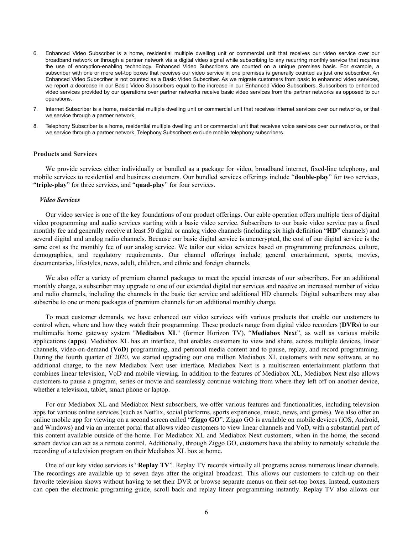- 6. Enhanced Video Subscriber is a home, residential multiple dwelling unit or commercial unit that receives our video service over our broadband network or through a partner network via a digital video signal while subscribing to any recurring monthly service that requires the use of encryption-enabling technology. Enhanced Video Subscribers are counted on a unique premises basis. For example, a subscriber with one or more set-top boxes that receives our video service in one premises is generally counted as just one subscriber. An Enhanced Video Subscriber is not counted as a Basic Video Subscriber. As we migrate customers from basic to enhanced video services, we report a decrease in our Basic Video Subscribers equal to the increase in our Enhanced Video Subscribers. Subscribers to enhanced video services provided by our operations over partner networks receive basic video services from the partner networks as opposed to our operations.
- 7. Internet Subscriber is a home, residential multiple dwelling unit or commercial unit that receives internet services over our networks, or that we service through a partner network.
- 8. Telephony Subscriber is a home, residential multiple dwelling unit or commercial unit that receives voice services over our networks, or that we service through a partner network. Telephony Subscribers exclude mobile telephony subscribers.

# **Products and Services**

We provide services either individually or bundled as a package for video, broadband internet, fixed-line telephony, and mobile services to residential and business customers. Our bundled services offerings include "**double-play**" for two services, "**triple-play**" for three services, and "**quad-play**" for four services.

#### *Video Services*

Our video service is one of the key foundations of our product offerings. Our cable operation offers multiple tiers of digital video programming and audio services starting with a basic video service. Subscribers to our basic video service pay a fixed monthly fee and generally receive at least 50 digital or analog video channels (including six high definition "**HD"** channels) and several digital and analog radio channels. Because our basic digital service is unencrypted, the cost of our digital service is the same cost as the monthly fee of our analog service. We tailor our video services based on programming preferences, culture, demographics, and regulatory requirements. Our channel offerings include general entertainment, sports, movies, documentaries, lifestyles, news, adult, children, and ethnic and foreign channels.

We also offer a variety of premium channel packages to meet the special interests of our subscribers. For an additional monthly charge, a subscriber may upgrade to one of our extended digital tier services and receive an increased number of video and radio channels, including the channels in the basic tier service and additional HD channels. Digital subscribers may also subscribe to one or more packages of premium channels for an additional monthly charge.

To meet customer demands, we have enhanced our video services with various products that enable our customers to control when, where and how they watch their programming. These products range from digital video recorders (**DVRs**) to our multimedia home gateway system "**Mediabox XL**" (former Horizon TV), "**Mediabox Next**", as well as various mobile applications (**apps**). Mediabox XL has an interface, that enables customers to view and share, across multiple devices, linear channels, video-on-demand (**VoD**) programming, and personal media content and to pause, replay, and record programming. During the fourth quarter of 2020, we started upgrading our one million Mediabox XL customers with new software, at no additional charge, to the new Mediabox Next user interface. Mediabox Next is a multiscreen entertainment platform that combines linear television, VoD and mobile viewing. In addition to the features of Mediabox XL, Mediabox Next also allows customers to pause a program, series or movie and seamlessly continue watching from where they left off on another device, whether a television, tablet, smart phone or laptop.

For our Mediabox XL and Mediabox Next subscribers, we offer various features and functionalities, including television apps for various online services (such as Netflix, social platforms, sports experience, music, news, and games). We also offer an online mobile app for viewing on a second screen called "**Ziggo GO**". Ziggo GO is available on mobile devices (iOS, Android, and Windows) and via an internet portal that allows video customers to view linear channels and VoD, with a substantial part of this content available outside of the home. For Mediabox XL and Mediabox Next customers, when in the home, the second screen device can act as a remote control. Additionally, through Ziggo GO, customers have the ability to remotely schedule the recording of a television program on their Mediabox XL box at home.

One of our key video services is "**Replay TV**". Replay TV records virtually all programs across numerous linear channels. The recordings are available up to seven days after the original broadcast. This allows our customers to catch-up on their favorite television shows without having to set their DVR or browse separate menus on their set-top boxes. Instead, customers can open the electronic programing guide, scroll back and replay linear programming instantly. Replay TV also allows our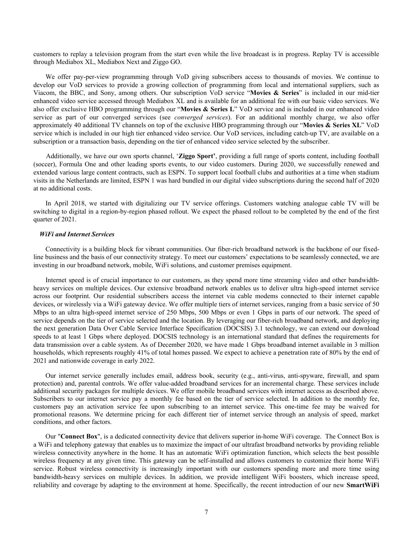customers to replay a television program from the start even while the live broadcast is in progress. Replay TV is accessible through Mediabox XL, Mediabox Next and Ziggo GO.

We offer pay-per-view programming through VoD giving subscribers access to thousands of movies. We continue to develop our VoD services to provide a growing collection of programming from local and international suppliers, such as Viacom, the BBC, and Sony, among others. Our subscription VoD service "**Movies & Series**" is included in our mid-tier enhanced video service accessed through Mediabox XL and is available for an additional fee with our basic video services. We also offer exclusive HBO programming through our "**Movies & Series L**" VoD service and is included in our enhanced video service as part of our converged services (see *converged services*). For an additional monthly charge, we also offer approximately 40 additional TV channels on top of the exclusive HBO programming through our "**Movies & Series XL**" VoD service which is included in our high tier enhanced video service. Our VoD services, including catch-up TV, are available on a subscription or a transaction basis, depending on the tier of enhanced video service selected by the subscriber.

 Additionally, we have our own sports channel, '**Ziggo Sport'**, providing a full range of sports content, including football (soccer), Formula One and other leading sports events, to our video customers. During 2020, we successfully renewed and extended various large content contracts, such as ESPN. To support local football clubs and authorities at a time when stadium visits in the Netherlands are limited, ESPN 1 was hard bundled in our digital video subscriptions during the second half of 2020 at no additional costs.

In April 2018, we started with digitalizing our TV service offerings. Customers watching analogue cable TV will be switching to digital in a region-by-region phased rollout. We expect the phased rollout to be completed by the end of the first quarter of 2021.

#### *WiFi and Internet Services*

Connectivity is a building block for vibrant communities. Our fiber-rich broadband network is the backbone of our fixedline business and the basis of our connectivity strategy. To meet our customers' expectations to be seamlessly connected, we are investing in our broadband network, mobile, WiFi solutions, and customer premises equipment.

Internet speed is of crucial importance to our customers, as they spend more time streaming video and other bandwidthheavy services on multiple devices. Our extensive broadband network enables us to deliver ultra high-speed internet service across our footprint. Our residential subscribers access the internet via cable modems connected to their internet capable devices, or wirelessly via a WiFi gateway device. We offer multiple tiers of internet services, ranging from a basic service of 50 Mbps to an ultra high-speed internet service of 250 Mbps, 500 Mbps or even 1 Gbps in parts of our network. The speed of service depends on the tier of service selected and the location. By leveraging our fiber-rich broadband network, and deploying the next generation Data Over Cable Service Interface Specification (DOCSIS) 3.1 technology, we can extend our download speeds to at least 1 Gbps where deployed. DOCSIS technology is an international standard that defines the requirements for data transmission over a cable system. As of December 2020, we have made 1 Gbps broadband internet available in 3 million households, which represents roughly 41% of total homes passed. We expect to achieve a penetration rate of 80% by the end of 2021 and nationwide coverage in early 2022.

Our internet service generally includes email, address book, security (e.g., anti-virus, anti-spyware, firewall, and spam protection) and, parental controls. We offer value-added broadband services for an incremental charge. These services include additional security packages for multiple devices. We offer mobile broadband services with internet access as described above. Subscribers to our internet service pay a monthly fee based on the tier of service selected. In addition to the monthly fee, customers pay an activation service fee upon subscribing to an internet service. This one-time fee may be waived for promotional reasons. We determine pricing for each different tier of internet service through an analysis of speed, market conditions, and other factors.

Our "**Connect Box**", is a dedicated connectivity device that delivers superior in-home WiFi coverage. The Connect Box is a WiFi and telephony gateway that enables us to maximize the impact of our ultrafast broadband networks by providing reliable wireless connectivity anywhere in the home. It has an automatic WiFi optimization function, which selects the best possible wireless frequency at any given time. This gateway can be self-installed and allows customers to customize their home WiFi service. Robust wireless connectivity is increasingly important with our customers spending more and more time using bandwidth-heavy services on multiple devices. In addition, we provide intelligent WiFi boosters, which increase speed, reliability and coverage by adapting to the environment at home. Specifically, the recent introduction of our new **SmartWiFi**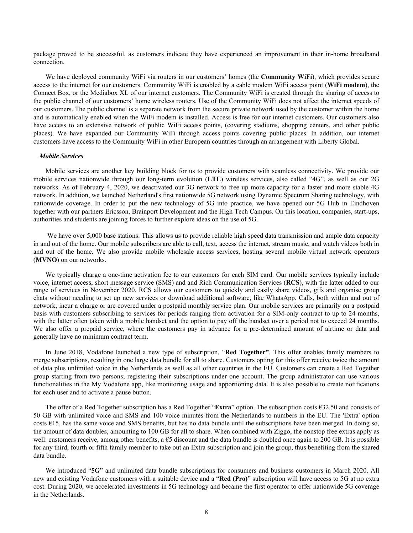package proved to be successful, as customers indicate they have experienced an improvement in their in-home broadband connection.

We have deployed community WiFi via routers in our customers' homes (the **Community WiFi**), which provides secure access to the internet for our customers. Community WiFi is enabled by a cable modem WiFi access point (**WiFi modem**), the Connect Box, or the Mediabox XL of our internet customers. The Community WiFi is created through the sharing of access to the public channel of our customers' home wireless routers. Use of the Community WiFi does not affect the internet speeds of our customers. The public channel is a separate network from the secure private network used by the customer within the home and is automatically enabled when the WiFi modem is installed. Access is free for our internet customers. Our customers also have access to an extensive network of public WiFi access points, (covering stadiums, shopping centers, and other public places). We have expanded our Community WiFi through access points covering public places. In addition, our internet customers have access to the Community WiFi in other European countries through an arrangement with Liberty Global.

#### *Mobile Services*

Mobile services are another key building block for us to provide customers with seamless connectivity. We provide our mobile services nationwide through our long-term evolution (**LTE**) wireless services, also called "4G", as well as our 2G networks. As of February 4, 2020, we deactivated our 3G network to free up more capacity for a faster and more stable 4G network. In addition, we launched Netherland's first nationwide 5G network using Dynamic Spectrum Sharing technology, with nationwide coverage. In order to put the new technology of 5G into practice, we have opened our 5G Hub in Eindhoven together with our partners Ericsson, Brainport Development and the High Tech Campus. On this location, companies, start-ups, authorities and students are joining forces to further explore ideas on the use of 5G.

 We have over 5,000 base stations. This allows us to provide reliable high speed data transmission and ample data capacity in and out of the home. Our mobile subscribers are able to call, text, access the internet, stream music, and watch videos both in and out of the home. We also provide mobile wholesale access services, hosting several mobile virtual network operators (**MVNO**) on our networks.

We typically charge a one-time activation fee to our customers for each SIM card. Our mobile services typically include voice, internet access, short message service (SMS) and and Rich Communication Services (**RCS**), with the latter added to our range of services in November 2020. RCS allows our customers to quickly and easily share videos, gifs and organise group chats without needing to set up new services or download additional software, like WhatsApp. Calls, both within and out of network, incur a charge or are covered under a postpaid monthly service plan. Our mobile services are primarily on a postpaid basis with customers subscribing to services for periods ranging from activation for a SIM-only contract to up to 24 months, with the latter often taken with a mobile handset and the option to pay off the handset over a period not to exceed 24 months. We also offer a prepaid service, where the customers pay in advance for a pre-determined amount of airtime or data and generally have no minimum contract term.

In June 2018, Vodafone launched a new type of subscription, "**Red Together"**. This offer enables family members to merge subscriptions, resulting in one large data bundle for all to share. Customers opting for this offer receive twice the amount of data plus unlimited voice in the Netherlands as well as all other countries in the EU. Customers can create a Red Together group starting from two persons; registering their subscriptions under one account. The group administrator can use various functionalities in the My Vodafone app, like monitoring usage and apportioning data. It is also possible to create notifications for each user and to activate a pause button.

The offer of a Red Together subscription has a Red Together "**Extra**" option. The subscription costs €32.50 and consists of 50 GB with unlimited voice and SMS and 100 voice minutes from the Netherlands to numbers in the EU. The 'Extra' option costs  $\epsilon$ 15, has the same voice and SMS benefits, but has no data bundle until the subscriptions have been merged. In doing so, the amount of data doubles, amounting to 100 GB for all to share. When combined with Ziggo, the nonstop free extras apply as well: customers receive, among other benefits, a  $\epsilon$ 5 discount and the data bundle is doubled once again to 200 GB. It is possible for any third, fourth or fifth family member to take out an Extra subscription and join the group, thus benefiting from the shared data bundle.

We introduced "**5G**" and unlimited data bundle subscriptions for consumers and business customers in March 2020. All new and existing Vodafone customers with a suitable device and a "**Red (Pro)**" subscription will have access to 5G at no extra cost. During 2020, we accelerated investments in 5G technology and became the first operator to offer nationwide 5G coverage in the Netherlands.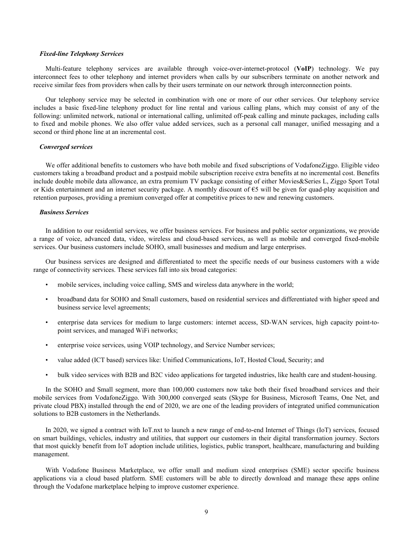# *Fixed-line Telephony Services*

Multi-feature telephony services are available through voice-over-internet-protocol (**VoIP**) technology. We pay interconnect fees to other telephony and internet providers when calls by our subscribers terminate on another network and receive similar fees from providers when calls by their users terminate on our network through interconnection points.

Our telephony service may be selected in combination with one or more of our other services. Our telephony service includes a basic fixed-line telephony product for line rental and various calling plans, which may consist of any of the following: unlimited network, national or international calling, unlimited off-peak calling and minute packages, including calls to fixed and mobile phones. We also offer value added services, such as a personal call manager, unified messaging and a second or third phone line at an incremental cost.

# *Converged services*

We offer additional benefits to customers who have both mobile and fixed subscriptions of VodafoneZiggo. Eligible video customers taking a broadband product and a postpaid mobile subscription receive extra benefits at no incremental cost. Benefits include double mobile data allowance, an extra premium TV package consisting of either Movies&Series L, Ziggo Sport Total or Kids entertainment and an internet security package. A monthly discount of  $\epsilon$ 5 will be given for quad-play acquisition and retention purposes, providing a premium converged offer at competitive prices to new and renewing customers.

# *Business Services*

In addition to our residential services, we offer business services. For business and public sector organizations, we provide a range of voice, advanced data, video, wireless and cloud-based services, as well as mobile and converged fixed-mobile services. Our business customers include SOHO, small businesses and medium and large enterprises.

Our business services are designed and differentiated to meet the specific needs of our business customers with a wide range of connectivity services. These services fall into six broad categories:

- mobile services, including voice calling, SMS and wireless data anywhere in the world;
- broadband data for SOHO and Small customers, based on residential services and differentiated with higher speed and business service level agreements;
- enterprise data services for medium to large customers: internet access, SD-WAN services, high capacity point-topoint services, and managed WiFi networks;
- enterprise voice services, using VOIP technology, and Service Number services;
- value added (ICT based) services like: Unified Communications, IoT, Hosted Cloud, Security; and
- bulk video services with B2B and B2C video applications for targeted industries, like health care and student-housing.

In the SOHO and Small segment, more than 100,000 customers now take both their fixed broadband services and their mobile services from VodafoneZiggo. With 300,000 converged seats (Skype for Business, Microsoft Teams, One Net, and private cloud PBX) installed through the end of 2020, we are one of the leading providers of integrated unified communication solutions to B2B customers in the Netherlands.

In 2020, we signed a contract with IoT.nxt to launch a new range of end-to-end Internet of Things (IoT) services, focused on smart buildings, vehicles, industry and utilities, that support our customers in their digital transformation journey. Sectors that most quickly benefit from IoT adoption include utilities, logistics, public transport, healthcare, manufacturing and building management.

With Vodafone Business Marketplace, we offer small and medium sized enterprises (SME) sector specific business applications via a cloud based platform. SME customers will be able to directly download and manage these apps online through the Vodafone marketplace helping to improve customer experience.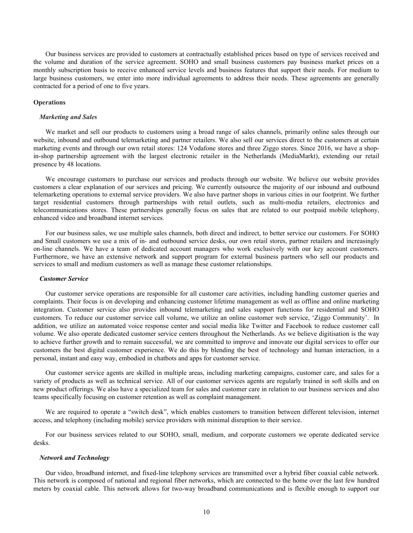Our business services are provided to customers at contractually established prices based on type of services received and the volume and duration of the service agreement. SOHO and small business customers pay business market prices on a monthly subscription basis to receive enhanced service levels and business features that support their needs. For medium to large business customers, we enter into more individual agreements to address their needs. These agreements are generally contracted for a period of one to five years.

#### **Operations**

#### *Marketing and Sales*

We market and sell our products to customers using a broad range of sales channels, primarily online sales through our website, inbound and outbound telemarketing and partner retailers. We also sell our services direct to the customers at certain marketing events and through our own retail stores: 124 Vodafone stores and three Ziggo stores. Since 2016, we have a shopin-shop partnership agreement with the largest electronic retailer in the Netherlands (MediaMarkt), extending our retail presence by 48 locations.

We encourage customers to purchase our services and products through our website. We believe our website provides customers a clear explanation of our services and pricing. We currently outsource the majority of our inbound and outbound telemarketing operations to external service providers. We also have partner shops in various cities in our footprint. We further target residential customers through partnerships with retail outlets, such as multi-media retailers, electronics and telecommunications stores. These partnerships generally focus on sales that are related to our postpaid mobile telephony, enhanced video and broadband internet services.

For our business sales, we use multiple sales channels, both direct and indirect, to better service our customers. For SOHO and Small customers we use a mix of in- and outbound service desks, our own retail stores, partner retailers and increasingly on-line channels. We have a team of dedicated account managers who work exclusively with our key account customers. Furthermore, we have an extensive network and support program for external business partners who sell our products and services to small and medium customers as well as manage these customer relationships.

#### *Customer Service*

Our customer service operations are responsible for all customer care activities, including handling customer queries and complaints. Their focus is on developing and enhancing customer lifetime management as well as offline and online marketing integration. Customer service also provides inbound telemarketing and sales support functions for residential and SOHO customers. To reduce our customer service call volume, we utilize an online customer web service, 'Ziggo Community'. In addition, we utilize an automated voice response center and social media like Twitter and Facebook to reduce customer call volume. We also operate dedicated customer service centers throughout the Netherlands. As we believe digitisation is the way to achieve further growth and to remain successful, we are committed to improve and innovate our digital services to offer our customers the best digital customer experience. We do this by blending the best of technology and human interaction, in a personal, instant and easy way, embodied in chatbots and apps for customer service.

Our customer service agents are skilled in multiple areas, including marketing campaigns, customer care, and sales for a variety of products as well as technical service. All of our customer services agents are regularly trained in soft skills and on new product offerings. We also have a specialized team for sales and customer care in relation to our business services and also teams specifically focusing on customer retention as well as complaint management.

We are required to operate a "switch desk", which enables customers to transition between different television, internet access, and telephony (including mobile) service providers with minimal disruption to their service.

For our business services related to our SOHO, small, medium, and corporate customers we operate dedicated service desks.

#### *Network and Technology*

Our video, broadband internet, and fixed-line telephony services are transmitted over a hybrid fiber coaxial cable network. This network is composed of national and regional fiber networks, which are connected to the home over the last few hundred meters by coaxial cable. This network allows for two-way broadband communications and is flexible enough to support our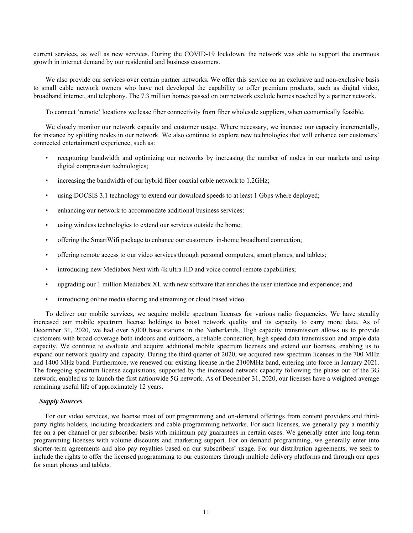current services, as well as new services. During the COVID-19 lockdown, the network was able to support the enormous growth in internet demand by our residential and business customers.

We also provide our services over certain partner networks. We offer this service on an exclusive and non-exclusive basis to small cable network owners who have not developed the capability to offer premium products, such as digital video, broadband internet, and telephony. The 7.3 million homes passed on our network exclude homes reached by a partner network.

To connect 'remote' locations we lease fiber connectivity from fiber wholesale suppliers, when economically feasible.

We closely monitor our network capacity and customer usage. Where necessary, we increase our capacity incrementally, for instance by splitting nodes in our network. We also continue to explore new technologies that will enhance our customers' connected entertainment experience, such as:

- recapturing bandwidth and optimizing our networks by increasing the number of nodes in our markets and using digital compression technologies;
- increasing the bandwidth of our hybrid fiber coaxial cable network to 1.2GHz;
- using DOCSIS 3.1 technology to extend our download speeds to at least 1 Gbps where deployed;
- enhancing our network to accommodate additional business services;
- using wireless technologies to extend our services outside the home;
- offering the SmartWifi package to enhance our customers' in-home broadband connection;
- offering remote access to our video services through personal computers, smart phones, and tablets;
- introducing new Mediabox Next with 4k ultra HD and voice control remote capabilities;
- upgrading our 1 million Mediabox XL with new software that enriches the user interface and experience; and
- introducing online media sharing and streaming or cloud based video.

To deliver our mobile services, we acquire mobile spectrum licenses for various radio frequencies. We have steadily increased our mobile spectrum license holdings to boost network quality and its capacity to carry more data. As of December 31, 2020, we had over 5,000 base stations in the Netherlands. High capacity transmission allows us to provide customers with broad coverage both indoors and outdoors, a reliable connection, high speed data transmission and ample data capacity. We continue to evaluate and acquire additional mobile spectrum licenses and extend our licenses, enabling us to expand our network quality and capacity. During the third quarter of 2020, we acquired new spectrum licenses in the 700 MHz and 1400 MHz band. Furthermore, we renewed our existing license in the 2100MHz band, entering into force in January 2021. The foregoing spectrum license acquisitions, supported by the increased network capacity following the phase out of the 3G network, enabled us to launch the first nationwide 5G network. As of December 31, 2020, our licenses have a weighted average remaining useful life of approximately 12 years.

# *Supply Sources*

For our video services, we license most of our programming and on-demand offerings from content providers and thirdparty rights holders, including broadcasters and cable programming networks. For such licenses, we generally pay a monthly fee on a per channel or per subscriber basis with minimum pay guarantees in certain cases. We generally enter into long-term programming licenses with volume discounts and marketing support. For on-demand programming, we generally enter into shorter-term agreements and also pay royalties based on our subscribers' usage. For our distribution agreements, we seek to include the rights to offer the licensed programming to our customers through multiple delivery platforms and through our apps for smart phones and tablets.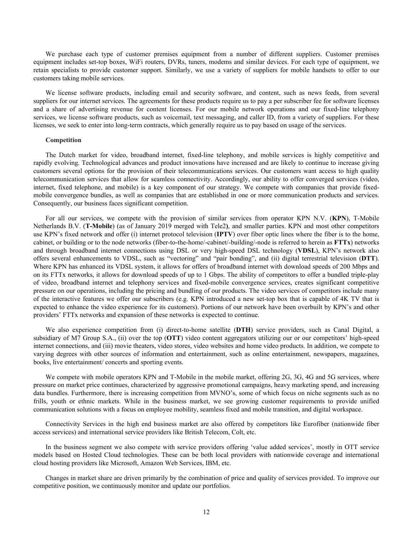We purchase each type of customer premises equipment from a number of different suppliers. Customer premises equipment includes set-top boxes, WiFi routers, DVRs, tuners, modems and similar devices. For each type of equipment, we retain specialists to provide customer support. Similarly, we use a variety of suppliers for mobile handsets to offer to our customers taking mobile services.

We license software products, including email and security software, and content, such as news feeds, from several suppliers for our internet services. The agreements for these products require us to pay a per subscriber fee for software licenses and a share of advertising revenue for content licenses. For our mobile network operations and our fixed-line telephony services, we license software products, such as voicemail, text messaging, and caller ID, from a variety of suppliers. For these licenses, we seek to enter into long-term contracts, which generally require us to pay based on usage of the services.

#### **Competition**

The Dutch market for video, broadband internet, fixed-line telephony, and mobile services is highly competitive and rapidly evolving. Technological advances and product innovations have increased and are likely to continue to increase giving customers several options for the provision of their telecommunications services. Our customers want access to high quality telecommunication services that allow for seamless connectivity. Accordingly, our ability to offer converged services (video, internet, fixed telephone, and mobile) is a key component of our strategy. We compete with companies that provide fixedmobile convergence bundles, as well as companies that are established in one or more communication products and services. Consequently, our business faces significant competition.

For all our services, we compete with the provision of similar services from operator KPN N.V. (**KPN**), T-Mobile Netherlands B.V. (**T-Mobile**) (as of January 2019 merged with Tele2**)**, and smaller parties. KPN and most other competitors use KPN's fixed network and offer (i) internet protocol television (**IPTV**) over fiber optic lines where the fiber is to the home, cabinet, or building or to the node networks (fiber-to-the-home/-cabinet/-building/-node is referred to herein as **FTTx**) networks and through broadband internet connections using DSL or very high-speed DSL technology (**VDSL**), KPN's network also offers several enhancements to VDSL, such as "vectoring" and "pair bonding", and (ii) digital terrestrial television (**DTT**). Where KPN has enhanced its VDSL system, it allows for offers of broadband internet with download speeds of 200 Mbps and on its FTTx networks, it allows for download speeds of up to 1 Gbps. The ability of competitors to offer a bundled triple-play of video, broadband internet and telephony services and fixed-mobile convergence services, creates significant competitive pressure on our operations, including the pricing and bundling of our products. The video services of competitors include many of the interactive features we offer our subscribers (e.g. KPN introduced a new set-top box that is capable of 4K TV that is expected to enhance the video experience for its customers). Portions of our network have been overbuilt by KPN's and other providers' FTTx networks and expansion of these networks is expected to continue.

We also experience competition from (i) direct-to-home satellite (**DTH**) service providers, such as Canal Digital, a subsidiary of M7 Group S.A., (ii) over the top (**OTT**) video content aggregators utilizing our or our competitors' high-speed internet connections, and (iii) movie theaters, video stores, video websites and home video products. In addition, we compete to varying degrees with other sources of information and entertainment, such as online entertainment, newspapers, magazines, books, live entertainment/ concerts and sporting events.

We compete with mobile operators KPN and T-Mobile in the mobile market, offering 2G, 3G, 4G and 5G services, where pressure on market price continues, characterized by aggressive promotional campaigns, heavy marketing spend, and increasing data bundles. Furthermore, there is increasing competition from MVNO's, some of which focus on niche segments such as no frills, youth or ethnic markets. While in the business market, we see growing customer requirements to provide unified communication solutions with a focus on employee mobility, seamless fixed and mobile transition, and digital workspace.

Connectivity Services in the high end business market are also offered by competitors like Eurofiber (nationwide fiber access services) and international service providers like British Telecom, Colt, etc.

In the business segment we also compete with service providers offering 'value added services', mostly in OTT service models based on Hosted Cloud technologies. These can be both local providers with nationwide coverage and international cloud hosting providers like Microsoft, Amazon Web Services, IBM, etc.

Changes in market share are driven primarily by the combination of price and quality of services provided. To improve our competitive position, we continuously monitor and update our portfolios.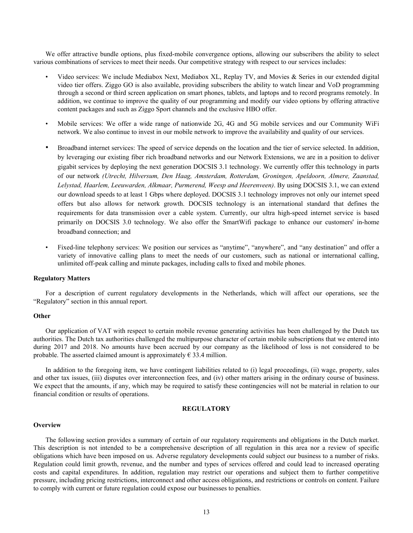We offer attractive bundle options, plus fixed-mobile convergence options, allowing our subscribers the ability to select various combinations of services to meet their needs. Our competitive strategy with respect to our services includes:

- Video services: We include Mediabox Next, Mediabox XL, Replay TV, and Movies & Series in our extended digital video tier offers. Ziggo GO is also available, providing subscribers the ability to watch linear and VoD programming through a second or third screen application on smart phones, tablets, and laptops and to record programs remotely. In addition, we continue to improve the quality of our programming and modify our video options by offering attractive content packages and such as Ziggo Sport channels and the exclusive HBO offer.
- Mobile services: We offer a wide range of nationwide 2G, 4G and 5G mobile services and our Community WiFi network. We also continue to invest in our mobile network to improve the availability and quality of our services.
- Broadband internet services: The speed of service depends on the location and the tier of service selected. In addition, by leveraging our existing fiber rich broadband networks and our Network Extensions, we are in a position to deliver gigabit services by deploying the next generation DOCSIS 3.1 technology. We currently offer this technology in parts of our network *(Utrecht, Hilversum, Den Haag, Amsterdam, Rotterdam, Groningen, Apeldoorn, Almere, Zaanstad, Lelystad, Haarlem, Leeuwarden, Alkmaar, Purmerend, Weesp and Heerenveen)*. By using DOCSIS 3.1, we can extend our download speeds to at least 1 Gbps where deployed. DOCSIS 3.1 technology improves not only our internet speed offers but also allows for network growth. DOCSIS technology is an international standard that defines the requirements for data transmission over a cable system. Currently, our ultra high-speed internet service is based primarily on DOCSIS 3.0 technology. We also offer the SmartWifi package to enhance our customers' in-home broadband connection; and
- Fixed-line telephony services: We position our services as "anytime", "anywhere", and "any destination" and offer a variety of innovative calling plans to meet the needs of our customers, such as national or international calling, unlimited off-peak calling and minute packages, including calls to fixed and mobile phones.

# **Regulatory Matters**

For a description of current regulatory developments in the Netherlands, which will affect our operations, see the "Regulatory" section in this annual report.

#### **Other**

Our application of VAT with respect to certain mobile revenue generating activities has been challenged by the Dutch tax authorities. The Dutch tax authorities challenged the multipurpose character of certain mobile subscriptions that we entered into during 2017 and 2018. No amounts have been accrued by our company as the likelihood of loss is not considered to be probable. The asserted claimed amount is approximately  $\epsilon$  33.4 million.

In addition to the foregoing item, we have contingent liabilities related to (i) legal proceedings, (ii) wage, property, sales and other tax issues, (iii) disputes over interconnection fees, and (iv) other matters arising in the ordinary course of business. We expect that the amounts, if any, which may be required to satisfy these contingencies will not be material in relation to our financial condition or results of operations.

# **REGULATORY**

#### **Overview**

The following section provides a summary of certain of our regulatory requirements and obligations in the Dutch market. This description is not intended to be a comprehensive description of all regulation in this area nor a review of specific obligations which have been imposed on us. Adverse regulatory developments could subject our business to a number of risks. Regulation could limit growth, revenue, and the number and types of services offered and could lead to increased operating costs and capital expenditures. In addition, regulation may restrict our operations and subject them to further competitive pressure, including pricing restrictions, interconnect and other access obligations, and restrictions or controls on content. Failure to comply with current or future regulation could expose our businesses to penalties.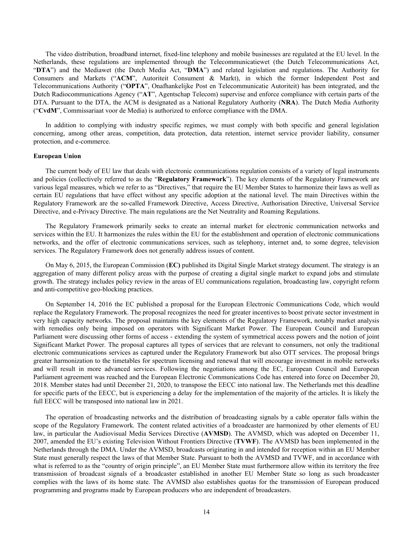The video distribution, broadband internet, fixed-line telephony and mobile businesses are regulated at the EU level. In the Netherlands, these regulations are implemented through the Telecommunicatiewet (the Dutch Telecommunications Act, "**DTA**") and the Mediawet (the Dutch Media Act, "**DMA**") and related legislation and regulations. The Authority for Consumers and Markets ("**ACM**", Autoriteit Consument & Markt), in which the former Independent Post and Telecommunications Authority ("**OPTA**", Onafhankelijke Post en Telecommunicatie Autoriteit) has been integrated, and the Dutch Radiocommunications Agency ("**AT**", Agentschap Telecom) supervise and enforce compliance with certain parts of the DTA. Pursuant to the DTA, the ACM is designated as a National Regulatory Authority (**NRA**). The Dutch Media Authority ("**CvdM**", Commissariaat voor de Media) is authorized to enforce compliance with the DMA.

In addition to complying with industry specific regimes, we must comply with both specific and general legislation concerning, among other areas, competition, data protection, data retention, internet service provider liability, consumer protection, and e-commerce.

# **European Union**

The current body of EU law that deals with electronic communications regulation consists of a variety of legal instruments and policies (collectively referred to as the "**Regulatory Framework**"). The key elements of the Regulatory Framework are various legal measures, which we refer to as "Directives," that require the EU Member States to harmonize their laws as well as certain EU regulations that have effect without any specific adoption at the national level. The main Directives within the Regulatory Framework are the so-called Framework Directive, Access Directive, Authorisation Directive, Universal Service Directive, and e-Privacy Directive. The main regulations are the Net Neutrality and Roaming Regulations.

The Regulatory Framework primarily seeks to create an internal market for electronic communication networks and services within the EU. It harmonizes the rules within the EU for the establishment and operation of electronic communications networks, and the offer of electronic communications services, such as telephony, internet and, to some degree, television services. The Regulatory Framework does not generally address issues of content.

On May 6, 2015, the European Commission (**EC)** published its Digital Single Market strategy document. The strategy is an aggregation of many different policy areas with the purpose of creating a digital single market to expand jobs and stimulate growth. The strategy includes policy review in the areas of EU communications regulation, broadcasting law, copyright reform and anti-competitive geo-blocking practices.

On September 14, 2016 the EC published a proposal for the European Electronic Communications Code, which would replace the Regulatory Framework. The proposal recognizes the need for greater incentives to boost private sector investment in very high capacity networks. The proposal maintains the key elements of the Regulatory Framework, notably market analysis with remedies only being imposed on operators with Significant Market Power. The European Council and European Parliament were discussing other forms of access - extending the system of symmetrical access powers and the notion of joint Significant Market Power. The proposal captures all types of services that are relevant to consumers, not only the traditional electronic communications services as captured under the Regulatory Framework but also OTT services. The proposal brings greater harmonization to the timetables for spectrum licensing and renewal that will encourage investment in mobile networks and will result in more advanced services. Following the negotiations among the EC, European Council and European Parliament agreement was reached and the European Electronic Communications Code has entered into force on December 20, 2018. Member states had until December 21, 2020, to transpose the EECC into national law. The Netherlands met this deadline for specific parts of the EECC, but is experiencing a delay for the implementation of the majority of the articles. It is likely the full EECC will be transposed into national law in 2021.

The operation of broadcasting networks and the distribution of broadcasting signals by a cable operator falls within the scope of the Regulatory Framework. The content related activities of a broadcaster are harmonized by other elements of EU law, in particular the Audiovisual Media Services Directive (**AVMSD**). The AVMSD, which was adopted on December 11, 2007, amended the EU's existing Television Without Frontiers Directive (**TVWF**). The AVMSD has been implemented in the Netherlands through the DMA. Under the AVMSD, broadcasts originating in and intended for reception within an EU Member State must generally respect the laws of that Member State. Pursuant to both the AVMSD and TVWF, and in accordance with what is referred to as the "country of origin principle", an EU Member State must furthermore allow within its territory the free transmission of broadcast signals of a broadcaster established in another EU Member State so long as such broadcaster complies with the laws of its home state. The AVMSD also establishes quotas for the transmission of European produced programming and programs made by European producers who are independent of broadcasters.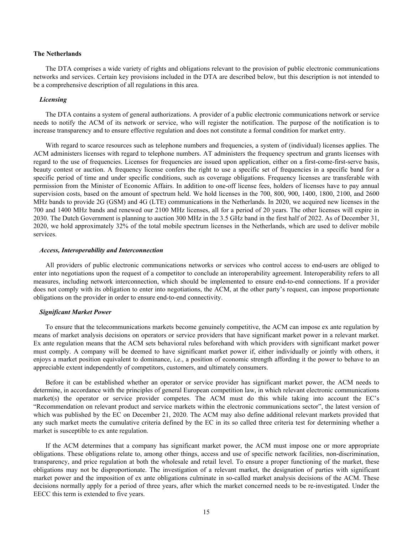# **The Netherlands**

The DTA comprises a wide variety of rights and obligations relevant to the provision of public electronic communications networks and services. Certain key provisions included in the DTA are described below, but this description is not intended to be a comprehensive description of all regulations in this area.

### *Licensing*

The DTA contains a system of general authorizations. A provider of a public electronic communications network or service needs to notify the ACM of its network or service, who will register the notification. The purpose of the notification is to increase transparency and to ensure effective regulation and does not constitute a formal condition for market entry.

With regard to scarce resources such as telephone numbers and frequencies, a system of (individual) licenses applies. The ACM administers licenses with regard to telephone numbers. AT administers the frequency spectrum and grants licenses with regard to the use of frequencies. Licenses for frequencies are issued upon application, either on a first-come-first-serve basis, beauty contest or auction. A frequency license confers the right to use a specific set of frequencies in a specific band for a specific period of time and under specific conditions, such as coverage obligations. Frequency licenses are transferable with permission from the Minister of Economic Affairs. In addition to one-off license fees, holders of licenses have to pay annual supervision costs, based on the amount of spectrum held. We hold licenses in the 700, 800, 900, 1400, 1800, 2100, and 2600 MHz bands to provide 2G (GSM) and 4G (LTE) communications in the Netherlands. In 2020, we acquired new licenses in the 700 and 1400 MHz bands and renewed our 2100 MHz licenses, all for a period of 20 years. The other licenses will expire in 2030. The Dutch Government is planning to auction 300 MHz in the 3.5 GHz band in the first half of 2022. As of December 31, 2020, we hold approximately 32% of the total mobile spectrum licenses in the Netherlands, which are used to deliver mobile services.

#### *Access, Interoperability and Interconnection*

All providers of public electronic communications networks or services who control access to end-users are obliged to enter into negotiations upon the request of a competitor to conclude an interoperability agreement. Interoperability refers to all measures, including network interconnection, which should be implemented to ensure end-to-end connections. If a provider does not comply with its obligation to enter into negotiations, the ACM, at the other party's request, can impose proportionate obligations on the provider in order to ensure end-to-end connectivity.

#### *Significant Market Power*

To ensure that the telecommunications markets become genuinely competitive, the ACM can impose ex ante regulation by means of market analysis decisions on operators or service providers that have significant market power in a relevant market. Ex ante regulation means that the ACM sets behavioral rules beforehand with which providers with significant market power must comply. A company will be deemed to have significant market power if, either individually or jointly with others, it enjoys a market position equivalent to dominance, i.e., a position of economic strength affording it the power to behave to an appreciable extent independently of competitors, customers, and ultimately consumers.

Before it can be established whether an operator or service provider has significant market power, the ACM needs to determine, in accordance with the principles of general European competition law, in which relevant electronic communications market(s) the operator or service provider competes. The ACM must do this while taking into account the EC's "Recommendation on relevant product and service markets within the electronic communications sector", the latest version of which was published by the EC on December 21, 2020. The ACM may also define additional relevant markets provided that any such market meets the cumulative criteria defined by the EC in its so called three criteria test for determining whether a market is susceptible to ex ante regulation.

If the ACM determines that a company has significant market power, the ACM must impose one or more appropriate obligations. These obligations relate to, among other things, access and use of specific network facilities, non-discrimination, transparency, and price regulation at both the wholesale and retail level. To ensure a proper functioning of the market, these obligations may not be disproportionate. The investigation of a relevant market, the designation of parties with significant market power and the imposition of ex ante obligations culminate in so-called market analysis decisions of the ACM. These decisions normally apply for a period of three years, after which the market concerned needs to be re-investigated. Under the EECC this term is extended to five years.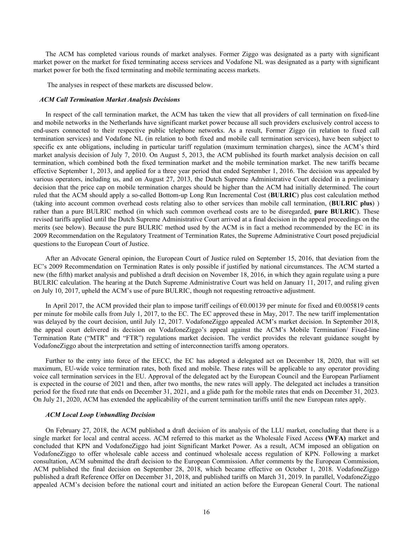The ACM has completed various rounds of market analyses. Former Ziggo was designated as a party with significant market power on the market for fixed terminating access services and Vodafone NL was designated as a party with significant market power for both the fixed terminating and mobile terminating access markets.

The analyses in respect of these markets are discussed below.

#### *ACM Call Termination Market Analysis Decisions*

In respect of the call termination market, the ACM has taken the view that all providers of call termination on fixed-line and mobile networks in the Netherlands have significant market power because all such providers exclusively control access to end-users connected to their respective public telephone networks. As a result, Former Ziggo (in relation to fixed call termination services) and Vodafone NL (in relation to both fixed and mobile call termination services), have been subject to specific ex ante obligations, including in particular tariff regulation (maximum termination charges), since the ACM's third market analysis decision of July 7, 2010. On August 5, 2013, the ACM published its fourth market analysis decision on call termination, which combined both the fixed termination market and the mobile termination market. The new tariffs became effective September 1, 2013, and applied for a three year period that ended September 1, 2016. The decision was appealed by various operators, including us, and on August 27, 2013, the Dutch Supreme Administrative Court decided in a preliminary decision that the price cap on mobile termination charges should be higher than the ACM had initially determined. The court ruled that the ACM should apply a so-called Bottom-up Long Run Incremental Cost (**BULRIC**) plus cost calculation method (taking into account common overhead costs relating also to other services than mobile call termination, (**BULRIC plus**) ) rather than a pure BULRIC method (in which such common overhead costs are to be disregarded, **pure BULRIC**). These revised tariffs applied until the Dutch Supreme Administrative Court arrived at a final decision in the appeal proceedings on the merits (see below). Because the pure BULRIC method used by the ACM is in fact a method recommended by the EC in its 2009 Recommendation on the Regulatory Treatment of Termination Rates, the Supreme Administrative Court posed prejudicial questions to the European Court of Justice.

After an Advocate General opinion, the European Court of Justice ruled on September 15, 2016, that deviation from the EC's 2009 Recommendation on Termination Rates is only possible if justified by national circumstances. The ACM started a new (the fifth) market analysis and published a draft decision on November 18, 2016, in which they again regulate using a pure BULRIC calculation. The hearing at the Dutch Supreme Administrative Court was held on January 11, 2017, and ruling given on July 10, 2017, upheld the ACM's use of pure BULRIC, though not requesting retroactive adjustment.

In April 2017, the ACM provided their plan to impose tariff ceilings of €0.00139 per minute for fixed and €0.005819 cents per minute for mobile calls from July 1, 2017, to the EC. The EC approved these in May, 2017. The new tariff implementation was delayed by the court decision, until July 12, 2017. VodafoneZiggo appealed ACM's market decision. In September 2018, the appeal court delivered its decision on VodafoneZiggo's appeal against the ACM's Mobile Termination/ Fixed-line Termination Rate ("MTR" and "FTR") regulations market decision. The verdict provides the relevant guidance sought by VodafoneZiggo about the interpretation and setting of interconnection tariffs among operators.

Further to the entry into force of the EECC, the EC has adopted a delegated act on December 18, 2020, that will set maximum, EU-wide voice termination rates, both fixed and mobile. These rates will be applicable to any operator providing voice call termination services in the EU. Approval of the delegated act by the European Council and the European Parliament is expected in the course of 2021 and then, after two months, the new rates will apply. The delegated act includes a transition period for the fixed rate that ends on December 31, 2021, and a glide path for the mobile rates that ends on December 31, 2023. On July 21, 2020, ACM has extended the applicability of the current termination tariffs until the new European rates apply.

# *ACM Local Loop Unbundling Decision*

On February 27, 2018, the ACM published a draft decision of its analysis of the LLU market, concluding that there is a single market for local and central access. ACM referred to this market as the Wholesale Fixed Access **(WFA)** market and concluded that KPN and VodafoneZiggo had joint Significant Market Power. As a result, ACM imposed an obligation on VodafoneZiggo to offer wholesale cable access and continued wholesale access regulation of KPN. Following a market consultation, ACM submitted the draft decision to the European Commission. After comments by the European Commission, ACM published the final decision on September 28, 2018, which became effective on October 1, 2018. VodafoneZiggo published a draft Reference Offer on December 31, 2018, and published tariffs on March 31, 2019. In parallel, VodafoneZiggo appealed ACM's decision before the national court and initiated an action before the European General Court. The national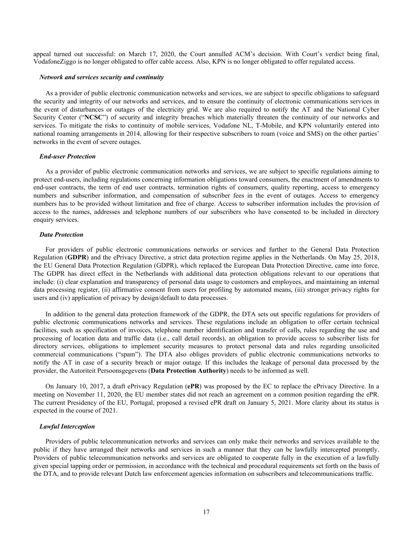appeal turned out successful: on March 17, 2020, the Court annulled ACM's decision. With Court's verdict being final, VodafoneZiggo is no longer obligated to offer cable access. Also, KPN is no longer obligated to offer regulated access.

#### *Network and services security and continuity*

As a provider of public electronic communication networks and services, we are subject to specific obligations to safeguard the security and integrity of our networks and services, and to ensure the continuity of electronic communications services in the event of disturbances or outages of the electricity grid. We are also required to notify the AT and the National Cyber Security Center ("**NCSC**") of security and integrity breaches which materially threaten the continuity of our networks and services. To mitigate the risks to continuity of mobile services, Vodafone NL, T-Mobile, and KPN voluntarily entered into national roaming arrangements in 2014, allowing for their respective subscribers to roam (voice and SMS) on the other parties' networks in the event of severe outages.

#### *End-user Protection*

As a provider of public electronic communication networks and services, we are subject to specific regulations aiming to protect end-users, including regulations concerning information obligations toward consumers, the enactment of amendments to end-user contracts, the term of end user contracts, termination rights of consumers, quality reporting, access to emergency numbers and subscriber information, and compensation of subscriber fees in the event of outages. Access to emergency numbers has to be provided without limitation and free of charge. Access to subscriber information includes the provision of access to the names, addresses and telephone numbers of our subscribers who have consented to be included in directory enquiry services.

# *Data Protection*

For providers of public electronic communications networks or services and further to the General Data Protection Regulation (**GDPR**) and the ePrivacy Directive, a strict data protection regime applies in the Netherlands. On May 25, 2018, the EU General Data Protection Regulation (GDPR), which replaced the European Data Protection Directive, came into force. The GDPR has direct effect in the Netherlands with additional data protection obligations relevant to our operations that include: (i) clear explanation and transparency of personal data usage to customers and employees, and maintaining an internal data processing register, (ii) affirmative consent from users for profiling by automated means, (iii) stronger privacy rights for users and (iv) application of privacy by design/default to data processes.

In addition to the general data protection framework of the GDPR, the DTA sets out specific regulations for providers of public electronic communications networks and services. These regulations include an obligation to offer certain technical facilities, such as specification of invoices, telephone number identification and transfer of calls, rules regarding the use and processing of location data and traffic data (i.e., call detail records), an obligation to provide access to subscriber lists for directory services, obligations to implement security measures to protect personal data and rules regarding unsolicited commercial communications ("spam"). The DTA also obliges providers of public electronic communications networks to notify the AT in case of a security breach or major outage. If this includes the leakage of personal data processed by the provider, the Autoriteit Persoonsgegevens (**Data Protection Authority**) needs to be informed as well.

On January 10, 2017, a draft ePrivacy Regulation (**ePR**) was proposed by the EC to replace the ePrivacy Directive. In a meeting on November 11, 2020, the EU member states did not reach an agreement on a common position regarding the ePR. The current Presidency of the EU, Portugal, proposed a revised ePR draft on January 5, 2021. More clarity about its status is expected in the course of 2021.

# *Lawful Interception*

Providers of public telecommunication networks and services can only make their networks and services available to the public if they have arranged their networks and services in such a manner that they can be lawfully intercepted promptly. Providers of public telecommunication networks and services are obligated to cooperate fully in the execution of a lawfully given special tapping order or permission, in accordance with the technical and procedural requirements set forth on the basis of the DTA, and to provide relevant Dutch law enforcement agencies information on subscribers and telecommunications traffic.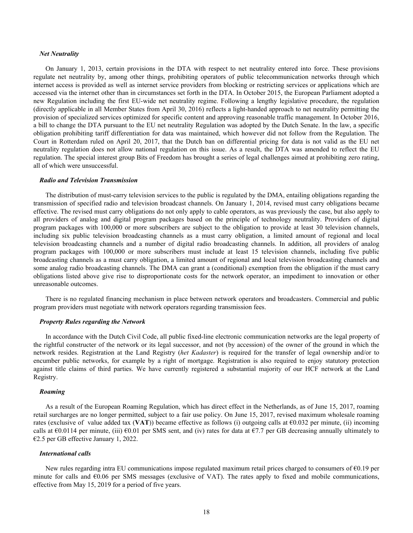#### *Net Neutrality*

On January 1, 2013, certain provisions in the DTA with respect to net neutrality entered into force. These provisions regulate net neutrality by, among other things, prohibiting operators of public telecommunication networks through which internet access is provided as well as internet service providers from blocking or restricting services or applications which are accessed via the internet other than in circumstances set forth in the DTA. In October 2015, the European Parliament adopted a new Regulation including the first EU-wide net neutrality regime. Following a lengthy legislative procedure, the regulation (directly applicable in all Member States from April 30, 2016) reflects a light-handed approach to net neutrality permitting the provision of specialized services optimized for specific content and approving reasonable traffic management. In October 2016, a bill to change the DTA pursuant to the EU net neutrality Regulation was adopted by the Dutch Senate. In the law, a specific obligation prohibiting tariff differentiation for data was maintained, which however did not follow from the Regulation. The Court in Rotterdam ruled on April 20, 2017, that the Dutch ban on differential pricing for data is not valid as the EU net neutrality regulation does not allow national regulation on this issue. As a result, the DTA was amended to reflect the EU regulation. The special interest group Bits of Freedom has brought a series of legal challenges aimed at prohibiting zero rating, all of which were unsuccessful.

# *Radio and Television Transmission*

The distribution of must-carry television services to the public is regulated by the DMA, entailing obligations regarding the transmission of specified radio and television broadcast channels. On January 1, 2014, revised must carry obligations became effective. The revised must carry obligations do not only apply to cable operators, as was previously the case, but also apply to all providers of analog and digital program packages based on the principle of technology neutrality. Providers of digital program packages with 100,000 or more subscribers are subject to the obligation to provide at least 30 television channels, including six public television broadcasting channels as a must carry obligation, a limited amount of regional and local television broadcasting channels and a number of digital radio broadcasting channels. In addition, all providers of analog program packages with 100,000 or more subscribers must include at least 15 television channels, including five public broadcasting channels as a must carry obligation, a limited amount of regional and local television broadcasting channels and some analog radio broadcasting channels. The DMA can grant a (conditional) exemption from the obligation if the must carry obligations listed above give rise to disproportionate costs for the network operator, an impediment to innovation or other unreasonable outcomes.

There is no regulated financing mechanism in place between network operators and broadcasters. Commercial and public program providers must negotiate with network operators regarding transmission fees.

#### *Property Rules regarding the Network*

In accordance with the Dutch Civil Code, all public fixed-line electronic communication networks are the legal property of the rightful constructer of the network or its legal successor, and not (by accession) of the owner of the ground in which the network resides. Registration at the Land Registry (*het Kadaster*) is required for the transfer of legal ownership and/or to encumber public networks, for example by a right of mortgage. Registration is also required to enjoy statutory protection against title claims of third parties. We have currently registered a substantial majority of our HCF network at the Land Registry.

# *Roaming*

As a result of the European Roaming Regulation, which has direct effect in the Netherlands, as of June 15, 2017, roaming retail surcharges are no longer permitted, subject to a fair use policy. On June 15, 2017, revised maximum wholesale roaming rates (exclusive of value added tax (**VAT**)) became effective as follows (i) outgoing calls at  $\epsilon$ 0.032 per minute, (ii) incoming calls at  $\epsilon$ 0.0114 per minute, (iii)  $\epsilon$ 0.01 per SMS sent, and (iv) rates for data at  $\epsilon$ 7.7 per GB decreasing annually ultimately to €2.5 per GB effective January 1, 2022.

#### *International calls*

New rules regarding intra EU communications impose regulated maximum retail prices charged to consumers of €0.19 per minute for calls and  $\epsilon$ 0.06 per SMS messages (exclusive of VAT). The rates apply to fixed and mobile communications, effective from May 15, 2019 for a period of five years.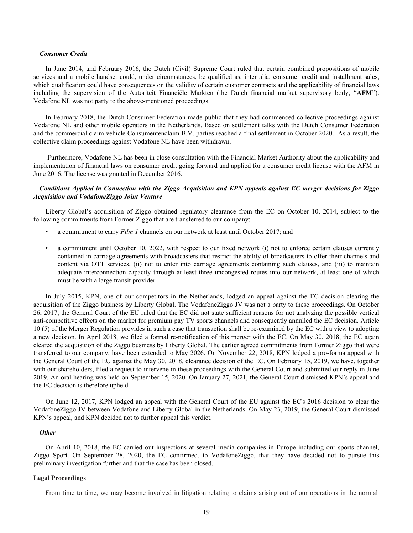#### *Consumer Credit*

In June 2014, and February 2016, the Dutch (Civil) Supreme Court ruled that certain combined propositions of mobile services and a mobile handset could, under circumstances, be qualified as, inter alia, consumer credit and installment sales, which qualification could have consequences on the validity of certain customer contracts and the applicability of financial laws including the supervision of the Autoriteit Financiële Markten (the Dutch financial market supervisory body, "**AFM"**). Vodafone NL was not party to the above-mentioned proceedings.

In February 2018, the Dutch Consumer Federation made public that they had commenced collective proceedings against Vodafone NL and other mobile operators in the Netherlands. Based on settlement talks with the Dutch Consumer Federation and the commercial claim vehicle Consumentenclaim B.V. parties reached a final settlement in October 2020. As a result, the collective claim proceedings against Vodafone NL have been withdrawn.

 Furthermore, Vodafone NL has been in close consultation with the Financial Market Authority about the applicability and implementation of financial laws on consumer credit going forward and applied for a consumer credit license with the AFM in June 2016. The license was granted in December 2016.

# *Conditions Applied in Connection with the Ziggo Acquisition and KPN appeals against EC merger decisions for Ziggo Acquisition and VodafoneZiggo Joint Venture*

Liberty Global's acquisition of Ziggo obtained regulatory clearance from the EC on October 10, 2014, subject to the following commitments from Former Ziggo that are transferred to our company:

- a commitment to carry *Film 1* channels on our network at least until October 2017; and
- a commitment until October 10, 2022, with respect to our fixed network (i) not to enforce certain clauses currently contained in carriage agreements with broadcasters that restrict the ability of broadcasters to offer their channels and content via OTT services, (ii) not to enter into carriage agreements containing such clauses, and (iii) to maintain adequate interconnection capacity through at least three uncongested routes into our network, at least one of which must be with a large transit provider.

In July 2015, KPN, one of our competitors in the Netherlands, lodged an appeal against the EC decision clearing the acquisition of the Ziggo business by Liberty Global. The VodafoneZiggo JV was not a party to these proceedings. On October 26, 2017, the General Court of the EU ruled that the EC did not state sufficient reasons for not analyzing the possible vertical anti-competitive effects on the market for premium pay TV sports channels and consequently annulled the EC decision. Article 10 (5) of the Merger Regulation provides in such a case that transaction shall be re-examined by the EC with a view to adopting a new decision. In April 2018, we filed a formal re-notification of this merger with the EC. On May 30, 2018, the EC again cleared the acquisition of the Ziggo business by Liberty Global. The earlier agreed commitments from Former Ziggo that were transferred to our company, have been extended to May 2026. On November 22, 2018, KPN lodged a pro-forma appeal with the General Court of the EU against the May 30, 2018, clearance decision of the EC. On February 15, 2019, we have, together with our shareholders, filed a request to intervene in these proceedings with the General Court and submitted our reply in June 2019. An oral hearing was held on September 15, 2020. On January 27, 2021, the General Court dismissed KPN's appeal and the EC decision is therefore upheld.

On June 12, 2017, KPN lodged an appeal with the General Court of the EU against the EC's 2016 decision to clear the VodafoneZiggo JV between Vodafone and Liberty Global in the Netherlands. On May 23, 2019, the General Court dismissed KPN's appeal, and KPN decided not to further appeal this verdict.

# *Other*

On April 10, 2018, the EC carried out inspections at several media companies in Europe including our sports channel, Ziggo Sport. On September 28, 2020, the EC confirmed, to VodafoneZiggo, that they have decided not to pursue this preliminary investigation further and that the case has been closed.

# **Legal Proceedings**

From time to time, we may become involved in litigation relating to claims arising out of our operations in the normal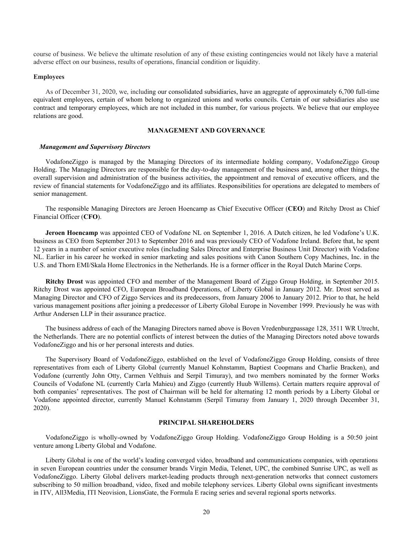course of business. We believe the ultimate resolution of any of these existing contingencies would not likely have a material adverse effect on our business, results of operations, financial condition or liquidity.

# **Employees**

As of December 31, 2020, we, including our consolidated subsidiaries, have an aggregate of approximately 6,700 full-time equivalent employees, certain of whom belong to organized unions and works councils. Certain of our subsidiaries also use contract and temporary employees, which are not included in this number, for various projects. We believe that our employee relations are good.

# **MANAGEMENT AND GOVERNANCE**

#### *Management and Supervisory Directors*

VodafoneZiggo is managed by the Managing Directors of its intermediate holding company, VodafoneZiggo Group Holding. The Managing Directors are responsible for the day-to-day management of the business and, among other things, the overall supervision and administration of the business activities, the appointment and removal of executive officers, and the review of financial statements for VodafoneZiggo and its affiliates. Responsibilities for operations are delegated to members of senior management.

The responsible Managing Directors are Jeroen Hoencamp as Chief Executive Officer (**CEO**) and Ritchy Drost as Chief Financial Officer (**CFO**).

**Jeroen Hoencamp** was appointed CEO of Vodafone NL on September 1, 2016. A Dutch citizen, he led Vodafone's U.K. business as CEO from September 2013 to September 2016 and was previously CEO of Vodafone Ireland. Before that, he spent 12 years in a number of senior executive roles (including Sales Director and Enterprise Business Unit Director) with Vodafone NL. Earlier in his career he worked in senior marketing and sales positions with Canon Southern Copy Machines, Inc. in the U.S. and Thorn EMI/Skala Home Electronics in the Netherlands. He is a former officer in the Royal Dutch Marine Corps.

**Ritchy Drost** was appointed CFO and member of the Management Board of Ziggo Group Holding, in September 2015. Ritchy Drost was appointed CFO, European Broadband Operations, of Liberty Global in January 2012. Mr. Drost served as Managing Director and CFO of Ziggo Services and its predecessors, from January 2006 to January 2012. Prior to that, he held various management positions after joining a predecessor of Liberty Global Europe in November 1999. Previously he was with Arthur Andersen LLP in their assurance practice.

The business address of each of the Managing Directors named above is Boven Vredenburgpassage 128, 3511 WR Utrecht, the Netherlands. There are no potential conflicts of interest between the duties of the Managing Directors noted above towards VodafoneZiggo and his or her personal interests and duties.

The Supervisory Board of VodafoneZiggo, established on the level of VodafoneZiggo Group Holding, consists of three representatives from each of Liberty Global (currently Manuel Kohnstamm, Baptiest Coopmans and Charlie Bracken), and Vodafone (currently John Otty, Carmen Velthuis and Serpil Timuray), and two members nominated by the former Works Councils of Vodafone NL (currently Carla Mahieu) and Ziggo (currently Huub Willems). Certain matters require approval of both companies' representatives. The post of Chairman will be held for alternating 12 month periods by a Liberty Global or Vodafone appointed director, currently Manuel Kohnstamm (Serpil Timuray from January 1, 2020 through December 31, 2020).

# **PRINCIPAL SHAREHOLDERS**

VodafoneZiggo is wholly-owned by VodafoneZiggo Group Holding. VodafoneZiggo Group Holding is a 50:50 joint venture among Liberty Global and Vodafone.

Liberty Global is one of the world's leading converged video, broadband and communications companies, with operations in seven European countries under the consumer brands Virgin Media, Telenet, UPC, the combined Sunrise UPC, as well as VodafoneZiggo. Liberty Global delivers market-leading products through next-generation networks that connect customers subscribing to 50 million broadband, video, fixed and mobile telephony services. Liberty Global owns significant investments in ITV, All3Media, ITI Neovision, LionsGate, the Formula E racing series and several regional sports networks.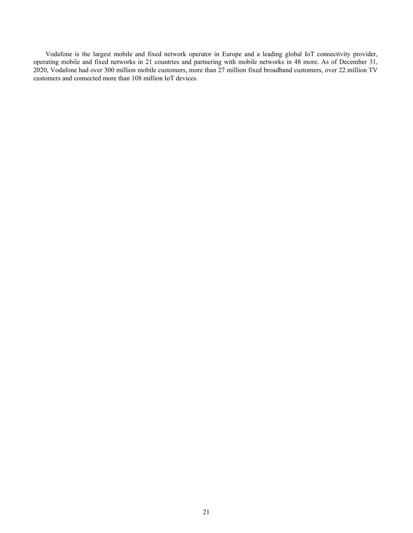Vodafone is the largest mobile and fixed network operator in Europe and a leading global IoT connectivity provider, operating mobile and fixed networks in 21 countries and partnering with mobile networks in 48 more. As of December 31, 2020, Vodafone had over 300 million mobile customers, more than 27 million fixed broadband customers, over 22 million TV customers and connected more than 108 million IoT devices.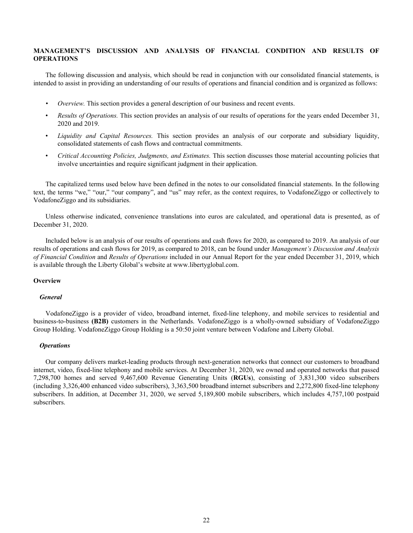# <span id="page-22-0"></span>**MANAGEMENT'S DISCUSSION AND ANALYSIS OF FINANCIAL CONDITION AND RESULTS OF OPERATIONS**

The following discussion and analysis, which should be read in conjunction with our consolidated financial statements, is intended to assist in providing an understanding of our results of operations and financial condition and is organized as follows:

- *• Overview.* This section provides a general description of our business and recent events.
- *Results of Operations.* This section provides an analysis of our results of operations for the years ended December 31, 2020 and 2019.
- *Liquidity and Capital Resources.* This section provides an analysis of our corporate and subsidiary liquidity, consolidated statements of cash flows and contractual commitments.
- *Critical Accounting Policies, Judgments, and Estimates.* This section discusses those material accounting policies that involve uncertainties and require significant judgment in their application.

The capitalized terms used below have been defined in the notes to our consolidated financial statements. In the following text, the terms "we," "our," "our company", and "us" may refer, as the context requires, to VodafoneZiggo or collectively to VodafoneZiggo and its subsidiaries.

Unless otherwise indicated, convenience translations into euros are calculated, and operational data is presented, as of December 31, 2020.

Included below is an analysis of our results of operations and cash flows for 2020, as compared to 2019. An analysis of our results of operations and cash flows for 2019, as compared to 2018, can be found under *Management's Discussion and Analysis of Financial Condition* and *Results of Operations* included in our Annual Report for the year ended December 31, 2019, which is available through the Liberty Global's website at www.libertyglobal.com.

# **Overview**

#### *General*

VodafoneZiggo is a provider of video, broadband internet, fixed-line telephony, and mobile services to residential and business-to-business **(B2B)** customers in the Netherlands. VodafoneZiggo is a wholly-owned subsidiary of VodafoneZiggo Group Holding. VodafoneZiggo Group Holding is a 50:50 joint venture between Vodafone and Liberty Global.

# *Operations*

Our company delivers market-leading products through next-generation networks that connect our customers to broadband internet, video, fixed-line telephony and mobile services. At December 31, 2020, we owned and operated networks that passed 7,298,700 homes and served 9,467,600 Revenue Generating Units (**RGUs**), consisting of 3,831,300 video subscribers (including 3,326,400 enhanced video subscribers), 3,363,500 broadband internet subscribers and 2,272,800 fixed-line telephony subscribers. In addition, at December 31, 2020, we served 5,189,800 mobile subscribers, which includes 4,757,100 postpaid subscribers.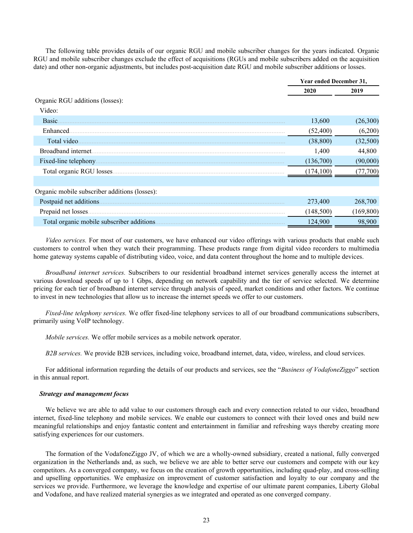The following table provides details of our organic RGU and mobile subscriber changes for the years indicated. Organic RGU and mobile subscriber changes exclude the effect of acquisitions (RGUs and mobile subscribers added on the acquisition date) and other non-organic adjustments, but includes post-acquisition date RGU and mobile subscriber additions or losses.

|                                               | Year ended December 31, |            |
|-----------------------------------------------|-------------------------|------------|
|                                               | 2020                    | 2019       |
| Organic RGU additions (losses):               |                         |            |
| Video:                                        |                         |            |
| Basic.                                        | 13,600                  | (26,300)   |
| Enhanced.                                     | (52, 400)               | (6,200)    |
| Total video.                                  | (38, 800)               | (32,500)   |
| Broadband internet.                           | 1,400                   | 44,800     |
| Fixed-line telephony.                         | (136,700)               | (90,000)   |
| Total organic RGU losses                      | (174, 100)              | (77,700)   |
|                                               |                         |            |
| Organic mobile subscriber additions (losses): |                         |            |
| Postpaid net additions.                       | 273,400                 | 268,700    |
| Prepaid net losses.                           | (148,500)               | (169, 800) |
| Total organic mobile subscriber additions.    | 124,900                 | 98,900     |

*Video services.* For most of our customers, we have enhanced our video offerings with various products that enable such customers to control when they watch their programming. These products range from digital video recorders to multimedia home gateway systems capable of distributing video, voice, and data content throughout the home and to multiple devices.

*Broadband internet services.* Subscribers to our residential broadband internet services generally access the internet at various download speeds of up to 1 Gbps, depending on network capability and the tier of service selected. We determine pricing for each tier of broadband internet service through analysis of speed, market conditions and other factors. We continue to invest in new technologies that allow us to increase the internet speeds we offer to our customers.

*Fixed-line telephony services.* We offer fixed-line telephony services to all of our broadband communications subscribers, primarily using VoIP technology.

*Mobile services.* We offer mobile services as a mobile network operator.

*B2B services.* We provide B2B services, including voice, broadband internet, data, video, wireless, and cloud services.

For additional information regarding the details of our products and services, see the "*Business of VodafoneZiggo*" section in this annual report.

#### *Strategy and management focus*

We believe we are able to add value to our customers through each and every connection related to our video, broadband internet, fixed-line telephony and mobile services. We enable our customers to connect with their loved ones and build new meaningful relationships and enjoy fantastic content and entertainment in familiar and refreshing ways thereby creating more satisfying experiences for our customers.

The formation of the VodafoneZiggo JV, of which we are a wholly-owned subsidiary, created a national, fully converged organization in the Netherlands and, as such, we believe we are able to better serve our customers and compete with our key competitors. As a converged company, we focus on the creation of growth opportunities, including quad-play, and cross-selling and upselling opportunities. We emphasize on improvement of customer satisfaction and loyalty to our company and the services we provide. Furthermore, we leverage the knowledge and expertise of our ultimate parent companies, Liberty Global and Vodafone, and have realized material synergies as we integrated and operated as one converged company.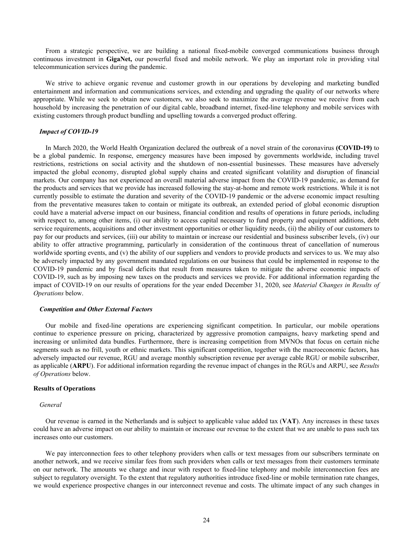From a strategic perspective, we are building a national fixed-mobile converged communications business through continuous investment in **GigaNet,** our powerful fixed and mobile network. We play an important role in providing vital telecommunication services during the pandemic.

We strive to achieve organic revenue and customer growth in our operations by developing and marketing bundled entertainment and information and communications services, and extending and upgrading the quality of our networks where appropriate. While we seek to obtain new customers, we also seek to maximize the average revenue we receive from each household by increasing the penetration of our digital cable, broadband internet, fixed-line telephony and mobile services with existing customers through product bundling and upselling towards a converged product offering.

# *Impact of COVID-19*

In March 2020, the World Health Organization declared the outbreak of a novel strain of the coronavirus **(COVID-19)** to be a global pandemic. In response, emergency measures have been imposed by governments worldwide, including travel restrictions, restrictions on social activity and the shutdown of non-essential businesses. These measures have adversely impacted the global economy, disrupted global supply chains and created significant volatility and disruption of financial markets. Our company has not experienced an overall material adverse impact from the COVID-19 pandemic, as demand for the products and services that we provide has increased following the stay-at-home and remote work restrictions. While it is not currently possible to estimate the duration and severity of the COVID-19 pandemic or the adverse economic impact resulting from the preventative measures taken to contain or mitigate its outbreak, an extended period of global economic disruption could have a material adverse impact on our business, financial condition and results of operations in future periods, including with respect to, among other items, (i) our ability to access capital necessary to fund property and equipment additions, debt service requirements, acquisitions and other investment opportunities or other liquidity needs, (ii) the ability of our customers to pay for our products and services, (iii) our ability to maintain or increase our residential and business subscriber levels, (iv) our ability to offer attractive programming, particularly in consideration of the continuous threat of cancellation of numerous worldwide sporting events, and (v) the ability of our suppliers and vendors to provide products and services to us. We may also be adversely impacted by any government mandated regulations on our business that could be implemented in response to the COVID-19 pandemic and by fiscal deficits that result from measures taken to mitigate the adverse economic impacts of COVID-19, such as by imposing new taxes on the products and services we provide. For additional information regarding the impact of COVID-19 on our results of operations for the year ended December 31, 2020, see *Material Changes in Results of Operations* below.

# *Competition and Other External Factors*

Our mobile and fixed-line operations are experiencing significant competition. In particular, our mobile operations continue to experience pressure on pricing, characterized by aggressive promotion campaigns, heavy marketing spend and increasing or unlimited data bundles. Furthermore, there is increasing competition from MVNOs that focus on certain niche segments such as no frill, youth or ethnic markets. This significant competition, together with the macroeconomic factors, has adversely impacted our revenue, RGU and average monthly subscription revenue per average cable RGU or mobile subscriber, as applicable (**ARPU**). For additional information regarding the revenue impact of changes in the RGUs and ARPU, see *Results of Operations* below.

# **Results of Operations**

# *General*

Our revenue is earned in the Netherlands and is subject to applicable value added tax (**VAT**). Any increases in these taxes could have an adverse impact on our ability to maintain or increase our revenue to the extent that we are unable to pass such tax increases onto our customers.

We pay interconnection fees to other telephony providers when calls or text messages from our subscribers terminate on another network, and we receive similar fees from such providers when calls or text messages from their customers terminate on our network. The amounts we charge and incur with respect to fixed-line telephony and mobile interconnection fees are subject to regulatory oversight. To the extent that regulatory authorities introduce fixed-line or mobile termination rate changes, we would experience prospective changes in our interconnect revenue and costs. The ultimate impact of any such changes in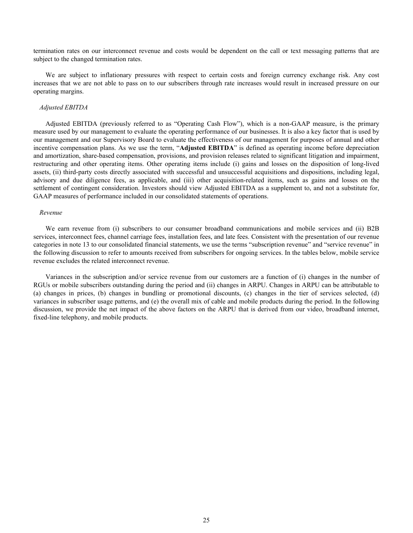termination rates on our interconnect revenue and costs would be dependent on the call or text messaging patterns that are subject to the changed termination rates.

We are subject to inflationary pressures with respect to certain costs and foreign currency exchange risk. Any cost increases that we are not able to pass on to our subscribers through rate increases would result in increased pressure on our operating margins.

# *Adjusted EBITDA*

Adjusted EBITDA (previously referred to as "Operating Cash Flow"), which is a non-GAAP measure, is the primary measure used by our management to evaluate the operating performance of our businesses. It is also a key factor that is used by our management and our Supervisory Board to evaluate the effectiveness of our management for purposes of annual and other incentive compensation plans. As we use the term, "**Adjusted EBITDA**" is defined as operating income before depreciation and amortization, share-based compensation, provisions, and provision releases related to significant litigation and impairment, restructuring and other operating items. Other operating items include (i) gains and losses on the disposition of long-lived assets, (ii) third-party costs directly associated with successful and unsuccessful acquisitions and dispositions, including legal, advisory and due diligence fees, as applicable, and (iii) other acquisition-related items, such as gains and losses on the settlement of contingent consideration. Investors should view Adjusted EBITDA as a supplement to, and not a substitute for, GAAP measures of performance included in our consolidated statements of operations.

#### *Revenue*

We earn revenue from (i) subscribers to our consumer broadband communications and mobile services and (ii) B2B services, interconnect fees, channel carriage fees, installation fees, and late fees. Consistent with the presentation of our revenue categories in note 13 to our consolidated financial statements, we use the terms "subscription revenue" and "service revenue" in the following discussion to refer to amounts received from subscribers for ongoing services. In the tables below, mobile service revenue excludes the related interconnect revenue.

Variances in the subscription and/or service revenue from our customers are a function of (i) changes in the number of RGUs or mobile subscribers outstanding during the period and (ii) changes in ARPU. Changes in ARPU can be attributable to (a) changes in prices, (b) changes in bundling or promotional discounts, (c) changes in the tier of services selected, (d) variances in subscriber usage patterns, and (e) the overall mix of cable and mobile products during the period. In the following discussion, we provide the net impact of the above factors on the ARPU that is derived from our video, broadband internet, fixed-line telephony, and mobile products.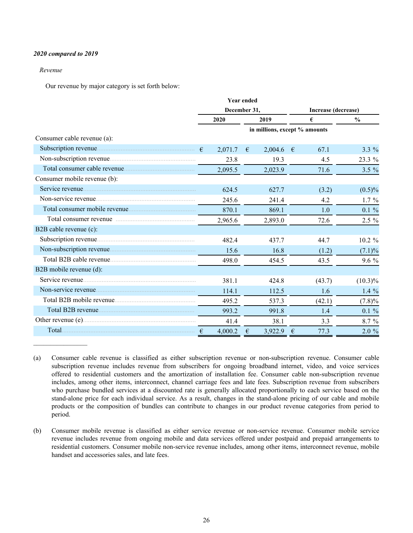# *2020 compared to 2019*

# *Revenue*

Our revenue by major category is set forth below:

|                                                    |              |         | <b>Year ended</b> |                               |               |                     |            |
|----------------------------------------------------|--------------|---------|-------------------|-------------------------------|---------------|---------------------|------------|
|                                                    | December 31, |         |                   |                               |               | Increase (decrease) |            |
|                                                    | 2020<br>2019 |         |                   | €                             | $\frac{0}{0}$ |                     |            |
|                                                    |              |         |                   | in millions, except % amounts |               |                     |            |
| Consumer cable revenue (a):                        |              |         |                   |                               |               |                     |            |
|                                                    |              | 2,071.7 | €                 | $2,004.6$ €                   |               | 67.1                | $3.3\%$    |
|                                                    |              | 23.8    |                   | 19.3                          |               | 4.5                 | 23.3 %     |
|                                                    |              | 2,095.5 |                   | 2,023.9                       |               | 71.6                | $3.5 \%$   |
| Consumer mobile revenue (b):                       |              |         |                   |                               |               |                     |            |
|                                                    |              | 624.5   |                   | 627.7                         |               | (3.2)               | $(0.5)\%$  |
|                                                    |              | 245.6   |                   | 241.4                         |               | 4.2                 | $1.7\%$    |
|                                                    |              | 870.1   |                   | 869.1                         |               | 1.0                 | $0.1 \%$   |
| Total consumer revenue <i>manufacture consumer</i> |              | 2,965.6 |                   | 2,893.0                       |               | 72.6                | $2.5\%$    |
| B2B cable revenue (c):                             |              |         |                   |                               |               |                     |            |
|                                                    |              | 482.4   |                   | 437.7                         |               | 44.7                | 10.2 %     |
|                                                    |              | 15.6    |                   | 16.8                          |               | (1.2)               | $(7.1)\%$  |
|                                                    |              | 498.0   |                   | 454.5                         |               | 43.5                | $9.6\%$    |
| B2B mobile revenue (d):                            |              |         |                   |                               |               |                     |            |
|                                                    |              | 381.1   |                   | 424.8                         |               | (43.7)              | $(10.3)\%$ |
|                                                    |              | 114.1   |                   | 112.5                         |               | 1.6                 | $1.4\%$    |
|                                                    |              | 495.2   |                   | 537.3                         |               | (42.1)              | $(7.8)\%$  |
|                                                    |              | 993.2   |                   | 991.8                         |               | 1.4                 | $0.1 \%$   |
|                                                    |              | 41.4    |                   | 38.1                          |               | 3.3                 | $8.7\%$    |
|                                                    |              | 4,000.2 | €                 | 3,922.9                       | $\epsilon$    | 77.3                | $2.0 \%$   |

<sup>(</sup>a) Consumer cable revenue is classified as either subscription revenue or non-subscription revenue. Consumer cable subscription revenue includes revenue from subscribers for ongoing broadband internet, video, and voice services offered to residential customers and the amortization of installation fee. Consumer cable non-subscription revenue includes, among other items, interconnect, channel carriage fees and late fees. Subscription revenue from subscribers who purchase bundled services at a discounted rate is generally allocated proportionally to each service based on the stand-alone price for each individual service. As a result, changes in the stand-alone pricing of our cable and mobile products or the composition of bundles can contribute to changes in our product revenue categories from period to period.

<sup>(</sup>b) Consumer mobile revenue is classified as either service revenue or non-service revenue. Consumer mobile service revenue includes revenue from ongoing mobile and data services offered under postpaid and prepaid arrangements to residential customers. Consumer mobile non-service revenue includes, among other items, interconnect revenue, mobile handset and accessories sales, and late fees.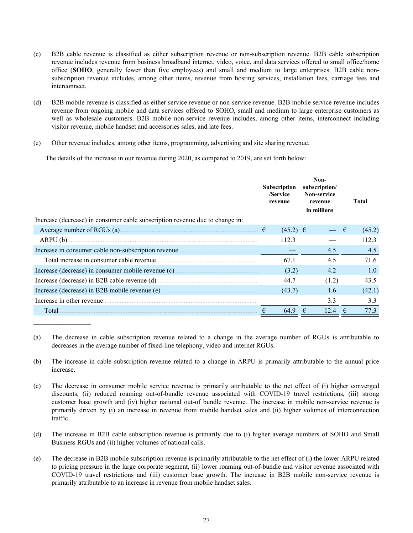- (c) B2B cable revenue is classified as either subscription revenue or non-subscription revenue. B2B cable subscription revenue includes revenue from business broadband internet, video, voice, and data services offered to small office/home office (**SOHO**, generally fewer than five employees) and small and medium to large enterprises. B2B cable nonsubscription revenue includes, among other items, revenue from hosting services, installation fees, carriage fees and interconnect.
- (d) B2B mobile revenue is classified as either service revenue or non-service revenue. B2B mobile service revenue includes revenue from ongoing mobile and data services offered to SOHO, small and medium to large enterprise customers as well as wholesale customers. B2B mobile non-service revenue includes, among other items, interconnect including visitor revenue, mobile handset and accessories sales, and late fees.
- (e) Other revenue includes, among other items, programming, advertising and site sharing revenue.

The details of the increase in our revenue during 2020, as compared to 2019, are set forth below:

|  | /Service<br>revenue                                                                                                                             |                     | Non-<br>subscription/<br>Non-service<br>revenue |                                                                 |        | <b>Total</b> |  |
|--|-------------------------------------------------------------------------------------------------------------------------------------------------|---------------------|-------------------------------------------------|-----------------------------------------------------------------|--------|--------------|--|
|  |                                                                                                                                                 |                     |                                                 |                                                                 |        |              |  |
|  |                                                                                                                                                 |                     |                                                 | €                                                               | (45.2) |              |  |
|  | 112.3                                                                                                                                           |                     |                                                 |                                                                 | 112.3  |              |  |
|  |                                                                                                                                                 |                     |                                                 |                                                                 | 4.5    |              |  |
|  | 67.1                                                                                                                                            |                     |                                                 |                                                                 | 71.6   |              |  |
|  | (3.2)                                                                                                                                           |                     |                                                 |                                                                 | 1.0    |              |  |
|  | 44.7                                                                                                                                            |                     |                                                 |                                                                 | 43.5   |              |  |
|  | (43.7)                                                                                                                                          |                     |                                                 |                                                                 | (42.1) |              |  |
|  |                                                                                                                                                 |                     |                                                 |                                                                 | 3.3    |              |  |
|  | 64.9                                                                                                                                            | €                   |                                                 |                                                                 | 77.3   |              |  |
|  | Average number of RGUs (a) $\ldots$ $\ldots$ $\ldots$ $\ldots$ $\ldots$ $\ldots$ $\ldots$ $\ldots$ $\ldots$ $\ldots$ $\ldots$ $\ldots$ $\ldots$ | <b>Subscription</b> | $(45.2) \in$                                    | in millions<br>4.5<br>4.5<br>4.2<br>(1.2)<br>1.6<br>3.3<br>12.4 |        |              |  |

<sup>(</sup>a) The decrease in cable subscription revenue related to a change in the average number of RGUs is attributable to decreases in the average number of fixed-line telephony, video and internet RGUs.

- (b) The increase in cable subscription revenue related to a change in ARPU is primarily attributable to the annual price increase.
- (c) The decrease in consumer mobile service revenue is primarily attributable to the net effect of (i) higher converged discounts, (ii) reduced roaming out-of-bundle revenue associated with COVID-19 travel restrictions, (iii) strong customer base growth and (iv) higher national out-of bundle revenue. The increase in mobile non-service revenue is primarily driven by (i) an increase in revenue from mobile handset sales and (ii) higher volumes of interconnection traffic.
- (d) The increase in B2B cable subscription revenue is primarily due to (i) higher average numbers of SOHO and Small Business RGUs and (ii) higher volumes of national calls.
- (e) The decrease in B2B mobile subscription revenue is primarily attributable to the net effect of (i) the lower ARPU related to pricing pressure in the large corporate segment, (ii) lower roaming out-of-bundle and visitor revenue associated with COVID-19 travel restrictions and (iii) customer base growth. The increase in B2B mobile non-service revenue is primarily attributable to an increase in revenue from mobile handset sales.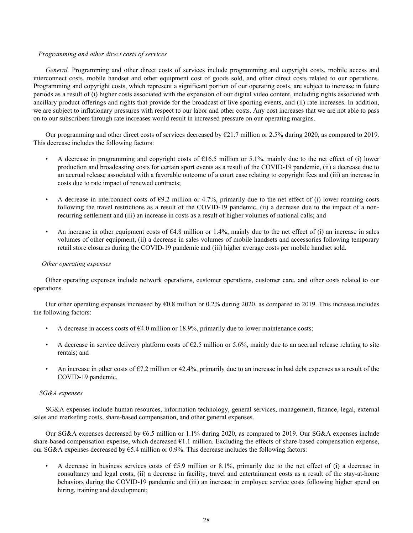# *Programming and other direct costs of services*

*General.* Programming and other direct costs of services include programming and copyright costs, mobile access and interconnect costs, mobile handset and other equipment cost of goods sold, and other direct costs related to our operations. Programming and copyright costs, which represent a significant portion of our operating costs, are subject to increase in future periods as a result of (i) higher costs associated with the expansion of our digital video content, including rights associated with ancillary product offerings and rights that provide for the broadcast of live sporting events, and (ii) rate increases. In addition, we are subject to inflationary pressures with respect to our labor and other costs. Any cost increases that we are not able to pass on to our subscribers through rate increases would result in increased pressure on our operating margins.

Our programming and other direct costs of services decreased by  $\epsilon$ 21.7 million or 2.5% during 2020, as compared to 2019. This decrease includes the following factors:

- A decrease in programming and copyright costs of  $\epsilon$ 16.5 million or 5.1%, mainly due to the net effect of (i) lower production and broadcasting costs for certain sport events as a result of the COVID-19 pandemic, (ii) a decrease due to an accrual release associated with a favorable outcome of a court case relating to copyright fees and (iii) an increase in costs due to rate impact of renewed contracts;
- A decrease in interconnect costs of  $\epsilon$ 9.2 million or 4.7%, primarily due to the net effect of (i) lower roaming costs following the travel restrictions as a result of the COVID-19 pandemic, (ii) a decrease due to the impact of a nonrecurring settlement and (iii) an increase in costs as a result of higher volumes of national calls; and
- An increase in other equipment costs of  $64.8$  million or 1.4%, mainly due to the net effect of (i) an increase in sales volumes of other equipment, (ii) a decrease in sales volumes of mobile handsets and accessories following temporary retail store closures during the COVID-19 pandemic and (iii) higher average costs per mobile handset sold.

#### *Other operating expenses*

Other operating expenses include network operations, customer operations, customer care, and other costs related to our operations.

Our other operating expenses increased by €0.8 million or 0.2% during 2020, as compared to 2019. This increase includes the following factors:

- A decrease in access costs of  $\epsilon$ 4.0 million or 18.9%, primarily due to lower maintenance costs;
- A decrease in service delivery platform costs of  $\epsilon$ 2.5 million or 5.6%, mainly due to an accrual release relating to site rentals; and
- An increase in other costs of  $\epsilon$ 7.2 million or 42.4%, primarily due to an increase in bad debt expenses as a result of the COVID-19 pandemic.

# *SG&A expenses*

SG&A expenses include human resources, information technology, general services, management, finance, legal, external sales and marketing costs, share-based compensation, and other general expenses.

Our SG&A expenses decreased by €6.5 million or 1.1% during 2020, as compared to 2019. Our SG&A expenses include share-based compensation expense, which decreased  $E1.1$  million. Excluding the effects of share-based compensation expense, our SG&A expenses decreased by  $\epsilon$ 5.4 million or 0.9%. This decrease includes the following factors:

A decrease in business services costs of  $65.9$  million or 8.1%, primarily due to the net effect of (i) a decrease in consultancy and legal costs, (ii) a decrease in facility, travel and entertainment costs as a result of the stay-at-home behaviors during the COVID-19 pandemic and (iii) an increase in employee service costs following higher spend on hiring, training and development;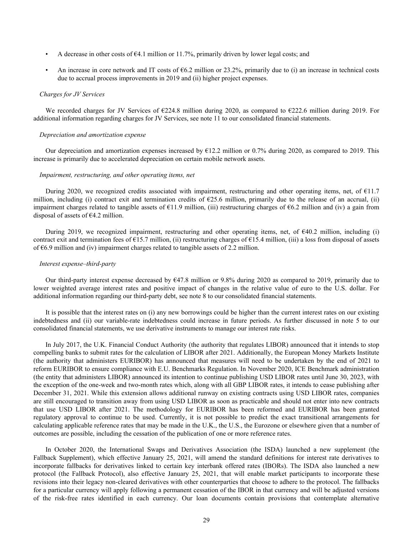- A decrease in other costs of  $64.1$  million or 11.7%, primarily driven by lower legal costs; and
- An increase in core network and IT costs of  $66.2$  million or 23.2%, primarily due to (i) an increase in technical costs due to accrual process improvements in 2019 and (ii) higher project expenses.

#### *Charges for JV Services*

We recorded charges for JV Services of €224.8 million during 2020, as compared to €222.6 million during 2019. For additional information regarding charges for JV Services, see note 11 to our consolidated financial statements.

#### *Depreciation and amortization expense*

Our depreciation and amortization expenses increased by  $\epsilon$ 12.2 million or 0.7% during 2020, as compared to 2019. This increase is primarily due to accelerated depreciation on certain mobile network assets.

#### *Impairment, restructuring, and other operating items, net*

During 2020, we recognized credits associated with impairment, restructuring and other operating items, net, of €11.7 million, including (i) contract exit and termination credits of  $E$ 25.6 million, primarily due to the release of an accrual, (ii) impairment charges related to tangible assets of  $\epsilon$ 11.9 million, (iii) restructuring charges of  $\epsilon$ 6.2 million and (iv) a gain from disposal of assets of  $\epsilon$ 4.2 million.

During 2019, we recognized impairment, restructuring and other operating items, net, of €40.2 million, including (i) contract exit and termination fees of  $\epsilon$ 15.7 million, (ii) restructuring charges of  $\epsilon$ 15.4 million, (iii) a loss from disposal of assets of €6.9 million and (iv) impairment charges related to tangible assets of 2.2 million.

#### *Interest expense–third-party*

Our third-party interest expense decreased by  $647.8$  million or 9.8% during 2020 as compared to 2019, primarily due to lower weighted average interest rates and positive impact of changes in the relative value of euro to the U.S. dollar. For additional information regarding our third-party debt, see note 8 to our consolidated financial statements.

It is possible that the interest rates on (i) any new borrowings could be higher than the current interest rates on our existing indebtedness and (ii) our variable-rate indebtedness could increase in future periods. As further discussed in note 5 to our consolidated financial statements, we use derivative instruments to manage our interest rate risks.

In July 2017, the U.K. Financial Conduct Authority (the authority that regulates LIBOR) announced that it intends to stop compelling banks to submit rates for the calculation of LIBOR after 2021. Additionally, the European Money Markets Institute (the authority that administers EURIBOR) has announced that measures will need to be undertaken by the end of 2021 to reform EURIBOR to ensure compliance with E.U. Benchmarks Regulation. In November 2020, ICE Benchmark administration (the entity that administers LIBOR) announced its intention to continue publishing USD LIBOR rates until June 30, 2023, with the exception of the one-week and two-month rates which, along with all GBP LIBOR rates, it intends to cease publishing after December 31, 2021. While this extension allows additional runway on existing contracts using USD LIBOR rates, companies are still encouraged to transition away from using USD LIBOR as soon as practicable and should not enter into new contracts that use USD LIBOR after 2021. The methodology for EURIBOR has been reformed and EURIBOR has been granted regulatory approval to continue to be used. Currently, it is not possible to predict the exact transitional arrangements for calculating applicable reference rates that may be made in the U.K., the U.S., the Eurozone or elsewhere given that a number of outcomes are possible, including the cessation of the publication of one or more reference rates.

In October 2020, the International Swaps and Derivatives Association (the ISDA) launched a new supplement (the Fallback Supplement), which effective January 25, 2021, will amend the standard definitions for interest rate derivatives to incorporate fallbacks for derivatives linked to certain key interbank offered rates (IBORs). The ISDA also launched a new protocol (the Fallback Protocol), also effective January 25, 2021, that will enable market participants to incorporate these revisions into their legacy non-cleared derivatives with other counterparties that choose to adhere to the protocol. The fallbacks for a particular currency will apply following a permanent cessation of the IBOR in that currency and will be adjusted versions of the risk-free rates identified in each currency. Our loan documents contain provisions that contemplate alternative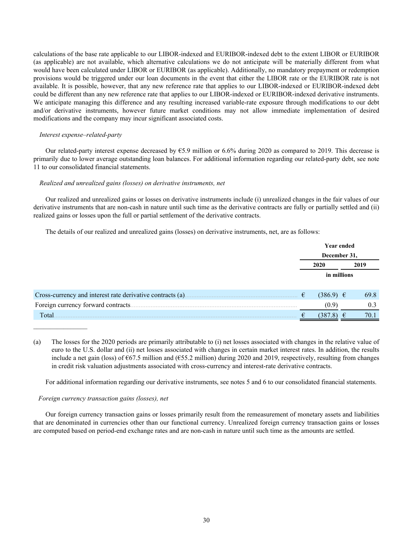calculations of the base rate applicable to our LIBOR-indexed and EURIBOR-indexed debt to the extent LIBOR or EURIBOR (as applicable) are not available, which alternative calculations we do not anticipate will be materially different from what would have been calculated under LIBOR or EURIBOR (as applicable). Additionally, no mandatory prepayment or redemption provisions would be triggered under our loan documents in the event that either the LIBOR rate or the EURIBOR rate is not available. It is possible, however, that any new reference rate that applies to our LIBOR-indexed or EURIBOR-indexed debt could be different than any new reference rate that applies to our LIBOR-indexed or EURIBOR-indexed derivative instruments. We anticipate managing this difference and any resulting increased variable-rate exposure through modifications to our debt and/or derivative instruments, however future market conditions may not allow immediate implementation of desired modifications and the company may incur significant associated costs.

# *Interest expense–related-party*

Our related-party interest expense decreased by  $\epsilon$ 5.9 million or 6.6% during 2020 as compared to 2019. This decrease is primarily due to lower average outstanding loan balances. For additional information regarding our related-party debt, see note 11 to our consolidated financial statements.

# *Realized and unrealized gains (losses) on derivative instruments, net*

Our realized and unrealized gains or losses on derivative instruments include (i) unrealized changes in the fair values of our derivative instruments that are non-cash in nature until such time as the derivative contracts are fully or partially settled and (ii) realized gains or losses upon the full or partial settlement of the derivative contracts.

The details of our realized and unrealized gains (losses) on derivative instruments, net, are as follows:

|                                                            | <b>Year ended</b><br>December 31, |               |      |      |
|------------------------------------------------------------|-----------------------------------|---------------|------|------|
|                                                            |                                   |               |      |      |
|                                                            | 2020                              |               | 2019 |      |
|                                                            | in millions                       |               |      |      |
|                                                            |                                   |               |      |      |
| Cross-currency and interest rate derivative contracts (a). |                                   | $(386.9) \in$ |      | 69.8 |
|                                                            |                                   | (0.9)         |      | 0.3  |
| Total                                                      |                                   | (387.8)       | ŧ    | 70.1 |

<sup>(</sup>a) The losses for the 2020 periods are primarily attributable to (i) net losses associated with changes in the relative value of euro to the U.S. dollar and (ii) net losses associated with changes in certain market interest rates. In addition, the results include a net gain (loss) of €67.5 million and (€55.2 million) during 2020 and 2019, respectively, resulting from changes in credit risk valuation adjustments associated with cross-currency and interest-rate derivative contracts.

For additional information regarding our derivative instruments, see notes 5 and 6 to our consolidated financial statements.

# *Foreign currency transaction gains (losses), net*

Our foreign currency transaction gains or losses primarily result from the remeasurement of monetary assets and liabilities that are denominated in currencies other than our functional currency. Unrealized foreign currency transaction gains or losses are computed based on period-end exchange rates and are non-cash in nature until such time as the amounts are settled.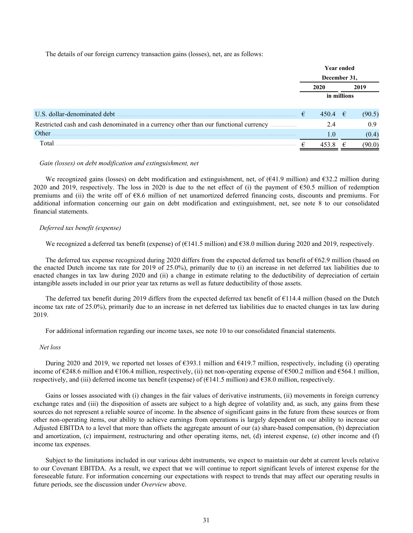The details of our foreign currency transaction gains (losses), net, are as follows:

|                                                                                        | <b>Year ended</b> |              |   |        |
|----------------------------------------------------------------------------------------|-------------------|--------------|---|--------|
|                                                                                        |                   | December 31, |   |        |
|                                                                                        | 2020              |              |   | 2019   |
|                                                                                        | in millions       |              |   |        |
|                                                                                        |                   |              |   |        |
| U.S. dollar-denominated debt                                                           | €                 | 450.4 $\in$  |   | (90.5) |
| Restricted cash and cash denominated in a currency other than our functional currency. |                   | 2.4          |   | 0.9    |
| Other.                                                                                 |                   | 1.0          |   | (0.4)  |
| Total                                                                                  | ⊨                 |              | € | 90.O   |

# *Gain (losses) on debt modification and extinguishment, net*

We recognized gains (losses) on debt modification and extinguishment, net, of  $(641.9 \text{ million})$  and  $632.2 \text{ million during}$ 2020 and 2019, respectively. The loss in 2020 is due to the net effect of (i) the payment of  $\epsilon$ 50.5 million of redemption premiums and (ii) the write off of  $68.6$  million of net unamortized deferred financing costs, discounts and premiums. For additional information concerning our gain on debt modification and extinguishment, net, see note 8 to our consolidated financial statements.

# *Deferred tax benefit (expense)*

We recognized a deferred tax benefit (expense) of (€141.5 million) and €38.0 million during 2020 and 2019, respectively.

The deferred tax expense recognized during 2020 differs from the expected deferred tax benefit of €62.9 million (based on the enacted Dutch income tax rate for 2019 of 25.0%), primarily due to (i) an increase in net deferred tax liabilities due to enacted changes in tax law during 2020 and (ii) a change in estimate relating to the deductibility of depreciation of certain intangible assets included in our prior year tax returns as well as future deductibility of those assets.

The deferred tax benefit during 2019 differs from the expected deferred tax benefit of €114.4 million (based on the Dutch income tax rate of 25.0%), primarily due to an increase in net deferred tax liabilities due to enacted changes in tax law during 2019.

For additional information regarding our income taxes, see note 10 to our consolidated financial statements.

# *Net loss*

During 2020 and 2019, we reported net losses of  $\epsilon$ 393.1 million and  $\epsilon$ 419.7 million, respectively, including (i) operating income of €248.6 million and €106.4 million, respectively, (ii) net non-operating expense of €500.2 million and €564.1 million, respectively, and (iii) deferred income tax benefit (expense) of (€141.5 million) and €38.0 million, respectively.

Gains or losses associated with (i) changes in the fair values of derivative instruments, (ii) movements in foreign currency exchange rates and (iii) the disposition of assets are subject to a high degree of volatility and, as such, any gains from these sources do not represent a reliable source of income. In the absence of significant gains in the future from these sources or from other non-operating items, our ability to achieve earnings from operations is largely dependent on our ability to increase our Adjusted EBITDA to a level that more than offsets the aggregate amount of our (a) share-based compensation, (b) depreciation and amortization, (c) impairment, restructuring and other operating items, net, (d) interest expense, (e) other income and (f) income tax expenses.

Subject to the limitations included in our various debt instruments, we expect to maintain our debt at current levels relative to our Covenant EBITDA. As a result, we expect that we will continue to report significant levels of interest expense for the foreseeable future. For information concerning our expectations with respect to trends that may affect our operating results in future periods, see the discussion under *Overview* above.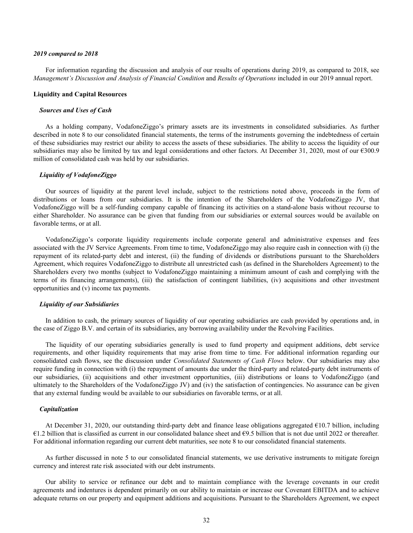#### *2019 compared to 2018*

For information regarding the discussion and analysis of our results of operations during 2019, as compared to 2018, see *Management's Discussion and Analysis of Financial Condition* and *Results of Operations* included in our 2019 annual report.

#### **Liquidity and Capital Resources**

# *Sources and Uses of Cash*

As a holding company, VodafoneZiggo's primary assets are its investments in consolidated subsidiaries. As further described in note 8 to our consolidated financial statements, the terms of the instruments governing the indebtedness of certain of these subsidiaries may restrict our ability to access the assets of these subsidiaries. The ability to access the liquidity of our subsidiaries may also be limited by tax and legal considerations and other factors. At December 31, 2020, most of our  $\epsilon$ 300.9 million of consolidated cash was held by our subsidiaries.

#### *Liquidity of VodafoneZiggo*

Our sources of liquidity at the parent level include, subject to the restrictions noted above, proceeds in the form of distributions or loans from our subsidiaries. It is the intention of the Shareholders of the VodafoneZiggo JV, that VodafoneZiggo will be a self-funding company capable of financing its activities on a stand-alone basis without recourse to either Shareholder. No assurance can be given that funding from our subsidiaries or external sources would be available on favorable terms, or at all.

VodafoneZiggo's corporate liquidity requirements include corporate general and administrative expenses and fees associated with the JV Service Agreements. From time to time, VodafoneZiggo may also require cash in connection with (i) the repayment of its related-party debt and interest, (ii) the funding of dividends or distributions pursuant to the Shareholders Agreement, which requires VodafoneZiggo to distribute all unrestricted cash (as defined in the Shareholders Agreement) to the Shareholders every two months (subject to VodafoneZiggo maintaining a minimum amount of cash and complying with the terms of its financing arrangements), (iii) the satisfaction of contingent liabilities, (iv) acquisitions and other investment opportunities and (v) income tax payments.

# *Liquidity of our Subsidiaries*

In addition to cash, the primary sources of liquidity of our operating subsidiaries are cash provided by operations and, in the case of Ziggo B.V. and certain of its subsidiaries, any borrowing availability under the Revolving Facilities.

The liquidity of our operating subsidiaries generally is used to fund property and equipment additions, debt service requirements, and other liquidity requirements that may arise from time to time. For additional information regarding our consolidated cash flows, see the discussion under *Consolidated Statements of Cash Flows* below. Our subsidiaries may also require funding in connection with (i) the repayment of amounts due under the third-party and related-party debt instruments of our subsidiaries, (ii) acquisitions and other investment opportunities, (iii) distributions or loans to VodafoneZiggo (and ultimately to the Shareholders of the VodafoneZiggo JV) and (iv) the satisfaction of contingencies. No assurance can be given that any external funding would be available to our subsidiaries on favorable terms, or at all.

# *Capitalization*

At December 31, 2020, our outstanding third-party debt and finance lease obligations aggregated €10.7 billion, including €1.2 billion that is classified as current in our consolidated balance sheet and €9.5 billion that is not due until 2022 or thereafter*.*  For additional information regarding our current debt maturities, see note 8 to our consolidated financial statements.

As further discussed in note 5 to our consolidated financial statements, we use derivative instruments to mitigate foreign currency and interest rate risk associated with our debt instruments.

Our ability to service or refinance our debt and to maintain compliance with the leverage covenants in our credit agreements and indentures is dependent primarily on our ability to maintain or increase our Covenant EBITDA and to achieve adequate returns on our property and equipment additions and acquisitions. Pursuant to the Shareholders Agreement, we expect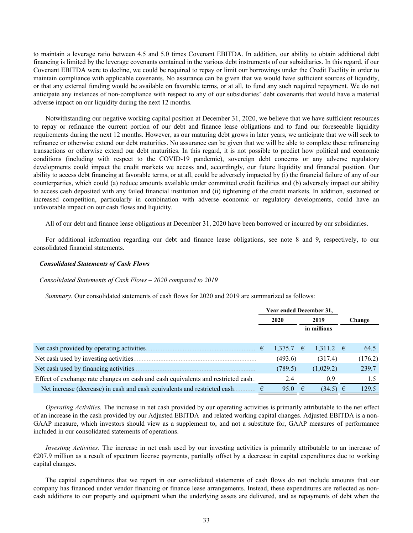to maintain a leverage ratio between 4.5 and 5.0 times Covenant EBITDA. In addition, our ability to obtain additional debt financing is limited by the leverage covenants contained in the various debt instruments of our subsidiaries. In this regard, if our Covenant EBITDA were to decline, we could be required to repay or limit our borrowings under the Credit Facility in order to maintain compliance with applicable covenants. No assurance can be given that we would have sufficient sources of liquidity, or that any external funding would be available on favorable terms, or at all, to fund any such required repayment. We do not anticipate any instances of non-compliance with respect to any of our subsidiaries' debt covenants that would have a material adverse impact on our liquidity during the next 12 months.

Notwithstanding our negative working capital position at December 31, 2020, we believe that we have sufficient resources to repay or refinance the current portion of our debt and finance lease obligations and to fund our foreseeable liquidity requirements during the next 12 months. However, as our maturing debt grows in later years, we anticipate that we will seek to refinance or otherwise extend our debt maturities. No assurance can be given that we will be able to complete these refinancing transactions or otherwise extend our debt maturities. In this regard, it is not possible to predict how political and economic conditions (including with respect to the COVID-19 pandemic), sovereign debt concerns or any adverse regulatory developments could impact the credit markets we access and, accordingly, our future liquidity and financial position. Our ability to access debt financing at favorable terms, or at all, could be adversely impacted by (i) the financial failure of any of our counterparties, which could (a) reduce amounts available under committed credit facilities and (b) adversely impact our ability to access cash deposited with any failed financial institution and (ii) tightening of the credit markets. In addition, sustained or increased competition, particularly in combination with adverse economic or regulatory developments, could have an unfavorable impact on our cash flows and liquidity.

All of our debt and finance lease obligations at December 31, 2020 have been borrowed or incurred by our subsidiaries.

For additional information regarding our debt and finance lease obligations, see note 8 and 9, respectively, to our consolidated financial statements.

# *Consolidated Statements of Cash Flows*

#### *Consolidated Statements of Cash Flows – 2020 compared to 2019*

*Summary.* Our consolidated statements of cash flows for 2020 and 2019 are summarized as follows:

|                                                                                   |   | Year ended December 31, |            |               |        |         |
|-----------------------------------------------------------------------------------|---|-------------------------|------------|---------------|--------|---------|
|                                                                                   |   | 2020<br>2019            |            |               | Change |         |
|                                                                                   |   | in millions             |            |               |        |         |
|                                                                                   |   |                         |            |               |        |         |
| Net cash provided by operating activities.                                        | € | 1,375.7 $\epsilon$      |            | 1.311.2 $\in$ |        | 64.5    |
| Net cash used by investing activities.                                            |   | (493.6)                 |            | (317.4)       |        | (176.2) |
| Net cash used by financing activities.                                            |   | (789.5)                 |            | (1,029.2)     |        | 239.7   |
| Effect of exchange rate changes on cash and cash equivalents and restricted cash. |   | 2.4                     |            | 0.9           |        |         |
| Net increase (decrease) in cash and cash equivalents and restricted cash.         |   | 95.0                    | $\epsilon$ | $(34.5) \in$  |        | 129.5   |

*Operating Activities.* The increase in net cash provided by our operating activities is primarily attributable to the net effect of an increase in the cash provided by our Adjusted EBITDA and related working capital changes. Adjusted EBITDA is a non-GAAP measure, which investors should view as a supplement to, and not a substitute for, GAAP measures of performance included in our consolidated statements of operations.

*Investing Activities.* The increase in net cash used by our investing activities is primarily attributable to an increase of €207.9 million as a result of spectrum license payments, partially offset by a decrease in capital expenditures due to working capital changes.

The capital expenditures that we report in our consolidated statements of cash flows do not include amounts that our company has financed under vendor financing or finance lease arrangements. Instead, these expenditures are reflected as noncash additions to our property and equipment when the underlying assets are delivered, and as repayments of debt when the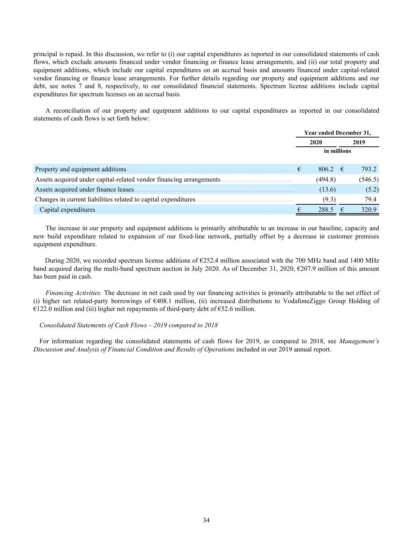principal is repaid. In this discussion, we refer to (i) our capital expenditures as reported in our consolidated statements of cash flows, which exclude amounts financed under vendor financing or finance lease arrangements, and (ii) our total property and equipment additions, which include our capital expenditures on an accrual basis and amounts financed under capital-related vendor financing or finance lease arrangements. For further details regarding our property and equipment additions and our debt, see notes 7 and 8, respectively, to our consolidated financial statements. Spectrum license additions include capital expenditures for spectrum licenses on an accrual basis.

A reconciliation of our property and equipment additions to our capital expenditures as reported in our consolidated statements of cash flows is set forth below:

|                                       |   | Year ended December 31, |   |         |
|---------------------------------------|---|-------------------------|---|---------|
|                                       |   | 2020                    |   | 2019    |
|                                       |   | in millions             |   |         |
| Property and equipment additions.     | € | 806.2 $\in$             |   | 793.2   |
|                                       |   | (494.8)                 |   | (546.5) |
| Assets acquired under finance leases. |   | (13.6)                  |   | (5.2)   |
|                                       |   | (9.3)                   |   | 79.4    |
| Capital expenditures.                 |   | 288.5                   | € | 320.9   |

The increase in our property and equipment additions is primarily attributable to an increase in our baseline, capacity and new build expenditure related to expansion of our fixed-line network, partially offset by a decrease in customer premises equipment expenditure.

During 2020, we recorded spectrum license additions of  $\epsilon$ 252.4 million associated with the 700 MHz band and 1400 MHz band acquired during the multi-band spectrum auction in July 2020. As of December 31, 2020, €207.9 million of this amount has been paid in cash.

*Financing Activities.* The decrease in net cash used by our financing activities is primarily attributable to the net effect of (i) higher net related-party borrowings of  $\epsilon$ 408.1 million, (ii) increased distributions to VodafoneZiggo Group Holding of  $\epsilon$ 122.0 million and (iii) higher net repayments of third-party debt of  $\epsilon$ 52.6 million.

# *Consolidated Statements of Cash Flows – 2019 compared to 2018*

For information regarding the consolidated statements of cash flows for 2019, as compared to 2018, see *Management's Discussion and Analysis of Financial Condition and Results of Operations* included in our 2019 annual report.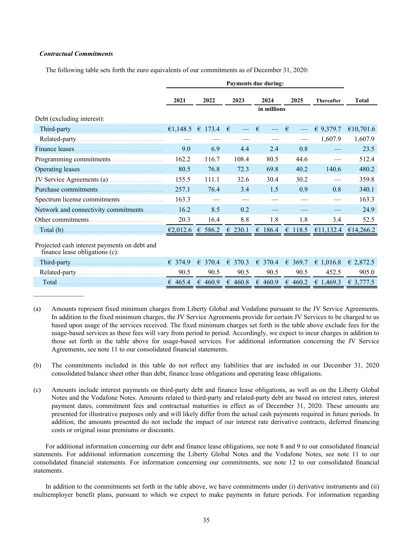# *Contractual Commitments*

The following table sets forth the euro equivalents of our commitments as of December 31, 2020:

|                                                                                | Payments due during: |                  |                  |                  |                  |                   |              |  |
|--------------------------------------------------------------------------------|----------------------|------------------|------------------|------------------|------------------|-------------------|--------------|--|
|                                                                                | 2021                 | 2022             | 2023             | 2024             | 2025             | <b>Thereafter</b> | <b>Total</b> |  |
|                                                                                |                      |                  |                  | in millions      |                  |                   |              |  |
| Debt (excluding interest):                                                     |                      |                  |                  |                  |                  |                   |              |  |
|                                                                                |                      |                  |                  | €                | €                | € 9,379.7         | €10,701.6    |  |
|                                                                                |                      |                  |                  |                  |                  | 1,607.9           | 1,607.9      |  |
|                                                                                | 9.0                  | 6.9              | 4.4              | 2.4              | 0.8              |                   | 23.5         |  |
|                                                                                | 162.2                | 116.7            | 108.4            | 80.5             | 44.6             |                   | 512.4        |  |
|                                                                                | 80.5                 | 76.8             | 72.3             | 69.8             | 40.2             | 140.6             | 480.2        |  |
| JV Service Agreements (a)                                                      | 155.5                | 111.1            | 32.6             | 30.4             | 30.2             |                   | 359.8        |  |
|                                                                                | 257.1                | 76.4             | 3.4              | 1.5              | 0.9              | 0.8               | 340.1        |  |
|                                                                                | 163.3                |                  |                  |                  |                  |                   | 163.3        |  |
| Network and connectivity commitments                                           | 16.2                 | 8.5              | 0.2              |                  |                  |                   | 24.9         |  |
|                                                                                | 20.3                 | 16.4             | 8.8              | 1.8              | 1.8              | 3.4               | 52.5         |  |
| Total (b) $\epsilon$ 2,012.6 $\epsilon$ 586.2                                  |                      |                  | $\epsilon$ 230.1 | $\epsilon$ 186.4 | $\epsilon$ 118.5 | €11,132.4         | €14,266.2    |  |
| Projected cash interest payments on debt and<br>finance lease obligations (c): |                      |                  |                  |                  |                  |                   |              |  |
|                                                                                | € 374.9              | $\epsilon$ 370.4 | € 370.3          | $\epsilon$ 370.4 | € 369.7          | € 1,016.8         | € 2,872.5    |  |
|                                                                                | 90.5                 | 90.5             | 90.5             | 90.5             | 90.5             | 452.5             | 905.0        |  |
| Total                                                                          | 6465.4               | € 460.9          | € 460.8          | € 460.9          | $\epsilon$ 460.2 | € 1,469.3         | € 3,777.5    |  |
|                                                                                |                      |                  |                  |                  |                  |                   |              |  |

- (a) Amounts represent fixed minimum charges from Liberty Global and Vodafone pursuant to the JV Service Agreements. In addition to the fixed minimum charges, the JV Service Agreements provide for certain JV Services to be charged to us based upon usage of the services received. The fixed minimum charges set forth in the table above exclude fees for the usage-based services as these fees will vary from period to period. Accordingly, we expect to incur charges in addition to those set forth in the table above for usage-based services. For additional information concerning the JV Service Agreements, see note 11 to our consolidated financial statements.
- (b) The commitments included in this table do not reflect any liabilities that are included in our December 31, 2020 consolidated balance sheet other than debt, finance lease obligations and operating lease obligations.
- (c) Amounts include interest payments on third-party debt and finance lease obligations, as well as on the Liberty Global Notes and the Vodafone Notes. Amounts related to third-party and related-party debt are based on interest rates, interest payment dates, commitment fees and contractual maturities in effect as of December 31, 2020. These amounts are presented for illustrative purposes only and will likely differ from the actual cash payments required in future periods. In addition, the amounts presented do not include the impact of our interest rate derivative contracts, deferred financing costs or original issue premiums or discounts.

For additional information concerning our debt and finance lease obligations, see note 8 and 9 to our consolidated financial statements. For additional information concerning the Liberty Global Notes and the Vodafone Notes, see note 11 to our consolidated financial statements. For information concerning our commitments, see note 12 to our consolidated financial statements.

In addition to the commitments set forth in the table above, we have commitments under (i) derivative instruments and (ii) multiemployer benefit plans, pursuant to which we expect to make payments in future periods. For information regarding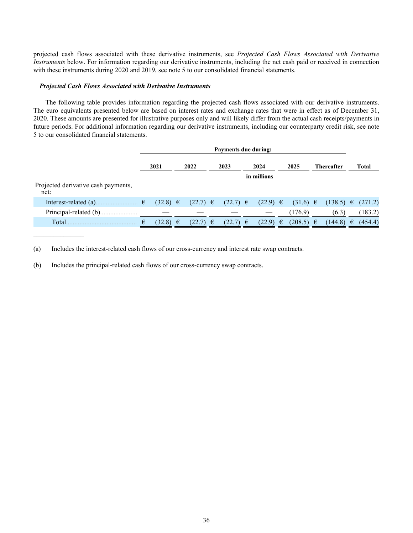projected cash flows associated with these derivative instruments, see *Projected Cash Flows Associated with Derivative Instruments* below. For information regarding our derivative instruments, including the net cash paid or received in connection with these instruments during 2020 and 2019, see note 5 to our consolidated financial statements.

### *Projected Cash Flows Associated with Derivative Instruments*

The following table provides information regarding the projected cash flows associated with our derivative instruments. The euro equivalents presented below are based on interest rates and exchange rates that were in effect as of December 31, 2020. These amounts are presented for illustrative purposes only and will likely differ from the actual cash receipts/payments in future periods. For additional information regarding our derivative instruments, including our counterparty credit risk, see note 5 to our consolidated financial statements.

|                                             |      | <b>Payments due during:</b> |   |              |  |                |  |              |   |               |  |                   |   |         |
|---------------------------------------------|------|-----------------------------|---|--------------|--|----------------|--|--------------|---|---------------|--|-------------------|---|---------|
|                                             | 2021 |                             |   | 2022         |  | 2023           |  | 2024         |   | 2025          |  | <b>Thereafter</b> |   | Total   |
|                                             |      |                             |   |              |  |                |  | in millions  |   |               |  |                   |   |         |
| Projected derivative cash payments,<br>net: |      |                             |   |              |  |                |  |              |   |               |  |                   |   |         |
| Interest-related (a).                       | €    | $(32.8) \in$                |   | $(22.7) \in$ |  | $(22.7)$ $\in$ |  | $(22.9) \in$ |   | $(31.6) \in$  |  | $(138.5) \in$     |   | (271.2) |
| Principal-related (b).                      |      |                             |   |              |  |                |  |              |   | (176.9)       |  | (6.3)             |   | (183.2) |
| Total.                                      | €    | (32.8)                      | € | $(22.7) \in$ |  | $(22.7) \in$   |  | (22.9)       | € | $(208.5) \in$ |  | (144.8)           | € | (454.4) |

(a) Includes the interest-related cash flows of our cross-currency and interest rate swap contracts.

(b) Includes the principal-related cash flows of our cross-currency swap contracts.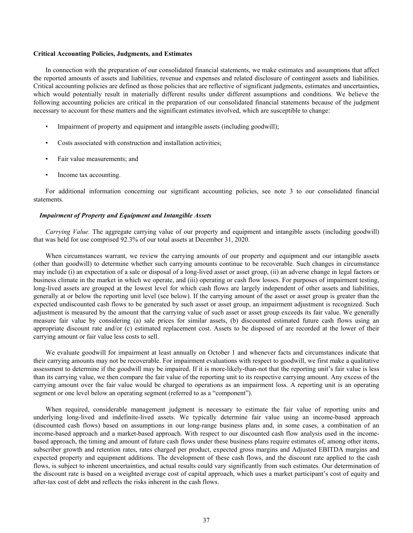#### **Critical Accounting Policies, Judgments, and Estimates**

In connection with the preparation of our consolidated financial statements, we make estimates and assumptions that affect the reported amounts of assets and liabilities, revenue and expenses and related disclosure of contingent assets and liabilities. Critical accounting policies are defined as those policies that are reflective of significant judgments, estimates and uncertainties, which would potentially result in materially different results under different assumptions and conditions. We believe the following accounting policies are critical in the preparation of our consolidated financial statements because of the judgment necessary to account for these matters and the significant estimates involved, which are susceptible to change:

- Impairment of property and equipment and intangible assets (including goodwill);
- Costs associated with construction and installation activities;
- Fair value measurements; and
- Income tax accounting.

For additional information concerning our significant accounting policies, see note 3 to our consolidated financial statements.

### *Impairment of Property and Equipment and Intangible Assets*

*Carrying Value.* The aggregate carrying value of our property and equipment and intangible assets (including goodwill) that was held for use comprised 92.3% of our total assets at December 31, 2020.

When circumstances warrant, we review the carrying amounts of our property and equipment and our intangible assets (other than goodwill) to determine whether such carrying amounts continue to be recoverable. Such changes in circumstance may include (i) an expectation of a sale or disposal of a long-lived asset or asset group, (ii) an adverse change in legal factors or business climate in the market in which we operate, and (iii) operating or cash flow losses. For purposes of impairment testing, long-lived assets are grouped at the lowest level for which cash flows are largely independent of other assets and liabilities, generally at or below the reporting unit level (see below). If the carrying amount of the asset or asset group is greater than the expected undiscounted cash flows to be generated by such asset or asset group, an impairment adjustment is recognized. Such adjustment is measured by the amount that the carrying value of such asset or asset group exceeds its fair value. We generally measure fair value by considering (a) sale prices for similar assets, (b) discounted estimated future cash flows using an appropriate discount rate and/or (c) estimated replacement cost. Assets to be disposed of are recorded at the lower of their carrying amount or fair value less costs to sell.

We evaluate goodwill for impairment at least annually on October 1 and whenever facts and circumstances indicate that their carrying amounts may not be recoverable. For impairment evaluations with respect to goodwill, we first make a qualitative assessment to determine if the goodwill may be impaired. If it is more-likely-than-not that the reporting unit's fair value is less than its carrying value, we then compare the fair value of the reporting unit to its respective carrying amount. Any excess of the carrying amount over the fair value would be charged to operations as an impairment loss. A reporting unit is an operating segment or one level below an operating segment (referred to as a "component").

When required, considerable management judgment is necessary to estimate the fair value of reporting units and underlying long-lived and indefinite-lived assets. We typically determine fair value using an income-based approach (discounted cash flows) based on assumptions in our long-range business plans and, in some cases, a combination of an income-based approach and a market-based approach. With respect to our discounted cash flow analysis used in the incomebased approach, the timing and amount of future cash flows under these business plans require estimates of, among other items, subscriber growth and retention rates, rates charged per product, expected gross margins and Adjusted EBITDA margins and expected property and equipment additions. The development of these cash flows, and the discount rate applied to the cash flows, is subject to inherent uncertainties, and actual results could vary significantly from such estimates. Our determination of the discount rate is based on a weighted average cost of capital approach, which uses a market participant's cost of equity and after-tax cost of debt and reflects the risks inherent in the cash flows.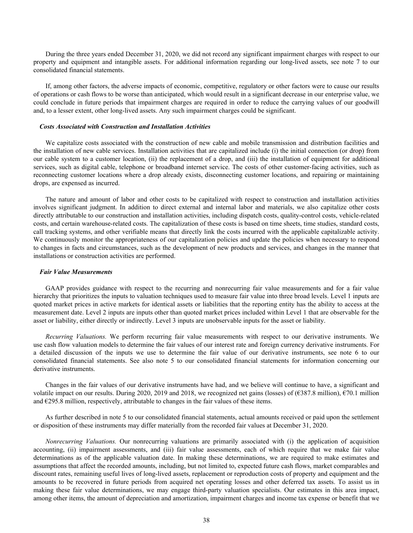During the three years ended December 31, 2020, we did not record any significant impairment charges with respect to our property and equipment and intangible assets. For additional information regarding our long-lived assets, see note 7 to our consolidated financial statements.

If, among other factors, the adverse impacts of economic, competitive, regulatory or other factors were to cause our results of operations or cash flows to be worse than anticipated, which would result in a significant decrease in our enterprise value, we could conclude in future periods that impairment charges are required in order to reduce the carrying values of our goodwill and, to a lesser extent, other long-lived assets. Any such impairment charges could be significant.

### *Costs Associated with Construction and Installation Activities*

We capitalize costs associated with the construction of new cable and mobile transmission and distribution facilities and the installation of new cable services. Installation activities that are capitalized include (i) the initial connection (or drop) from our cable system to a customer location, (ii) the replacement of a drop, and (iii) the installation of equipment for additional services, such as digital cable, telephone or broadband internet service. The costs of other customer-facing activities, such as reconnecting customer locations where a drop already exists, disconnecting customer locations, and repairing or maintaining drops, are expensed as incurred.

The nature and amount of labor and other costs to be capitalized with respect to construction and installation activities involves significant judgment. In addition to direct external and internal labor and materials, we also capitalize other costs directly attributable to our construction and installation activities, including dispatch costs, quality-control costs, vehicle-related costs, and certain warehouse-related costs. The capitalization of these costs is based on time sheets, time studies, standard costs, call tracking systems, and other verifiable means that directly link the costs incurred with the applicable capitalizable activity. We continuously monitor the appropriateness of our capitalization policies and update the policies when necessary to respond to changes in facts and circumstances, such as the development of new products and services, and changes in the manner that installations or construction activities are performed.

#### *Fair Value Measurements*

GAAP provides guidance with respect to the recurring and nonrecurring fair value measurements and for a fair value hierarchy that prioritizes the inputs to valuation techniques used to measure fair value into three broad levels. Level 1 inputs are quoted market prices in active markets for identical assets or liabilities that the reporting entity has the ability to access at the measurement date. Level 2 inputs are inputs other than quoted market prices included within Level 1 that are observable for the asset or liability, either directly or indirectly. Level 3 inputs are unobservable inputs for the asset or liability.

*Recurring Valuations.* We perform recurring fair value measurements with respect to our derivative instruments. We use cash flow valuation models to determine the fair values of our interest rate and foreign currency derivative instruments. For a detailed discussion of the inputs we use to determine the fair value of our derivative instruments, see note 6 to our consolidated financial statements. See also note 5 to our consolidated financial statements for information concerning our derivative instruments.

Changes in the fair values of our derivative instruments have had, and we believe will continue to have, a significant and volatile impact on our results. During 2020, 2019 and 2018, we recognized net gains (losses) of  $(\text{\textsterling}387.8 \text{ million}), \text{\textsterling}70.1 \text{ million}$ and  $\epsilon$ 295.8 million, respectively, attributable to changes in the fair values of these items.

As further described in note 5 to our consolidated financial statements, actual amounts received or paid upon the settlement or disposition of these instruments may differ materially from the recorded fair values at December 31, 2020.

*Nonrecurring Valuations.* Our nonrecurring valuations are primarily associated with (i) the application of acquisition accounting, (ii) impairment assessments, and (iii) fair value assessments, each of which require that we make fair value determinations as of the applicable valuation date. In making these determinations, we are required to make estimates and assumptions that affect the recorded amounts, including, but not limited to, expected future cash flows, market comparables and discount rates, remaining useful lives of long-lived assets, replacement or reproduction costs of property and equipment and the amounts to be recovered in future periods from acquired net operating losses and other deferred tax assets. To assist us in making these fair value determinations, we may engage third-party valuation specialists. Our estimates in this area impact, among other items, the amount of depreciation and amortization, impairment charges and income tax expense or benefit that we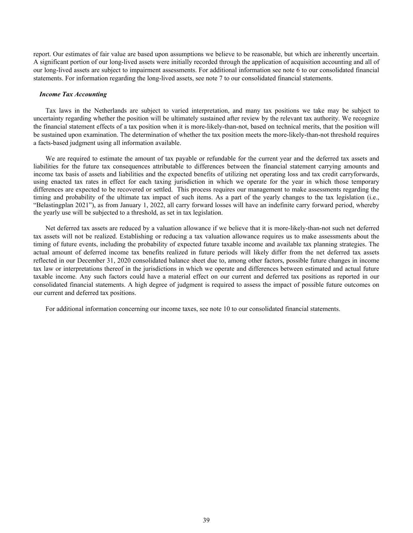report. Our estimates of fair value are based upon assumptions we believe to be reasonable, but which are inherently uncertain. A significant portion of our long-lived assets were initially recorded through the application of acquisition accounting and all of our long-lived assets are subject to impairment assessments. For additional information see note 6 to our consolidated financial statements. For information regarding the long-lived assets, see note 7 to our consolidated financial statements.

#### *Income Tax Accounting*

Tax laws in the Netherlands are subject to varied interpretation, and many tax positions we take may be subject to uncertainty regarding whether the position will be ultimately sustained after review by the relevant tax authority. We recognize the financial statement effects of a tax position when it is more-likely-than-not, based on technical merits, that the position will be sustained upon examination. The determination of whether the tax position meets the more-likely-than-not threshold requires a facts-based judgment using all information available.

We are required to estimate the amount of tax payable or refundable for the current year and the deferred tax assets and liabilities for the future tax consequences attributable to differences between the financial statement carrying amounts and income tax basis of assets and liabilities and the expected benefits of utilizing net operating loss and tax credit carryforwards, using enacted tax rates in effect for each taxing jurisdiction in which we operate for the year in which those temporary differences are expected to be recovered or settled. This process requires our management to make assessments regarding the timing and probability of the ultimate tax impact of such items. As a part of the yearly changes to the tax legislation (i.e., "Belastingplan 2021"), as from January 1, 2022, all carry forward losses will have an indefinite carry forward period, whereby the yearly use will be subjected to a threshold, as set in tax legislation.

Net deferred tax assets are reduced by a valuation allowance if we believe that it is more-likely-than-not such net deferred tax assets will not be realized. Establishing or reducing a tax valuation allowance requires us to make assessments about the timing of future events, including the probability of expected future taxable income and available tax planning strategies. The actual amount of deferred income tax benefits realized in future periods will likely differ from the net deferred tax assets reflected in our December 31, 2020 consolidated balance sheet due to, among other factors, possible future changes in income tax law or interpretations thereof in the jurisdictions in which we operate and differences between estimated and actual future taxable income. Any such factors could have a material effect on our current and deferred tax positions as reported in our consolidated financial statements. A high degree of judgment is required to assess the impact of possible future outcomes on our current and deferred tax positions.

For additional information concerning our income taxes, see note 10 to our consolidated financial statements.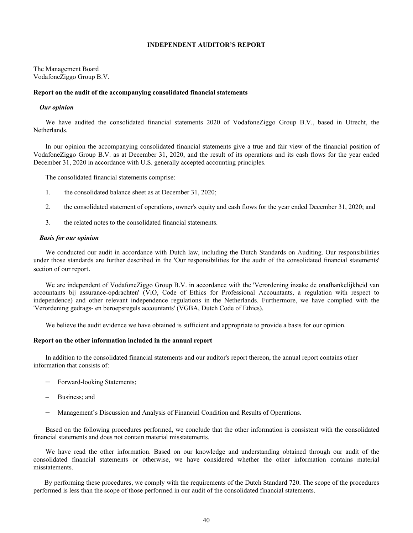### **INDEPENDENT AUDITOR'S REPORT**

The Management Board VodafoneZiggo Group B.V.

### **Report on the audit of the accompanying consolidated financial statements**

### *Our opinion*

We have audited the consolidated financial statements 2020 of VodafoneZiggo Group B.V., based in Utrecht, the Netherlands.

In our opinion the accompanying consolidated financial statements give a true and fair view of the financial position of VodafoneZiggo Group B.V. as at December 31, 2020, and the result of its operations and its cash flows for the year ended December 31, 2020 in accordance with U.S. generally accepted accounting principles.

The consolidated financial statements comprise:

- 1. the consolidated balance sheet as at December 31, 2020;
- 2. the consolidated statement of operations, owner's equity and cash flows for the year ended December 31, 2020; and
- 3. the related notes to the consolidated financial statements.

### *Basis for our opinion*

We conducted our audit in accordance with Dutch law, including the Dutch Standards on Auditing. Our responsibilities under those standards are further described in the 'Our responsibilities for the audit of the consolidated financial statements' section of our report.

We are independent of VodafoneZiggo Group B.V. in accordance with the 'Verordening inzake de onafhankelijkheid van accountants bij assurance-opdrachten' (ViO, Code of Ethics for Professional Accountants, a regulation with respect to independence) and other relevant independence regulations in the Netherlands. Furthermore, we have complied with the 'Verordening gedrags- en beroepsregels accountants' (VGBA, Dutch Code of Ethics).

We believe the audit evidence we have obtained is sufficient and appropriate to provide a basis for our opinion.

### **Report on the other information included in the annual report**

In addition to the consolidated financial statements and our auditor's report thereon, the annual report contains other information that consists of:

- Forward-looking Statements;
- Business; and
- Management's Discussion and Analysis of Financial Condition and Results of Operations.

Based on the following procedures performed, we conclude that the other information is consistent with the consolidated financial statements and does not contain material misstatements.

We have read the other information. Based on our knowledge and understanding obtained through our audit of the consolidated financial statements or otherwise, we have considered whether the other information contains material misstatements.

 By performing these procedures, we comply with the requirements of the Dutch Standard 720. The scope of the procedures performed is less than the scope of those performed in our audit of the consolidated financial statements.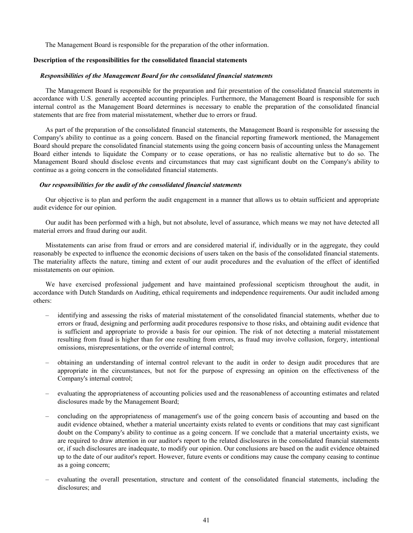The Management Board is responsible for the preparation of the other information.

### **Description of the responsibilities for the consolidated financial statements**

#### *Responsibilities of the Management Board for the consolidated financial statements*

The Management Board is responsible for the preparation and fair presentation of the consolidated financial statements in accordance with U.S. generally accepted accounting principles. Furthermore, the Management Board is responsible for such internal control as the Management Board determines is necessary to enable the preparation of the consolidated financial statements that are free from material misstatement, whether due to errors or fraud.

As part of the preparation of the consolidated financial statements, the Management Board is responsible for assessing the Company's ability to continue as a going concern. Based on the financial reporting framework mentioned, the Management Board should prepare the consolidated financial statements using the going concern basis of accounting unless the Management Board either intends to liquidate the Company or to cease operations, or has no realistic alternative but to do so. The Management Board should disclose events and circumstances that may cast significant doubt on the Company's ability to continue as a going concern in the consolidated financial statements.

### *Our responsibilities for the audit of the consolidated financial statements*

Our objective is to plan and perform the audit engagement in a manner that allows us to obtain sufficient and appropriate audit evidence for our opinion.

Our audit has been performed with a high, but not absolute, level of assurance, which means we may not have detected all material errors and fraud during our audit.

Misstatements can arise from fraud or errors and are considered material if, individually or in the aggregate, they could reasonably be expected to influence the economic decisions of users taken on the basis of the consolidated financial statements. The materiality affects the nature, timing and extent of our audit procedures and the evaluation of the effect of identified misstatements on our opinion.

We have exercised professional judgement and have maintained professional scepticism throughout the audit, in accordance with Dutch Standards on Auditing, ethical requirements and independence requirements. Our audit included among others:

- identifying and assessing the risks of material misstatement of the consolidated financial statements, whether due to errors or fraud, designing and performing audit procedures responsive to those risks, and obtaining audit evidence that is sufficient and appropriate to provide a basis for our opinion. The risk of not detecting a material misstatement resulting from fraud is higher than for one resulting from errors, as fraud may involve collusion, forgery, intentional omissions, misrepresentations, or the override of internal control;
- obtaining an understanding of internal control relevant to the audit in order to design audit procedures that are appropriate in the circumstances, but not for the purpose of expressing an opinion on the effectiveness of the Company's internal control;
- evaluating the appropriateness of accounting policies used and the reasonableness of accounting estimates and related disclosures made by the Management Board;
- concluding on the appropriateness of management's use of the going concern basis of accounting and based on the audit evidence obtained, whether a material uncertainty exists related to events or conditions that may cast significant doubt on the Company's ability to continue as a going concern. If we conclude that a material uncertainty exists, we are required to draw attention in our auditor's report to the related disclosures in the consolidated financial statements or, if such disclosures are inadequate, to modify our opinion. Our conclusions are based on the audit evidence obtained up to the date of our auditor's report. However, future events or conditions may cause the company ceasing to continue as a going concern;
- evaluating the overall presentation, structure and content of the consolidated financial statements, including the disclosures; and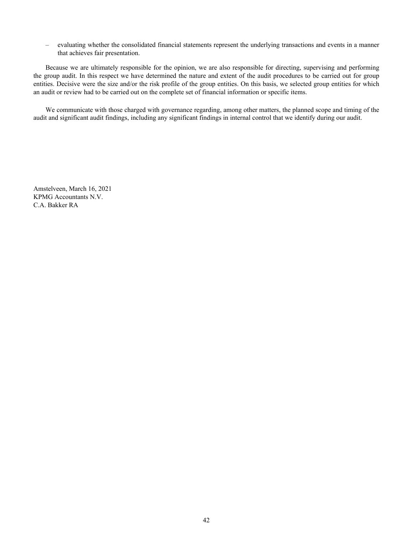– evaluating whether the consolidated financial statements represent the underlying transactions and events in a manner that achieves fair presentation.

Because we are ultimately responsible for the opinion, we are also responsible for directing, supervising and performing the group audit. In this respect we have determined the nature and extent of the audit procedures to be carried out for group entities. Decisive were the size and/or the risk profile of the group entities. On this basis, we selected group entities for which an audit or review had to be carried out on the complete set of financial information or specific items.

We communicate with those charged with governance regarding, among other matters, the planned scope and timing of the audit and significant audit findings, including any significant findings in internal control that we identify during our audit.

Amstelveen, March 16, 2021 KPMG Accountants N.V. C.A. Bakker RA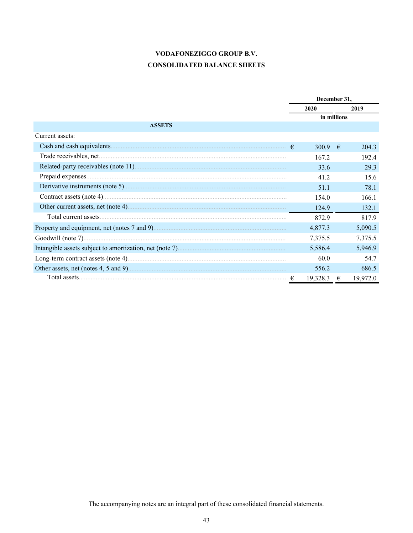# VODAFONEZIGGO GROUP B.V. **CONSOLIDATED BALANCE SHEETS**

|                 | December 31, |             |          |  |
|-----------------|--------------|-------------|----------|--|
|                 | 2020         |             | 2019     |  |
|                 | in millions  |             |          |  |
| <b>ASSETS</b>   |              |             |          |  |
| Current assets: |              |             |          |  |
|                 | 300.9        | $-\epsilon$ | 2043     |  |
|                 | 167.2        |             | 192.4    |  |
|                 | 33.6         |             | 29.3     |  |
|                 | 41.2         |             | 15.6     |  |
|                 | 51.1         |             | 78.1     |  |
|                 | 1540         |             | 166.1    |  |
|                 | 124.9        |             | 132.1    |  |
|                 | 872.9        |             | 817.9    |  |
|                 | 4,877.3      |             | 5,090.5  |  |
|                 | 7,375.5      |             | 7,375.5  |  |
|                 | 5,586.4      |             | 5,946.9  |  |
|                 | 60.0         |             | 54.7     |  |
|                 | 556.2        |             | 686.5    |  |
|                 | 19,328.3     | €           | 19,972.0 |  |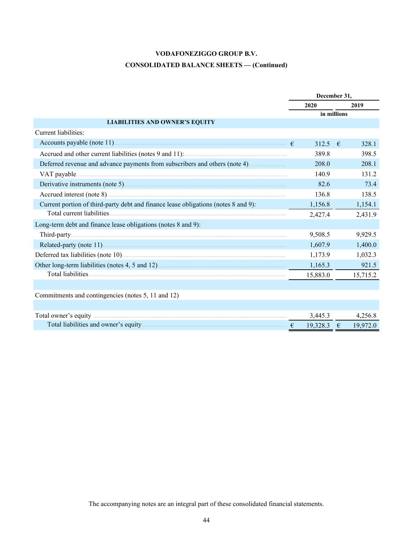# **CONSOLIDATED BALANCE SHEETS — (Continued)**

|                                                                                    |              | December 31, |
|------------------------------------------------------------------------------------|--------------|--------------|
|                                                                                    | 2020         | 2019         |
|                                                                                    |              | in millions  |
| <b>LIABILITIES AND OWNER'S EQUITY</b>                                              |              |              |
| Current liabilities:                                                               |              |              |
|                                                                                    | 312.5 $\in$  | 328.1        |
|                                                                                    | 389.8        | 398.5        |
|                                                                                    | 208.0        | 208.1        |
|                                                                                    | 140.9        | 131.2        |
|                                                                                    | 82.6         | 73.4         |
|                                                                                    | 136.8        | 138.5        |
| Current portion of third-party debt and finance lease obligations (notes 8 and 9): | 1,156.8      | 1,154.1      |
|                                                                                    | 2,427.4      | 2,431.9      |
| Long-term debt and finance lease obligations (notes 8 and 9):                      |              |              |
|                                                                                    | 9,508.5      | 9,929.5      |
|                                                                                    | 1,607.9      | 1,400.0      |
|                                                                                    | 1,173.9      | 1,032.3      |
|                                                                                    | 1,165.3      | 921.5        |
|                                                                                    | 15,883.0     | 15,715.2     |
|                                                                                    |              |              |
| Commitments and contingencies (notes 5, 11 and 12)                                 |              |              |
|                                                                                    |              |              |
|                                                                                    | 3,445.3      | 4,256.8      |
|                                                                                    | $19,328.3$ € | 19,972.0     |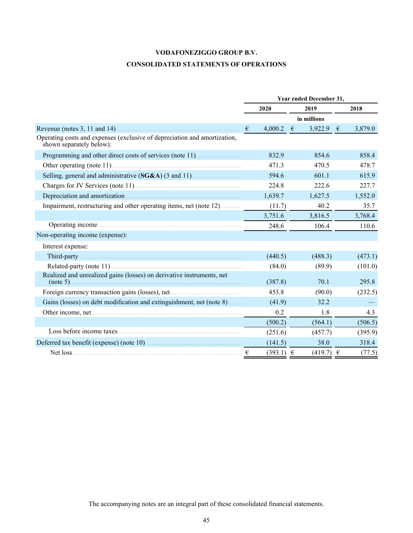# **VODAFONEZIGGO GROUP B.V. CONSOLIDATED STATEMENTS OF OPERATIONS**

|                                                                                                                                                                                                                                     | Year ended December 31, |               |  |               |  |         |  |
|-------------------------------------------------------------------------------------------------------------------------------------------------------------------------------------------------------------------------------------|-------------------------|---------------|--|---------------|--|---------|--|
|                                                                                                                                                                                                                                     |                         | 2020          |  | 2019          |  | 2018    |  |
|                                                                                                                                                                                                                                     |                         |               |  | in millions   |  |         |  |
|                                                                                                                                                                                                                                     | $\epsilon$              | 4,000.2 $\in$ |  | 3,922.9 $\in$ |  | 3,879.0 |  |
| Operating costs and expenses (exclusive of depreciation and amortization,<br>shown separately below):                                                                                                                               |                         |               |  |               |  |         |  |
| Programming and other direct costs of services (note 11).                                                                                                                                                                           |                         | 832.9         |  | 854.6         |  | 858.4   |  |
|                                                                                                                                                                                                                                     |                         | 471.3         |  | 470.5         |  | 478.7   |  |
|                                                                                                                                                                                                                                     |                         | 594.6         |  | 601.1         |  | 615.9   |  |
|                                                                                                                                                                                                                                     |                         | 224.8         |  | 222.6         |  | 227.7   |  |
|                                                                                                                                                                                                                                     |                         | 1,639.7       |  | 1,627.5       |  | 1,552.0 |  |
| Impairment, restructuring and other operating items, net (note 12)                                                                                                                                                                  |                         | (11.7)        |  | 40.2          |  | 35.7    |  |
|                                                                                                                                                                                                                                     |                         | 3,751.6       |  | 3,816.5       |  | 3,768.4 |  |
| Operating income <i>manual communication</i> of the contract of the contract of the contract of the contract of the contract of the contract of the contract of the contract of the contract of the contract of the contract of the |                         | 248.6         |  | 106.4         |  | 110.6   |  |
| Non-operating income (expense):                                                                                                                                                                                                     |                         |               |  |               |  |         |  |
| Interest expense:                                                                                                                                                                                                                   |                         |               |  |               |  |         |  |
|                                                                                                                                                                                                                                     |                         | (440.5)       |  | (488.3)       |  | (473.1) |  |
|                                                                                                                                                                                                                                     |                         | (84.0)        |  | (89.9)        |  | (101.0) |  |
| Realized and unrealized gains (losses) on derivative instruments, net                                                                                                                                                               |                         | (387.8)       |  | 70.1          |  | 295.8   |  |
|                                                                                                                                                                                                                                     |                         | 453.8         |  | (90.0)        |  | (232.5) |  |
| Gains (losses) on debt modification and extinguishment, net (note 8)                                                                                                                                                                |                         | (41.9)        |  | 32.2          |  |         |  |
|                                                                                                                                                                                                                                     |                         | 0.2           |  | 1.8           |  | 4.3     |  |
|                                                                                                                                                                                                                                     |                         | (500.2)       |  | (564.1)       |  | (506.5) |  |
|                                                                                                                                                                                                                                     |                         | (251.6)       |  | (457.7)       |  | (395.9) |  |
|                                                                                                                                                                                                                                     |                         | (141.5)       |  | 38.0          |  | 318.4   |  |
|                                                                                                                                                                                                                                     | €                       | $(393.1) \in$ |  | $(419.7)$ €   |  | (77.5)  |  |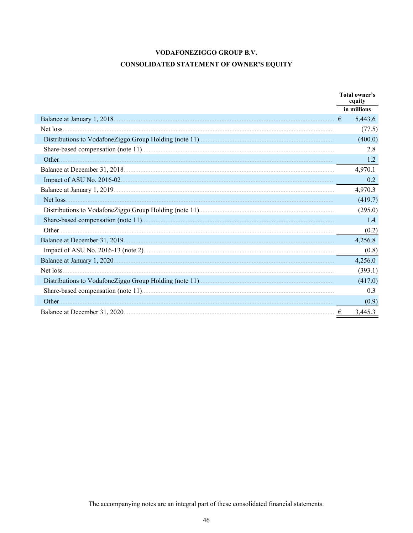# **CONSOLIDATED STATEMENT OF OWNER'S EQUITY**

|           |   | Total owner's<br>equity |
|-----------|---|-------------------------|
|           |   | in millions             |
|           | € | 5,443.6                 |
| Net loss. |   | (77.5)                  |
|           |   | (400.0)                 |
|           |   | 2.8                     |
| Other     |   | 1.2                     |
|           |   | 4,970.1                 |
|           |   | 0.2                     |
|           |   | 4,970.3                 |
| Net loss. |   | (419.7)                 |
|           |   | (295.0)                 |
|           |   | 1.4                     |
|           |   | (0.2)                   |
|           |   | 4,256.8                 |
|           |   | (0.8)                   |
|           |   | 4,256.0                 |
|           |   | (393.1)                 |
|           |   | (417.0)                 |
|           |   | 0.3                     |
|           |   | (0.9)                   |
|           | € | 3,445.3                 |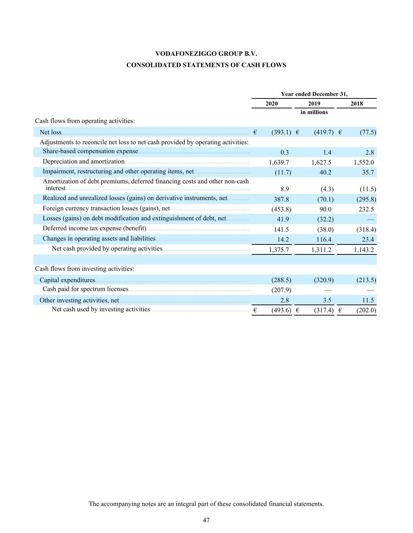# **CONSOLIDATED STATEMENTS OF CASH FLOWS**

|                                                                                         | Year ended December 31, |               |         |  |  |  |
|-----------------------------------------------------------------------------------------|-------------------------|---------------|---------|--|--|--|
|                                                                                         | 2020                    | 2019          | 2018    |  |  |  |
|                                                                                         |                         | in millions   |         |  |  |  |
| Cash flows from operating activities:                                                   |                         |               |         |  |  |  |
| Net loss.                                                                               | $(393.1) \in$<br>€      | $(419.7) \in$ | (77.5)  |  |  |  |
| Adjustments to reconcile net loss to net cash provided by operating activities:         |                         |               |         |  |  |  |
|                                                                                         | 0.3                     | 1.4           | 2.8     |  |  |  |
|                                                                                         | 1,639.7                 | 1,627.5       | 1,552.0 |  |  |  |
|                                                                                         | (11.7)                  | 40.2          | 35.7    |  |  |  |
| Amortization of debt premiums, deferred financing costs and other non-cash<br>interest. | 8.9                     | (4.3)         | (11.5)  |  |  |  |
| Realized and unrealized losses (gains) on derivative instruments, net                   | 387.8                   | (70.1)        | (295.8) |  |  |  |
|                                                                                         | (453.8)                 | 90.0          | 232.5   |  |  |  |
| Losses (gains) on debt modification and extinguishment of debt, net                     | 41.9                    | (32.2)        |         |  |  |  |
|                                                                                         | 141.5                   | (38.0)        | (318.4) |  |  |  |
|                                                                                         | 14.2                    | 116.4         | 23.4    |  |  |  |
|                                                                                         | 1,375.7                 | 1,311.2       | 1,143.2 |  |  |  |
|                                                                                         |                         |               |         |  |  |  |
| Cash flows from investing activities:                                                   |                         |               |         |  |  |  |
|                                                                                         | (288.5)                 | (320.9)       | (213.5) |  |  |  |
|                                                                                         | (207.9)                 |               |         |  |  |  |
|                                                                                         | 2.8                     | 3.5           | 11.5    |  |  |  |
|                                                                                         | $(493.6) \in$           | $(317.4) \in$ | (202.0) |  |  |  |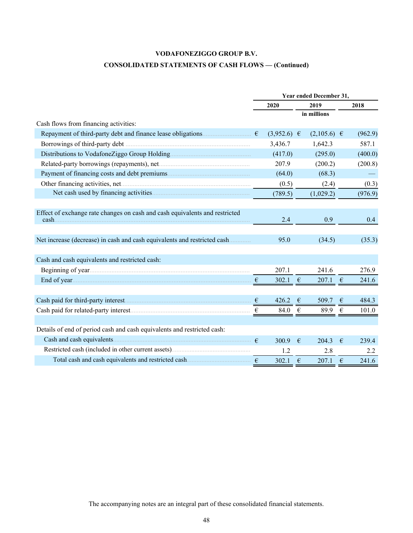# **CONSOLIDATED STATEMENTS OF CASH FLOWS — (Continued)**

|                                                                                      | Year ended December 31, |                 |            |                 |            |         |  |
|--------------------------------------------------------------------------------------|-------------------------|-----------------|------------|-----------------|------------|---------|--|
|                                                                                      |                         | 2020            |            | 2019            |            | 2018    |  |
|                                                                                      |                         |                 |            | in millions     |            |         |  |
| Cash flows from financing activities:                                                |                         |                 |            |                 |            |         |  |
| Repayment of third-party debt and finance lease obligations $\epsilon$               |                         | $(3,952.6) \in$ |            | $(2,105.6) \in$ |            | (962.9) |  |
|                                                                                      |                         | 3,436.7         |            | 1,642.3         |            | 587.1   |  |
|                                                                                      |                         | (417.0)         |            | (295.0)         |            | (400.0) |  |
|                                                                                      |                         | 207.9           |            | (200.2)         |            | (200.8) |  |
|                                                                                      |                         | (64.0)          |            | (68.3)          |            |         |  |
|                                                                                      |                         | (0.5)           |            | (2.4)           |            | (0.3)   |  |
|                                                                                      |                         | (789.5)         |            | (1,029.2)       |            | (976.9) |  |
|                                                                                      |                         |                 |            |                 |            |         |  |
| Effect of exchange rate changes on cash and cash equivalents and restricted<br>cash. |                         | 2.4             |            | 0.9             |            | 0.4     |  |
|                                                                                      |                         |                 |            |                 |            |         |  |
| Net increase (decrease) in cash and cash equivalents and restricted cash             |                         | 95.0            |            | (34.5)          |            | (35.3)  |  |
|                                                                                      |                         |                 |            |                 |            |         |  |
| Cash and cash equivalents and restricted cash:                                       |                         |                 |            |                 |            |         |  |
|                                                                                      |                         | 207.1           |            | 241.6           |            | 276.9   |  |
|                                                                                      |                         | 302.1 $\in$     |            | 207.1           | $\epsilon$ | 241.6   |  |
|                                                                                      |                         |                 |            |                 |            |         |  |
|                                                                                      |                         | 426.2           | €          | 509.7           | $\epsilon$ | 484.3   |  |
|                                                                                      |                         | 84.0            | $\epsilon$ | 89.9            | $\epsilon$ | 101.0   |  |
|                                                                                      |                         |                 |            |                 |            |         |  |
| Details of end of period cash and cash equivalents and restricted cash:              |                         |                 |            |                 |            |         |  |
|                                                                                      |                         | 300.9           | €          | 204.3           | €          | 239.4   |  |
|                                                                                      |                         | 1.2             |            | 2.8             |            | 2.2     |  |
| Total cash and cash equivalents and restricted cash $\epsilon$                       |                         | 302.1           | €          | 207.1           | €          | 241.6   |  |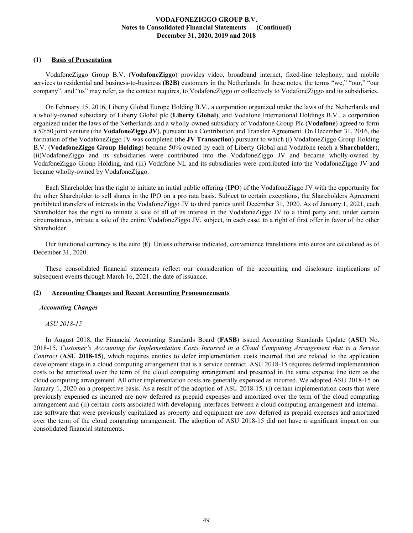### **(1) Basis of Presentation**

VodafoneZiggo Group B.V. (**VodafoneZiggo**) provides video, broadband internet, fixed-line telephony, and mobile services to residential and business-to-business **(B2B)** customers in the Netherlands. In these notes, the terms "we," "our," "our company", and "us" may refer, as the context requires, to VodafoneZiggo or collectively to VodafoneZiggo and its subsidiaries.

On February 15, 2016, Liberty Global Europe Holding B.V., a corporation organized under the laws of the Netherlands and a wholly-owned subsidiary of Liberty Global plc (**Liberty Global**), and Vodafone International Holdings B.V., a corporation organized under the laws of the Netherlands and a wholly-owned subsidiary of Vodafone Group Plc (**Vodafone**) agreed to form a 50:50 joint venture (the **VodafoneZiggo JV**), pursuant to a Contribution and Transfer Agreement. On December 31, 2016, the formation of the VodafoneZiggo JV was completed (the **JV Transaction**) pursuant to which (i) VodafoneZiggo Group Holding B.V. (**VodafoneZiggo Group Holding**) became 50% owned by each of Liberty Global and Vodafone (each a **Shareholder**), (ii)VodafoneZiggo and its subsidiaries were contributed into the VodafoneZiggo JV and became wholly-owned by VodafoneZiggo Group Holding, and (iii) Vodafone NL and its subsidiaries were contributed into the VodafoneZiggo JV and became wholly-owned by VodafoneZiggo.

Each Shareholder has the right to initiate an initial public offering (**IPO**) of the VodafoneZiggo JV with the opportunity for the other Shareholder to sell shares in the IPO on a pro rata basis. Subject to certain exceptions, the Shareholders Agreement prohibited transfers of interests in the VodafoneZiggo JV to third parties until December 31, 2020. As of January 1, 2021, each Shareholder has the right to initiate a sale of all of its interest in the VodafoneZiggo JV to a third party and, under certain circumstances, initiate a sale of the entire VodafoneZiggo JV, subject, in each case, to a right of first offer in favor of the other Shareholder.

Our functional currency is the euro (**€**). Unless otherwise indicated, convenience translations into euros are calculated as of December 31, 2020.

These consolidated financial statements reflect our consideration of the accounting and disclosure implications of subsequent events through March 16, 2021, the date of issuance.

### **(2) Accounting Changes and Recent Accounting Pronouncements**

#### *Accounting Changes*

#### *ASU 2018-15*

In August 2018, the Financial Accounting Standards Board (**FASB**) issued Accounting Standards Update (**ASU**) No. 2018-15, *Customer's Accounting for Implementation Costs Incurred in a Cloud Computing Arrangement that is a Service Contract* (**ASU 2018-15**), which requires entities to defer implementation costs incurred that are related to the application development stage in a cloud computing arrangement that is a service contract. ASU 2018-15 requires deferred implementation costs to be amortized over the term of the cloud computing arrangement and presented in the same expense line item as the cloud computing arrangement. All other implementation costs are generally expensed as incurred. We adopted ASU 2018-15 on January 1, 2020 on a prospective basis. As a result of the adoption of ASU 2018-15, (i) certain implementation costs that were previously expensed as incurred are now deferred as prepaid expenses and amortized over the term of the cloud computing arrangement and (ii) certain costs associated with developing interfaces between a cloud computing arrangement and internaluse software that were previously capitalized as property and equipment are now deferred as prepaid expenses and amortized over the term of the cloud computing arrangement. The adoption of ASU 2018-15 did not have a significant impact on our consolidated financial statements.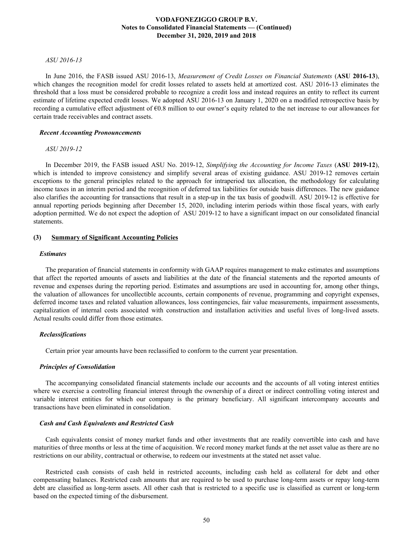#### *ASU 2016-13*

In June 2016, the FASB issued ASU 2016-13, *Measurement of Credit Losses on Financial Statements* (**ASU 2016-13**), which changes the recognition model for credit losses related to assets held at amortized cost. ASU 2016-13 eliminates the threshold that a loss must be considered probable to recognize a credit loss and instead requires an entity to reflect its current estimate of lifetime expected credit losses. We adopted ASU 2016-13 on January 1, 2020 on a modified retrospective basis by recording a cumulative effect adjustment of  $\epsilon$ 0.8 million to our owner's equity related to the net increase to our allowances for certain trade receivables and contract assets.

#### *Recent Accounting Pronouncements*

#### *ASU 2019-12*

In December 2019, the FASB issued ASU No. 2019-12, *Simplifying the Accounting for Income Taxes* (**ASU 2019-12**), which is intended to improve consistency and simplify several areas of existing guidance. ASU 2019-12 removes certain exceptions to the general principles related to the approach for intraperiod tax allocation, the methodology for calculating income taxes in an interim period and the recognition of deferred tax liabilities for outside basis differences. The new guidance also clarifies the accounting for transactions that result in a step-up in the tax basis of goodwill. ASU 2019-12 is effective for annual reporting periods beginning after December 15, 2020, including interim periods within those fiscal years, with early adoption permitted. We do not expect the adoption of ASU 2019-12 to have a significant impact on our consolidated financial statements.

### **(3) Summary of Significant Accounting Policies**

#### *Estimates*

The preparation of financial statements in conformity with GAAP requires management to make estimates and assumptions that affect the reported amounts of assets and liabilities at the date of the financial statements and the reported amounts of revenue and expenses during the reporting period. Estimates and assumptions are used in accounting for, among other things, the valuation of allowances for uncollectible accounts, certain components of revenue, programming and copyright expenses, deferred income taxes and related valuation allowances, loss contingencies, fair value measurements, impairment assessments, capitalization of internal costs associated with construction and installation activities and useful lives of long-lived assets. Actual results could differ from those estimates.

#### *Reclassifications*

Certain prior year amounts have been reclassified to conform to the current year presentation.

#### *Principles of Consolidation*

The accompanying consolidated financial statements include our accounts and the accounts of all voting interest entities where we exercise a controlling financial interest through the ownership of a direct or indirect controlling voting interest and variable interest entities for which our company is the primary beneficiary. All significant intercompany accounts and transactions have been eliminated in consolidation.

#### *Cash and Cash Equivalents and Restricted Cash*

Cash equivalents consist of money market funds and other investments that are readily convertible into cash and have maturities of three months or less at the time of acquisition. We record money market funds at the net asset value as there are no restrictions on our ability, contractual or otherwise, to redeem our investments at the stated net asset value.

Restricted cash consists of cash held in restricted accounts, including cash held as collateral for debt and other compensating balances. Restricted cash amounts that are required to be used to purchase long-term assets or repay long-term debt are classified as long-term assets. All other cash that is restricted to a specific use is classified as current or long-term based on the expected timing of the disbursement.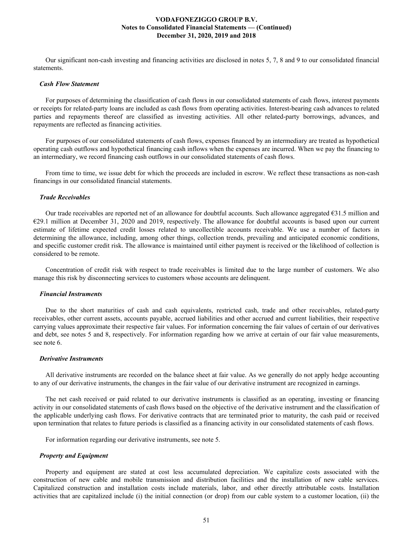Our significant non-cash investing and financing activities are disclosed in notes 5, 7, 8 and 9 to our consolidated financial statements.

#### *Cash Flow Statement*

For purposes of determining the classification of cash flows in our consolidated statements of cash flows, interest payments or receipts for related-party loans are included as cash flows from operating activities. Interest-bearing cash advances to related parties and repayments thereof are classified as investing activities. All other related-party borrowings, advances, and repayments are reflected as financing activities.

For purposes of our consolidated statements of cash flows, expenses financed by an intermediary are treated as hypothetical operating cash outflows and hypothetical financing cash inflows when the expenses are incurred. When we pay the financing to an intermediary, we record financing cash outflows in our consolidated statements of cash flows.

From time to time, we issue debt for which the proceeds are included in escrow. We reflect these transactions as non-cash financings in our consolidated financial statements.

#### *Trade Receivables*

Our trade receivables are reported net of an allowance for doubtful accounts. Such allowance aggregated €31.5 million and €29.1 million at December 31, 2020 and 2019, respectively. The allowance for doubtful accounts is based upon our current estimate of lifetime expected credit losses related to uncollectible accounts receivable. We use a number of factors in determining the allowance, including, among other things, collection trends, prevailing and anticipated economic conditions, and specific customer credit risk. The allowance is maintained until either payment is received or the likelihood of collection is considered to be remote.

Concentration of credit risk with respect to trade receivables is limited due to the large number of customers. We also manage this risk by disconnecting services to customers whose accounts are delinquent.

#### *Financial Instruments*

Due to the short maturities of cash and cash equivalents, restricted cash, trade and other receivables, related-party receivables, other current assets, accounts payable, accrued liabilities and other accrued and current liabilities, their respective carrying values approximate their respective fair values. For information concerning the fair values of certain of our derivatives and debt, see notes 5 and 8, respectively. For information regarding how we arrive at certain of our fair value measurements, see note 6.

#### *Derivative Instruments*

All derivative instruments are recorded on the balance sheet at fair value. As we generally do not apply hedge accounting to any of our derivative instruments, the changes in the fair value of our derivative instrument are recognized in earnings.

The net cash received or paid related to our derivative instruments is classified as an operating, investing or financing activity in our consolidated statements of cash flows based on the objective of the derivative instrument and the classification of the applicable underlying cash flows. For derivative contracts that are terminated prior to maturity, the cash paid or received upon termination that relates to future periods is classified as a financing activity in our consolidated statements of cash flows.

For information regarding our derivative instruments, see note 5.

#### *Property and Equipment*

Property and equipment are stated at cost less accumulated depreciation. We capitalize costs associated with the construction of new cable and mobile transmission and distribution facilities and the installation of new cable services. Capitalized construction and installation costs include materials, labor, and other directly attributable costs. Installation activities that are capitalized include (i) the initial connection (or drop) from our cable system to a customer location, (ii) the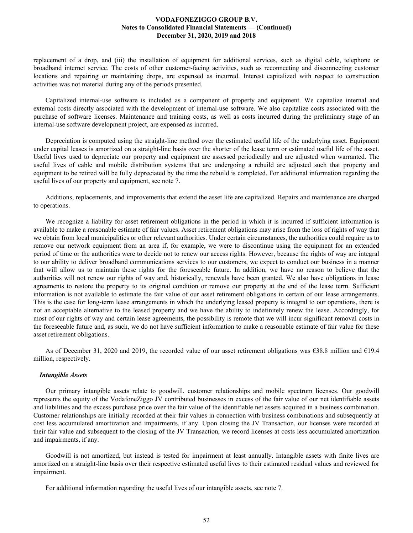replacement of a drop, and (iii) the installation of equipment for additional services, such as digital cable, telephone or broadband internet service. The costs of other customer-facing activities, such as reconnecting and disconnecting customer locations and repairing or maintaining drops, are expensed as incurred. Interest capitalized with respect to construction activities was not material during any of the periods presented.

Capitalized internal-use software is included as a component of property and equipment. We capitalize internal and external costs directly associated with the development of internal-use software. We also capitalize costs associated with the purchase of software licenses. Maintenance and training costs, as well as costs incurred during the preliminary stage of an internal-use software development project, are expensed as incurred.

Depreciation is computed using the straight-line method over the estimated useful life of the underlying asset. Equipment under capital leases is amortized on a straight-line basis over the shorter of the lease term or estimated useful life of the asset. Useful lives used to depreciate our property and equipment are assessed periodically and are adjusted when warranted. The useful lives of cable and mobile distribution systems that are undergoing a rebuild are adjusted such that property and equipment to be retired will be fully depreciated by the time the rebuild is completed. For additional information regarding the useful lives of our property and equipment, see note 7.

Additions, replacements, and improvements that extend the asset life are capitalized. Repairs and maintenance are charged to operations.

We recognize a liability for asset retirement obligations in the period in which it is incurred if sufficient information is available to make a reasonable estimate of fair values. Asset retirement obligations may arise from the loss of rights of way that we obtain from local municipalities or other relevant authorities. Under certain circumstances, the authorities could require us to remove our network equipment from an area if, for example, we were to discontinue using the equipment for an extended period of time or the authorities were to decide not to renew our access rights. However, because the rights of way are integral to our ability to deliver broadband communications services to our customers, we expect to conduct our business in a manner that will allow us to maintain these rights for the foreseeable future. In addition, we have no reason to believe that the authorities will not renew our rights of way and, historically, renewals have been granted. We also have obligations in lease agreements to restore the property to its original condition or remove our property at the end of the lease term. Sufficient information is not available to estimate the fair value of our asset retirement obligations in certain of our lease arrangements. This is the case for long-term lease arrangements in which the underlying leased property is integral to our operations, there is not an acceptable alternative to the leased property and we have the ability to indefinitely renew the lease. Accordingly, for most of our rights of way and certain lease agreements, the possibility is remote that we will incur significant removal costs in the foreseeable future and, as such, we do not have sufficient information to make a reasonable estimate of fair value for these asset retirement obligations.

As of December 31, 2020 and 2019, the recorded value of our asset retirement obligations was  $\epsilon$ 38.8 million and  $\epsilon$ 19.4 million, respectively.

### *Intangible Assets*

Our primary intangible assets relate to goodwill, customer relationships and mobile spectrum licenses. Our goodwill represents the equity of the VodafoneZiggo JV contributed businesses in excess of the fair value of our net identifiable assets and liabilities and the excess purchase price over the fair value of the identifiable net assets acquired in a business combination. Customer relationships are initially recorded at their fair values in connection with business combinations and subsequently at cost less accumulated amortization and impairments, if any. Upon closing the JV Transaction, our licenses were recorded at their fair value and subsequent to the closing of the JV Transaction, we record licenses at costs less accumulated amortization and impairments, if any.

Goodwill is not amortized, but instead is tested for impairment at least annually. Intangible assets with finite lives are amortized on a straight-line basis over their respective estimated useful lives to their estimated residual values and reviewed for impairment.

For additional information regarding the useful lives of our intangible assets, see note 7.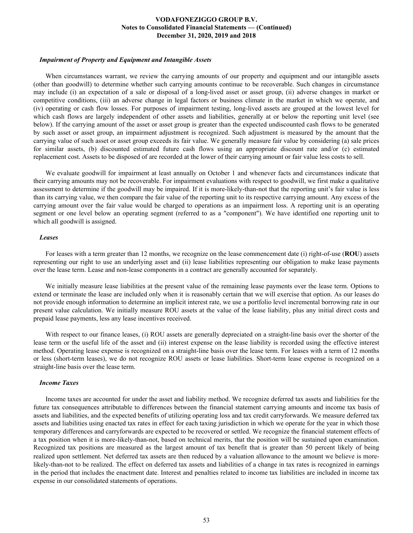#### *Impairment of Property and Equipment and Intangible Assets*

When circumstances warrant, we review the carrying amounts of our property and equipment and our intangible assets (other than goodwill) to determine whether such carrying amounts continue to be recoverable. Such changes in circumstance may include (i) an expectation of a sale or disposal of a long-lived asset or asset group, (ii) adverse changes in market or competitive conditions, (iii) an adverse change in legal factors or business climate in the market in which we operate, and (iv) operating or cash flow losses. For purposes of impairment testing, long-lived assets are grouped at the lowest level for which cash flows are largely independent of other assets and liabilities, generally at or below the reporting unit level (see below). If the carrying amount of the asset or asset group is greater than the expected undiscounted cash flows to be generated by such asset or asset group, an impairment adjustment is recognized. Such adjustment is measured by the amount that the carrying value of such asset or asset group exceeds its fair value. We generally measure fair value by considering (a) sale prices for similar assets, (b) discounted estimated future cash flows using an appropriate discount rate and/or (c) estimated replacement cost. Assets to be disposed of are recorded at the lower of their carrying amount or fair value less costs to sell.

We evaluate goodwill for impairment at least annually on October 1 and whenever facts and circumstances indicate that their carrying amounts may not be recoverable. For impairment evaluations with respect to goodwill, we first make a qualitative assessment to determine if the goodwill may be impaired. If it is more-likely-than-not that the reporting unit's fair value is less than its carrying value, we then compare the fair value of the reporting unit to its respective carrying amount. Any excess of the carrying amount over the fair value would be charged to operations as an impairment loss. A reporting unit is an operating segment or one level below an operating segment (referred to as a "component"). We have identified one reporting unit to which all goodwill is assigned.

#### *Leases*

For leases with a term greater than 12 months, we recognize on the lease commencement date (i) right-of-use (**ROU**) assets representing our right to use an underlying asset and (ii) lease liabilities representing our obligation to make lease payments over the lease term. Lease and non-lease components in a contract are generally accounted for separately.

We initially measure lease liabilities at the present value of the remaining lease payments over the lease term. Options to extend or terminate the lease are included only when it is reasonably certain that we will exercise that option. As our leases do not provide enough information to determine an implicit interest rate, we use a portfolio level incremental borrowing rate in our present value calculation. We initially measure ROU assets at the value of the lease liability, plus any initial direct costs and prepaid lease payments, less any lease incentives received.

With respect to our finance leases, (i) ROU assets are generally depreciated on a straight-line basis over the shorter of the lease term or the useful life of the asset and (ii) interest expense on the lease liability is recorded using the effective interest method. Operating lease expense is recognized on a straight-line basis over the lease term. For leases with a term of 12 months or less (short-term leases), we do not recognize ROU assets or lease liabilities. Short-term lease expense is recognized on a straight-line basis over the lease term.

#### *Income Taxes*

Income taxes are accounted for under the asset and liability method. We recognize deferred tax assets and liabilities for the future tax consequences attributable to differences between the financial statement carrying amounts and income tax basis of assets and liabilities, and the expected benefits of utilizing operating loss and tax credit carryforwards. We measure deferred tax assets and liabilities using enacted tax rates in effect for each taxing jurisdiction in which we operate for the year in which those temporary differences and carryforwards are expected to be recovered or settled. We recognize the financial statement effects of a tax position when it is more-likely-than-not, based on technical merits, that the position will be sustained upon examination. Recognized tax positions are measured as the largest amount of tax benefit that is greater than 50 percent likely of being realized upon settlement. Net deferred tax assets are then reduced by a valuation allowance to the amount we believe is morelikely-than-not to be realized. The effect on deferred tax assets and liabilities of a change in tax rates is recognized in earnings in the period that includes the enactment date. Interest and penalties related to income tax liabilities are included in income tax expense in our consolidated statements of operations.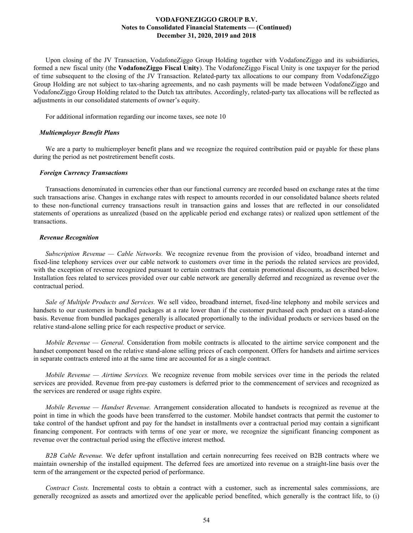Upon closing of the JV Transaction, VodafoneZiggo Group Holding together with VodafoneZiggo and its subsidiaries, formed a new fiscal unity (the **VodafoneZiggo Fiscal Unity**). The VodafoneZiggo Fiscal Unity is one taxpayer for the period of time subsequent to the closing of the JV Transaction. Related-party tax allocations to our company from VodafoneZiggo Group Holding are not subject to tax-sharing agreements, and no cash payments will be made between VodafoneZiggo and VodafoneZiggo Group Holding related to the Dutch tax attributes. Accordingly, related-party tax allocations will be reflected as adjustments in our consolidated statements of owner's equity.

For additional information regarding our income taxes, see note 10

#### *Multiemployer Benefit Plans*

We are a party to multiemployer benefit plans and we recognize the required contribution paid or payable for these plans during the period as net postretirement benefit costs.

### *Foreign Currency Transactions*

Transactions denominated in currencies other than our functional currency are recorded based on exchange rates at the time such transactions arise. Changes in exchange rates with respect to amounts recorded in our consolidated balance sheets related to these non-functional currency transactions result in transaction gains and losses that are reflected in our consolidated statements of operations as unrealized (based on the applicable period end exchange rates) or realized upon settlement of the transactions.

### *Revenue Recognition*

*Subscription Revenue — Cable Networks.* We recognize revenue from the provision of video, broadband internet and fixed-line telephony services over our cable network to customers over time in the periods the related services are provided, with the exception of revenue recognized pursuant to certain contracts that contain promotional discounts, as described below. Installation fees related to services provided over our cable network are generally deferred and recognized as revenue over the contractual period.

*Sale of Multiple Products and Services.* We sell video, broadband internet, fixed-line telephony and mobile services and handsets to our customers in bundled packages at a rate lower than if the customer purchased each product on a stand-alone basis. Revenue from bundled packages generally is allocated proportionally to the individual products or services based on the relative stand-alone selling price for each respective product or service.

*Mobile Revenue — General.* Consideration from mobile contracts is allocated to the airtime service component and the handset component based on the relative stand-alone selling prices of each component. Offers for handsets and airtime services in separate contracts entered into at the same time are accounted for as a single contract.

*Mobile Revenue — Airtime Services.* We recognize revenue from mobile services over time in the periods the related services are provided. Revenue from pre-pay customers is deferred prior to the commencement of services and recognized as the services are rendered or usage rights expire.

*Mobile Revenue — Handset Revenue.* Arrangement consideration allocated to handsets is recognized as revenue at the point in time in which the goods have been transferred to the customer. Mobile handset contracts that permit the customer to take control of the handset upfront and pay for the handset in installments over a contractual period may contain a significant financing component. For contracts with terms of one year or more, we recognize the significant financing component as revenue over the contractual period using the effective interest method.

*B2B Cable Revenue.* We defer upfront installation and certain nonrecurring fees received on B2B contracts where we maintain ownership of the installed equipment. The deferred fees are amortized into revenue on a straight-line basis over the term of the arrangement or the expected period of performance.

*Contract Costs.* Incremental costs to obtain a contract with a customer, such as incremental sales commissions, are generally recognized as assets and amortized over the applicable period benefited, which generally is the contract life, to (i)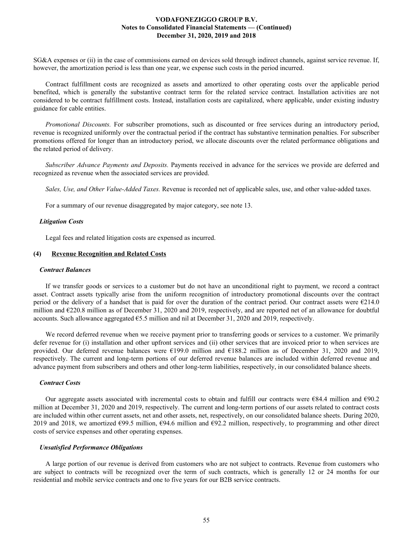SG&A expenses or (ii) in the case of commissions earned on devices sold through indirect channels, against service revenue. If, however, the amortization period is less than one year, we expense such costs in the period incurred.

Contract fulfillment costs are recognized as assets and amortized to other operating costs over the applicable period benefited, which is generally the substantive contract term for the related service contract. Installation activities are not considered to be contract fulfillment costs. Instead, installation costs are capitalized, where applicable, under existing industry guidance for cable entities.

*Promotional Discounts.* For subscriber promotions, such as discounted or free services during an introductory period, revenue is recognized uniformly over the contractual period if the contract has substantive termination penalties. For subscriber promotions offered for longer than an introductory period, we allocate discounts over the related performance obligations and the related period of delivery.

*Subscriber Advance Payments and Deposits.* Payments received in advance for the services we provide are deferred and recognized as revenue when the associated services are provided.

*Sales, Use, and Other Value-Added Taxes.* Revenue is recorded net of applicable sales, use, and other value-added taxes.

For a summary of our revenue disaggregated by major category, see note 13.

### *Litigation Costs*

Legal fees and related litigation costs are expensed as incurred.

### **(4) Revenue Recognition and Related Costs**

#### *Contract Balances*

If we transfer goods or services to a customer but do not have an unconditional right to payment, we record a contract asset. Contract assets typically arise from the uniform recognition of introductory promotional discounts over the contract period or the delivery of a handset that is paid for over the duration of the contract period. Our contract assets were  $\epsilon$ 214.0 million and €220.8 million as of December 31, 2020 and 2019, respectively, and are reported net of an allowance for doubtful accounts. Such allowance aggregated €5.5 million and nil at December 31, 2020 and 2019, respectively.

We record deferred revenue when we receive payment prior to transferring goods or services to a customer. We primarily defer revenue for (i) installation and other upfront services and (ii) other services that are invoiced prior to when services are provided. Our deferred revenue balances were €199.0 million and €188.2 million as of December 31, 2020 and 2019, respectively. The current and long-term portions of our deferred revenue balances are included within deferred revenue and advance payment from subscribers and others and other long-term liabilities, respectively, in our consolidated balance sheets.

### *Contract Costs*

Our aggregate assets associated with incremental costs to obtain and fulfill our contracts were  $684.4$  million and  $690.2$ million at December 31, 2020 and 2019, respectively. The current and long-term portions of our assets related to contract costs are included within other current assets, net and other assets, net, respectively, on our consolidated balance sheets. During 2020, 2019 and 2018, we amortized  $\epsilon$ 99.5 million,  $\epsilon$ 94.6 million and  $\epsilon$ 92.2 million, respectively, to programming and other direct costs of service expenses and other operating expenses.

#### *Unsatisfied Performance Obligations*

A large portion of our revenue is derived from customers who are not subject to contracts. Revenue from customers who are subject to contracts will be recognized over the term of such contracts, which is generally 12 or 24 months for our residential and mobile service contracts and one to five years for our B2B service contracts.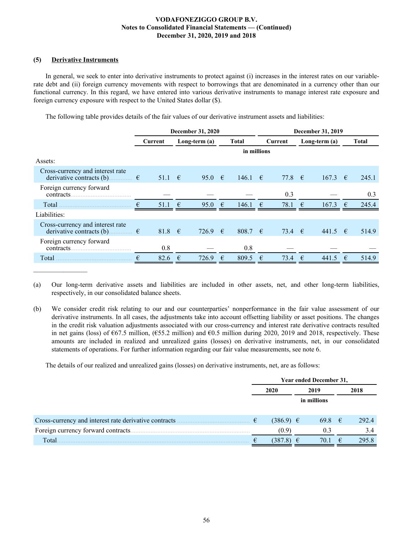### **(5) Derivative Instruments**

In general, we seek to enter into derivative instruments to protect against (i) increases in the interest rates on our variablerate debt and (ii) foreign currency movements with respect to borrowings that are denominated in a currency other than our functional currency. In this regard, we have entered into various derivative instruments to manage interest rate exposure and foreign currency exposure with respect to the United States dollar (\$).

The following table provides details of the fair values of our derivative instrument assets and liabilities:

|                                                                                                                              | December 31, 2020 |                 |               |                 |            |              |            | December 31, 2019 |            |               |            |              |  |
|------------------------------------------------------------------------------------------------------------------------------|-------------------|-----------------|---------------|-----------------|------------|--------------|------------|-------------------|------------|---------------|------------|--------------|--|
|                                                                                                                              | Current           |                 | Long-term (a) |                 |            | <b>Total</b> |            | Current           |            | Long-term (a) |            | <b>Total</b> |  |
|                                                                                                                              |                   |                 |               |                 |            | in millions  |            |                   |            |               |            |              |  |
| Assets:                                                                                                                      |                   |                 |               |                 |            |              |            |                   |            |               |            |              |  |
| Cross-currency and interest rate<br>derivative contracts (b).<br>$\begin{matrix} \dots & \dots & \dots & \dots \end{matrix}$ |                   | 51.1 $\epsilon$ |               | 95.0 $\epsilon$ |            | 146.1 $\in$  |            | 77.8 $\epsilon$   |            | 167.3         | €          | 245.1        |  |
| Foreign currency forward<br>contracts.                                                                                       |                   |                 |               |                 |            |              |            | 0.3               |            |               |            | 0.3          |  |
| Total                                                                                                                        | €                 | 51.1            | $\epsilon$    | 95.0            | $\epsilon$ | 146.1        | €          | 78.1              | $\epsilon$ | 167.3         | $\epsilon$ | 245.4        |  |
| Liabilities:                                                                                                                 |                   |                 |               |                 |            |              |            |                   |            |               |            |              |  |
| Cross-currency and interest rate<br>derivative contracts (b) $\qquad \qquad$ $\in$                                           |                   | 81.8 $\epsilon$ |               | 726.9           | $\epsilon$ | 808.7 $\in$  |            | 73.4 $\epsilon$   |            | $441.5$ €     |            | 514.9        |  |
| Foreign currency forward<br>contracts.                                                                                       |                   | 0.8             |               |                 |            | 0.8          |            |                   |            |               |            |              |  |
| Total                                                                                                                        | €                 | 82.6            | $\epsilon$    | 726.9           | $\epsilon$ | 809.5        | $\epsilon$ | 73.4              | €          | 441.5         | €          | 514.9        |  |

(a) Our long-term derivative assets and liabilities are included in other assets, net, and other long-term liabilities, respectively, in our consolidated balance sheets.

(b) We consider credit risk relating to our and our counterparties' nonperformance in the fair value assessment of our derivative instruments. In all cases, the adjustments take into account offsetting liability or asset positions. The changes in the credit risk valuation adjustments associated with our cross-currency and interest rate derivative contracts resulted in net gains (loss) of  $667.5$  million,  $(655.2$  million) and  $60.5$  million during 2020, 2019 and 2018, respectively. These amounts are included in realized and unrealized gains (losses) on derivative instruments, net, in our consolidated statements of operations. For further information regarding our fair value measurements, see note 6.

The details of our realized and unrealized gains (losses) on derivative instruments, net, are as follows:

|                                                       | Year ended December 31, |               |   |                  |   |       |  |
|-------------------------------------------------------|-------------------------|---------------|---|------------------|---|-------|--|
|                                                       |                         | 2020          |   | 2019             |   | 2018  |  |
|                                                       |                         | in millions   |   |                  |   |       |  |
| Cross-currency and interest rate derivative contracts | €                       | $(386.9) \in$ |   | $69.8 \quad \in$ |   | 292.4 |  |
| Foreign currency forward contracts                    |                         | (0.9)         |   | 0.3              |   | 3.4   |  |
| Total                                                 |                         | (387.8)       | € | 70.1             | € | 295.8 |  |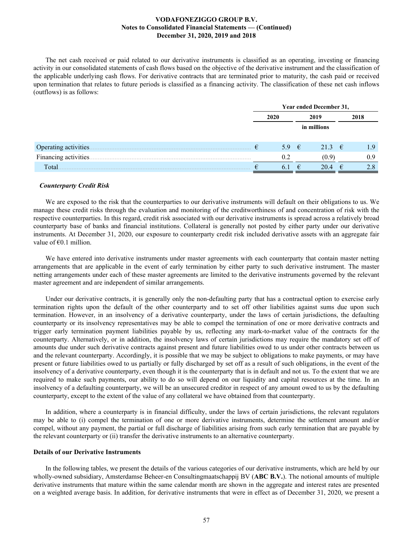The net cash received or paid related to our derivative instruments is classified as an operating, investing or financing activity in our consolidated statements of cash flows based on the objective of the derivative instrument and the classification of the applicable underlying cash flows. For derivative contracts that are terminated prior to maturity, the cash paid or received upon termination that relates to future periods is classified as a financing activity. The classification of these net cash inflows (outflows) is as follows:

|                       | Year ended December 31, |                |   |                 |  |      |  |
|-----------------------|-------------------------|----------------|---|-----------------|--|------|--|
|                       |                         | 2020           |   | 2019            |  | 2018 |  |
|                       |                         |                |   | in millions     |  |      |  |
| Operating activities. | €                       | 5.9 $\epsilon$ |   | 21.3 $\epsilon$ |  | 1.9  |  |
| Financing activities  |                         | 0.2            |   | (0.9)           |  | 0.9  |  |
| Total                 |                         | $\mathbf{b}$ . | € | 20.4            |  | 2.8  |  |

### *Counterparty Credit Risk*

We are exposed to the risk that the counterparties to our derivative instruments will default on their obligations to us. We manage these credit risks through the evaluation and monitoring of the creditworthiness of and concentration of risk with the respective counterparties. In this regard, credit risk associated with our derivative instruments is spread across a relatively broad counterparty base of banks and financial institutions. Collateral is generally not posted by either party under our derivative instruments. At December 31, 2020, our exposure to counterparty credit risk included derivative assets with an aggregate fair value of  $\epsilon$ 0.1 million.

We have entered into derivative instruments under master agreements with each counterparty that contain master netting arrangements that are applicable in the event of early termination by either party to such derivative instrument. The master netting arrangements under each of these master agreements are limited to the derivative instruments governed by the relevant master agreement and are independent of similar arrangements.

Under our derivative contracts, it is generally only the non-defaulting party that has a contractual option to exercise early termination rights upon the default of the other counterparty and to set off other liabilities against sums due upon such termination. However, in an insolvency of a derivative counterparty, under the laws of certain jurisdictions, the defaulting counterparty or its insolvency representatives may be able to compel the termination of one or more derivative contracts and trigger early termination payment liabilities payable by us, reflecting any mark-to-market value of the contracts for the counterparty. Alternatively, or in addition, the insolvency laws of certain jurisdictions may require the mandatory set off of amounts due under such derivative contracts against present and future liabilities owed to us under other contracts between us and the relevant counterparty. Accordingly, it is possible that we may be subject to obligations to make payments, or may have present or future liabilities owed to us partially or fully discharged by set off as a result of such obligations, in the event of the insolvency of a derivative counterparty, even though it is the counterparty that is in default and not us. To the extent that we are required to make such payments, our ability to do so will depend on our liquidity and capital resources at the time. In an insolvency of a defaulting counterparty, we will be an unsecured creditor in respect of any amount owed to us by the defaulting counterparty, except to the extent of the value of any collateral we have obtained from that counterparty.

In addition, where a counterparty is in financial difficulty, under the laws of certain jurisdictions, the relevant regulators may be able to (i) compel the termination of one or more derivative instruments, determine the settlement amount and/or compel, without any payment, the partial or full discharge of liabilities arising from such early termination that are payable by the relevant counterparty or (ii) transfer the derivative instruments to an alternative counterparty.

### **Details of our Derivative Instruments**

In the following tables, we present the details of the various categories of our derivative instruments, which are held by our wholly-owned subsidiary, Amsterdamse Beheer-en Consultingmaatschappij BV (**ABC B.V.**). The notional amounts of multiple derivative instruments that mature within the same calendar month are shown in the aggregate and interest rates are presented on a weighted average basis. In addition, for derivative instruments that were in effect as of December 31, 2020, we present a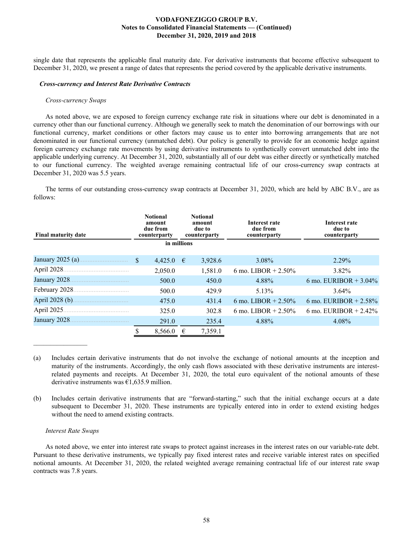single date that represents the applicable final maturity date. For derivative instruments that become effective subsequent to December 31, 2020, we present a range of dates that represents the period covered by the applicable derivative instruments.

#### *Cross-currency and Interest Rate Derivative Contracts*

#### *Cross-currency Swaps*

As noted above, we are exposed to foreign currency exchange rate risk in situations where our debt is denominated in a currency other than our functional currency. Although we generally seek to match the denomination of our borrowings with our functional currency, market conditions or other factors may cause us to enter into borrowing arrangements that are not denominated in our functional currency (unmatched debt). Our policy is generally to provide for an economic hedge against foreign currency exchange rate movements by using derivative instruments to synthetically convert unmatched debt into the applicable underlying currency. At December 31, 2020, substantially all of our debt was either directly or synthetically matched to our functional currency. The weighted average remaining contractual life of our cross-currency swap contracts at December 31, 2020 was 5.5 years.

The terms of our outstanding cross-currency swap contracts at December 31, 2020, which are held by ABC B.V., are as follows:

| <b>Final maturity date</b> | <b>Notional</b><br>amount<br>due from<br>counterparty |             |            | <b>Notional</b><br>amount<br>due to<br>counterparty | Interest rate<br>due from<br>counterparty | Interest rate<br>due to<br>counterparty |
|----------------------------|-------------------------------------------------------|-------------|------------|-----------------------------------------------------|-------------------------------------------|-----------------------------------------|
|                            |                                                       | in millions |            |                                                     |                                           |                                         |
| January 2025 (a)           | $\mathbf{\$}$                                         | 4,425.0     | $\epsilon$ | 3,928.6                                             | 3.08%                                     | 2.29%                                   |
| April 2028                 |                                                       | 2,050.0     |            | 1,581.0                                             | 6 mo. LIBOR + $2.50\%$                    | $3.82\%$                                |
| January 2028.              |                                                       | 500.0       |            | 450.0                                               | 4.88%                                     | 6 mo. EURIBOR $+ 3.04\%$                |
| February 2028.             |                                                       | 500.0       |            | 429.9                                               | 5.13%                                     | $3.64\%$                                |
| April 2028 (b)             |                                                       | 475.0       |            | 431.4                                               | 6 mo. LIBOR + $2.50\%$                    | 6 mo. EURIBOR $+ 2.58\%$                |
| April 2025.                |                                                       | 325.0       |            | 302.8                                               | 6 mo. LIBOR + $2.50\%$                    | 6 mo. EURIBOR + $2.42\%$                |
| January 2028.              |                                                       | 291.0       |            | 235.4                                               | 4.88%                                     | 4.08%                                   |
|                            |                                                       | 8,566.0     |            | 7,359.1                                             |                                           |                                         |

(a) Includes certain derivative instruments that do not involve the exchange of notional amounts at the inception and maturity of the instruments. Accordingly, the only cash flows associated with these derivative instruments are interestrelated payments and receipts. At December 31, 2020, the total euro equivalent of the notional amounts of these derivative instruments was  $\epsilon$ 1,635.9 million.

(b) Includes certain derivative instruments that are "forward-starting," such that the initial exchange occurs at a date subsequent to December 31, 2020. These instruments are typically entered into in order to extend existing hedges without the need to amend existing contracts.

#### *Interest Rate Swaps*

As noted above, we enter into interest rate swaps to protect against increases in the interest rates on our variable-rate debt. Pursuant to these derivative instruments, we typically pay fixed interest rates and receive variable interest rates on specified notional amounts. At December 31, 2020, the related weighted average remaining contractual life of our interest rate swap contracts was 7.8 years.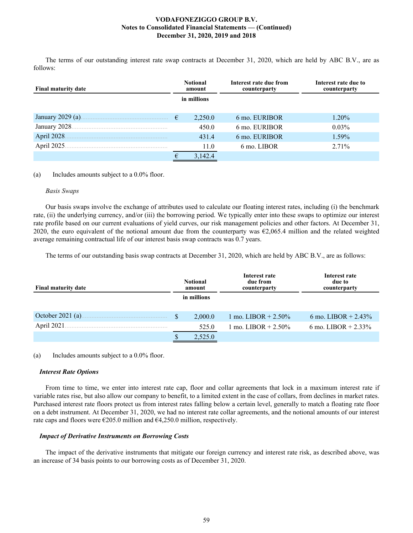The terms of our outstanding interest rate swap contracts at December 31, 2020, which are held by ABC B.V., are as follows:

| <b>Final maturity date</b> |            | <b>Notional</b><br>amount | Interest rate due from<br>counterparty | Interest rate due to<br>counterparty |
|----------------------------|------------|---------------------------|----------------------------------------|--------------------------------------|
|                            |            | in millions               |                                        |                                      |
|                            | $\epsilon$ | 2,250.0                   | 6 mo. EURIBOR                          | $1.20\%$                             |
| January 2028.              |            | 450.0                     | 6 mo. EURIBOR                          | $0.03\%$                             |
| April 2028.                |            | 431.4                     | 6 mo. EURIBOR                          | 1.59%                                |
| April 2025.                |            | 11.0                      | 6 mo. LIBOR                            | 2.71%                                |
|                            |            | 3,142.4                   |                                        |                                      |

(a) Includes amounts subject to a 0.0% floor.

### *Basis Swaps*

Our basis swaps involve the exchange of attributes used to calculate our floating interest rates, including (i) the benchmark rate, (ii) the underlying currency, and/or (iii) the borrowing period. We typically enter into these swaps to optimize our interest rate profile based on our current evaluations of yield curves, our risk management policies and other factors. At December 31, 2020, the euro equivalent of the notional amount due from the counterparty was  $\epsilon$ 2,065.4 million and the related weighted average remaining contractual life of our interest basis swap contracts was 0.7 years.

The terms of our outstanding basis swap contracts at December 31, 2020, which are held by ABC B.V., are as follows:

| <b>Final maturity date</b> |  | <b>Notional</b><br>amount | Interest rate<br>due from<br>counterparty | Interest rate<br>due to<br>counterparty |
|----------------------------|--|---------------------------|-------------------------------------------|-----------------------------------------|
|                            |  | in millions               |                                           |                                         |
| October 2021 (a).          |  | 2.000.0                   | 1 mo. LIBOR $+ 2.50\%$                    | 6 mo. LIBOR + $2.43\%$                  |
| April 2021                 |  | 525.0                     | 1 mo. LIBOR $+ 2.50\%$                    | 6 mo. LIBOR $+ 2.33\%$                  |
|                            |  | 2,525.0                   |                                           |                                         |

(a) Includes amounts subject to a 0.0% floor.

### *Interest Rate Options*

From time to time, we enter into interest rate cap, floor and collar agreements that lock in a maximum interest rate if variable rates rise, but also allow our company to benefit, to a limited extent in the case of collars, from declines in market rates. Purchased interest rate floors protect us from interest rates falling below a certain level, generally to match a floating rate floor on a debt instrument. At December 31, 2020, we had no interest rate collar agreements, and the notional amounts of our interest rate caps and floors were  $\epsilon$ 205.0 million and  $\epsilon$ 4,250.0 million, respectively.

### *Impact of Derivative Instruments on Borrowing Costs*

The impact of the derivative instruments that mitigate our foreign currency and interest rate risk, as described above, was an increase of 34 basis points to our borrowing costs as of December 31, 2020.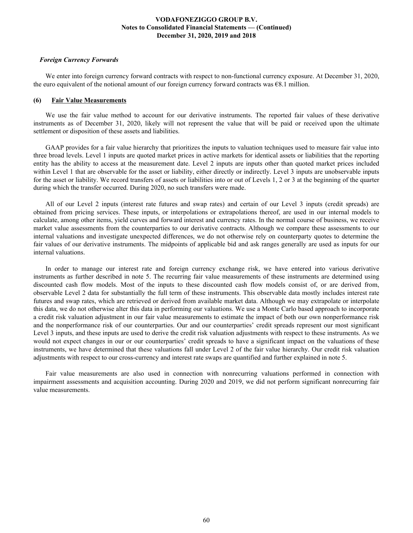### *Foreign Currency Forwards*

We enter into foreign currency forward contracts with respect to non-functional currency exposure. At December 31, 2020, the euro equivalent of the notional amount of our foreign currency forward contracts was €8.1 million.

### **(6) Fair Value Measurements**

We use the fair value method to account for our derivative instruments. The reported fair values of these derivative instruments as of December 31, 2020, likely will not represent the value that will be paid or received upon the ultimate settlement or disposition of these assets and liabilities.

GAAP provides for a fair value hierarchy that prioritizes the inputs to valuation techniques used to measure fair value into three broad levels. Level 1 inputs are quoted market prices in active markets for identical assets or liabilities that the reporting entity has the ability to access at the measurement date. Level 2 inputs are inputs other than quoted market prices included within Level 1 that are observable for the asset or liability, either directly or indirectly. Level 3 inputs are unobservable inputs for the asset or liability. We record transfers of assets or liabilities into or out of Levels 1, 2 or 3 at the beginning of the quarter during which the transfer occurred. During 2020, no such transfers were made.

All of our Level 2 inputs (interest rate futures and swap rates) and certain of our Level 3 inputs (credit spreads) are obtained from pricing services. These inputs, or interpolations or extrapolations thereof, are used in our internal models to calculate, among other items, yield curves and forward interest and currency rates. In the normal course of business, we receive market value assessments from the counterparties to our derivative contracts. Although we compare these assessments to our internal valuations and investigate unexpected differences, we do not otherwise rely on counterparty quotes to determine the fair values of our derivative instruments. The midpoints of applicable bid and ask ranges generally are used as inputs for our internal valuations.

In order to manage our interest rate and foreign currency exchange risk, we have entered into various derivative instruments as further described in note 5. The recurring fair value measurements of these instruments are determined using discounted cash flow models. Most of the inputs to these discounted cash flow models consist of, or are derived from, observable Level 2 data for substantially the full term of these instruments. This observable data mostly includes interest rate futures and swap rates, which are retrieved or derived from available market data. Although we may extrapolate or interpolate this data, we do not otherwise alter this data in performing our valuations. We use a Monte Carlo based approach to incorporate a credit risk valuation adjustment in our fair value measurements to estimate the impact of both our own nonperformance risk and the nonperformance risk of our counterparties. Our and our counterparties' credit spreads represent our most significant Level 3 inputs, and these inputs are used to derive the credit risk valuation adjustments with respect to these instruments. As we would not expect changes in our or our counterparties' credit spreads to have a significant impact on the valuations of these instruments, we have determined that these valuations fall under Level 2 of the fair value hierarchy. Our credit risk valuation adjustments with respect to our cross-currency and interest rate swaps are quantified and further explained in note 5.

Fair value measurements are also used in connection with nonrecurring valuations performed in connection with impairment assessments and acquisition accounting. During 2020 and 2019, we did not perform significant nonrecurring fair value measurements.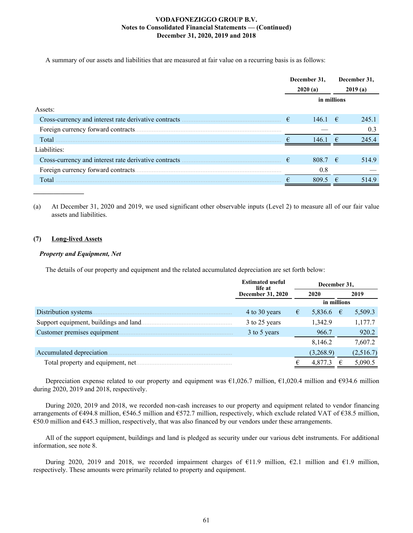A summary of our assets and liabilities that are measured at fair value on a recurring basis is as follows:

|              | December 31.<br>2020(a) |             |             | December 31.<br>2019(a) |
|--------------|-------------------------|-------------|-------------|-------------------------|
|              |                         | in millions |             |                         |
| Assets:      |                         |             |             |                         |
|              | €                       | $146.1 \t∈$ |             | 245.1                   |
|              |                         |             |             | 0.3                     |
| Total        |                         | 1461        | $-\epsilon$ | 2454                    |
| Liabilities: |                         |             |             |                         |
|              | €                       | 808.7 $\in$ |             | 514.9                   |
|              |                         | 0.8         |             |                         |
| Total        |                         | 809.5       | €           | 514.9                   |

(a) At December 31, 2020 and 2019, we used significant other observable inputs (Level 2) to measure all of our fair value assets and liabilities.

### **(7) Long-lived Assets**

### *Property and Equipment, Net*

The details of our property and equipment and the related accumulated depreciation are set forth below:

|                                        | <b>Estimated useful</b><br>life at |   | December 31, |           |
|----------------------------------------|------------------------------------|---|--------------|-----------|
|                                        | <b>December 31, 2020</b>           |   | 2020         | 2019      |
|                                        |                                    |   | in millions  |           |
| Distribution systems.                  | 4 to 30 years                      | € | 5,836.6 €    | 5,509.3   |
| Support equipment, buildings and land. | 3 to 25 years                      |   | 1,342.9      | 1,177.7   |
| Customer premises equipment            | 3 to 5 years                       |   | 966.7        | 920.2     |
|                                        |                                    |   | 8,146.2      | 7,607.2   |
| Accumulated depreciation.              |                                    |   | (3,268.9)    | (2,516.7) |
| Total property and equipment, net.     |                                    |   | 4,877.3      | 5,090.5   |

Depreciation expense related to our property and equipment was  $\epsilon$ 1,026.7 million,  $\epsilon$ 1,020.4 million and  $\epsilon$ 934.6 million during 2020, 2019 and 2018, respectively.

During 2020, 2019 and 2018, we recorded non-cash increases to our property and equipment related to vendor financing arrangements of  $\epsilon$ 494.8 million,  $\epsilon$ 546.5 million and  $\epsilon$ 572.7 million, respectively, which exclude related VAT of  $\epsilon$ 38.5 million, €50.0 million and €45.3 million, respectively, that was also financed by our vendors under these arrangements.

All of the support equipment, buildings and land is pledged as security under our various debt instruments. For additional information, see note 8.

During 2020, 2019 and 2018, we recorded impairment charges of  $\epsilon$ 11.9 million,  $\epsilon$ 2.1 million and  $\epsilon$ 1.9 million, respectively. These amounts were primarily related to property and equipment.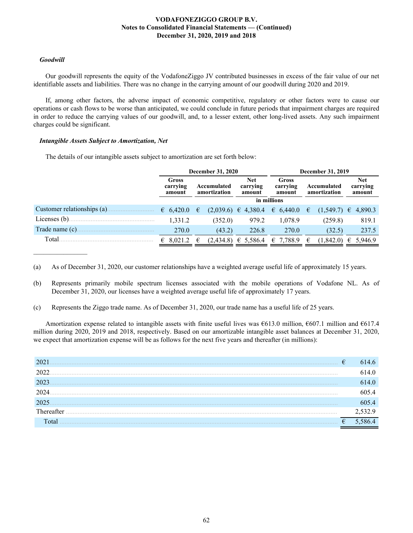### *Goodwill*

Our goodwill represents the equity of the VodafoneZiggo JV contributed businesses in excess of the fair value of our net identifiable assets and liabilities. There was no change in the carrying amount of our goodwill during 2020 and 2019.

If, among other factors, the adverse impact of economic competitive, regulatory or other factors were to cause our operations or cash flows to be worse than anticipated, we could conclude in future periods that impairment charges are required in order to reduce the carrying values of our goodwill, and, to a lesser extent, other long-lived assets. Any such impairment charges could be significant.

### *Intangible Assets Subject to Amortization, Net*

The details of our intangible assets subject to amortization are set forth below:

|                             | <b>December 31, 2020</b>    |                             |                         |                                  |             | <b>December 31, 2019</b>    |                    |                             |                 |   |                                  |
|-----------------------------|-----------------------------|-----------------------------|-------------------------|----------------------------------|-------------|-----------------------------|--------------------|-----------------------------|-----------------|---|----------------------------------|
|                             | Gross<br>carrying<br>amount | Accumulated<br>amortization |                         | <b>Net</b><br>carrying<br>amount |             | Gross<br>carrying<br>amount |                    | Accumulated<br>amortization |                 |   | <b>Net</b><br>carrying<br>amount |
|                             |                             |                             |                         |                                  | in millions |                             |                    |                             |                 |   |                                  |
| Customer relationships (a). | 6.420.0                     | $\epsilon$                  | $(2,039.6) \in 4,380.4$ |                                  |             |                             | $\epsilon$ 6,440.0 | €                           | $(1,549.7) \in$ |   | 4,890.3                          |
| Licenses $(b)$ .            | 1,331.2                     |                             | (352.0)                 |                                  | 979.2       |                             | 1.078.9            |                             | (259.8)         |   | 819.1                            |
| Trade name (c).             | 270.0                       |                             | (43.2)                  |                                  | 226.8       |                             | 270.0              |                             | (32.5)          |   | 237.5                            |
| Total                       | 8,021.2<br>€                | €                           | (2,434.8)               |                                  | € 5,586.4   |                             | € 7,788.9          |                             | (1,842.0)       | € | 5,946.9                          |

(a) As of December 31, 2020, our customer relationships have a weighted average useful life of approximately 15 years.

- (b) Represents primarily mobile spectrum licenses associated with the mobile operations of Vodafone NL. As of December 31, 2020, our licenses have a weighted average useful life of approximately 17 years.
- (c) Represents the Ziggo trade name. As of December 31, 2020, our trade name has a useful life of 25 years.

Amortization expense related to intangible assets with finite useful lives was €613.0 million, €607.1 million and €617.4 million during 2020, 2019 and 2018, respectively. Based on our amortizable intangible asset balances at December 31, 2020, we expect that amortization expense will be as follows for the next five years and thereafter (in millions):

| 202  | € | 4.6             |
|------|---|-----------------|
| 2022 |   | $\overline{4}0$ |
| 202  |   | 4 O             |
| 2024 |   | በና 4            |
| 2025 |   | )5.4            |
|      |   |                 |
| otal | € |                 |
|      |   |                 |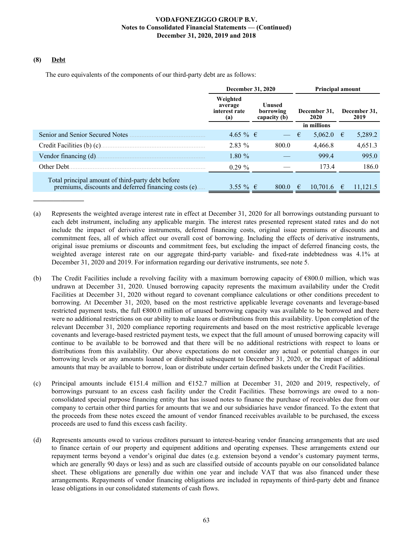### **(8) Debt**

The euro equivalents of the components of our third-party debt are as follows:

|                                                                                                           | December 31, 2020                           |                                     | <b>Principal amount</b> |                      |  |  |  |
|-----------------------------------------------------------------------------------------------------------|---------------------------------------------|-------------------------------------|-------------------------|----------------------|--|--|--|
|                                                                                                           | Weighted<br>average<br>interest rate<br>(a) | Unused<br>borrowing<br>capacity (b) | December 31,<br>2020    | December 31,<br>2019 |  |  |  |
|                                                                                                           |                                             |                                     | in millions             |                      |  |  |  |
| Senior and Senior Secured Notes                                                                           | $4.65\%$ €                                  |                                     | €<br>5,062.0            | 5,289.2<br>€         |  |  |  |
| Credit Facilities (b) (c)                                                                                 | $2.83\%$                                    | 800.0                               | 4,466.8                 | 4,651.3              |  |  |  |
| Vendor financing (d).                                                                                     | 1.80%                                       |                                     | 999.4                   | 995.0                |  |  |  |
| Other Debt.                                                                                               | $0.29\%$                                    |                                     | 173.4                   | 186.0                |  |  |  |
| Total principal amount of third-party debt before<br>premiums, discounts and deferred financing costs (e) | $3.55\%$ €                                  | 800.0                               | 10,701.6<br>€           | 11,121.5<br>€        |  |  |  |

- (a) Represents the weighted average interest rate in effect at December 31, 2020 for all borrowings outstanding pursuant to each debt instrument, including any applicable margin. The interest rates presented represent stated rates and do not include the impact of derivative instruments, deferred financing costs, original issue premiums or discounts and commitment fees, all of which affect our overall cost of borrowing. Including the effects of derivative instruments, original issue premiums or discounts and commitment fees, but excluding the impact of deferred financing costs, the weighted average interest rate on our aggregate third-party variable- and fixed-rate indebtedness was 4.1% at December 31, 2020 and 2019. For information regarding our derivative instruments, see note 5.
- (b) The Credit Facilities include a revolving facility with a maximum borrowing capacity of  $\epsilon$ 800.0 million, which was undrawn at December 31, 2020. Unused borrowing capacity represents the maximum availability under the Credit Facilities at December 31, 2020 without regard to covenant compliance calculations or other conditions precedent to borrowing. At December 31, 2020, based on the most restrictive applicable leverage covenants and leverage-based restricted payment tests, the full €800.0 million of unused borrowing capacity was available to be borrowed and there were no additional restrictions on our ability to make loans or distributions from this availability. Upon completion of the relevant December 31, 2020 compliance reporting requirements and based on the most restrictive applicable leverage covenants and leverage-based restricted payment tests, we expect that the full amount of unused borrowing capacity will continue to be available to be borrowed and that there will be no additional restrictions with respect to loans or distributions from this availability. Our above expectations do not consider any actual or potential changes in our borrowing levels or any amounts loaned or distributed subsequent to December 31, 2020, or the impact of additional amounts that may be available to borrow, loan or distribute under certain defined baskets under the Credit Facilities.
- (c) Principal amounts include  $\epsilon$ 151.4 million and  $\epsilon$ 152.7 million at December 31, 2020 and 2019, respectively, of borrowings pursuant to an excess cash facility under the Credit Facilities. These borrowings are owed to a nonconsolidated special purpose financing entity that has issued notes to finance the purchase of receivables due from our company to certain other third parties for amounts that we and our subsidiaries have vendor financed. To the extent that the proceeds from these notes exceed the amount of vendor financed receivables available to be purchased, the excess proceeds are used to fund this excess cash facility.
- (d) Represents amounts owed to various creditors pursuant to interest-bearing vendor financing arrangements that are used to finance certain of our property and equipment additions and operating expenses. These arrangements extend our repayment terms beyond a vendor's original due dates (e.g. extension beyond a vendor's customary payment terms, which are generally 90 days or less) and as such are classified outside of accounts payable on our consolidated balance sheet. These obligations are generally due within one year and include VAT that was also financed under these arrangements. Repayments of vendor financing obligations are included in repayments of third-party debt and finance lease obligations in our consolidated statements of cash flows.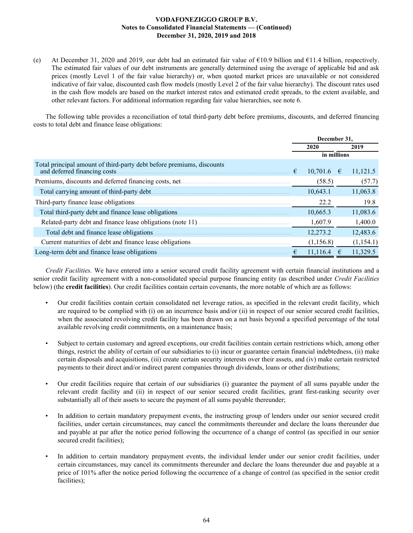(e) At December 31, 2020 and 2019, our debt had an estimated fair value of  $\epsilon$ 10.9 billion and  $\epsilon$ 11.4 billion, respectively. The estimated fair values of our debt instruments are generally determined using the average of applicable bid and ask prices (mostly Level 1 of the fair value hierarchy) or, when quoted market prices are unavailable or not considered indicative of fair value, discounted cash flow models (mostly Level 2 of the fair value hierarchy). The discount rates used in the cash flow models are based on the market interest rates and estimated credit spreads, to the extent available, and other relevant factors. For additional information regarding fair value hierarchies, see note 6.

The following table provides a reconciliation of total third-party debt before premiums, discounts, and deferred financing costs to total debt and finance lease obligations:

|                                                                                                        |   | December 31. |   |           |
|--------------------------------------------------------------------------------------------------------|---|--------------|---|-----------|
|                                                                                                        |   | 2020         |   | 2019      |
|                                                                                                        |   | in millions  |   |           |
| Total principal amount of third-party debt before premiums, discounts<br>and deferred financing costs. | € | 10,701.6     | € | 11,121.5  |
|                                                                                                        |   | (58.5)       |   | (57.7)    |
| Total carrying amount of third-party debt.                                                             |   | 10,643.1     |   | 11,063.8  |
| Third-party finance lease obligations.                                                                 |   | 22.2         |   | 19.8      |
| Total third-party debt and finance lease obligations.                                                  |   | 10,665.3     |   | 11,083.6  |
|                                                                                                        |   | 1,607.9      |   | 1,400.0   |
| Total debt and finance lease obligations.                                                              |   | 12,273.2     |   | 12,483.6  |
| Current maturities of debt and finance lease obligations.                                              |   | (1, 156.8)   |   | (1,154.1) |
| Long-term debt and finance lease obligations.                                                          |   | 11,116.4     |   | 11,329.5  |

*Credit Facilities.* We have entered into a senior secured credit facility agreement with certain financial institutions and a senior credit facility agreement with a non-consolidated special purpose financing entity (as described under *Credit Facilities* below) (the **credit facilities**). Our credit facilities contain certain covenants, the more notable of which are as follows:

- Our credit facilities contain certain consolidated net leverage ratios, as specified in the relevant credit facility, which are required to be complied with (i) on an incurrence basis and/or (ii) in respect of our senior secured credit facilities, when the associated revolving credit facility has been drawn on a net basis beyond a specified percentage of the total available revolving credit commitments, on a maintenance basis;
- Subject to certain customary and agreed exceptions, our credit facilities contain restrictions which, among other things, restrict the ability of certain of our subsidiaries to (i) incur or guarantee certain financial indebtedness, (ii) make certain disposals and acquisitions, (iii) create certain security interests over their assets, and (iv) make certain restricted payments to their direct and/or indirect parent companies through dividends, loans or other distributions;
- Our credit facilities require that certain of our subsidiaries (i) guarantee the payment of all sums payable under the relevant credit facility and (ii) in respect of our senior secured credit facilities, grant first-ranking security over substantially all of their assets to secure the payment of all sums payable thereunder;
- In addition to certain mandatory prepayment events, the instructing group of lenders under our senior secured credit facilities, under certain circumstances, may cancel the commitments thereunder and declare the loans thereunder due and payable at par after the notice period following the occurrence of a change of control (as specified in our senior secured credit facilities);
- In addition to certain mandatory prepayment events, the individual lender under our senior credit facilities, under certain circumstances, may cancel its commitments thereunder and declare the loans thereunder due and payable at a price of 101% after the notice period following the occurrence of a change of control (as specified in the senior credit facilities);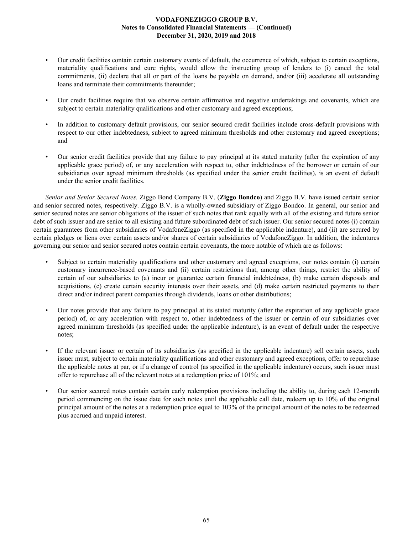- Our credit facilities contain certain customary events of default, the occurrence of which, subject to certain exceptions, materiality qualifications and cure rights, would allow the instructing group of lenders to (i) cancel the total commitments, (ii) declare that all or part of the loans be payable on demand, and/or (iii) accelerate all outstanding loans and terminate their commitments thereunder;
- Our credit facilities require that we observe certain affirmative and negative undertakings and covenants, which are subject to certain materiality qualifications and other customary and agreed exceptions;
- In addition to customary default provisions, our senior secured credit facilities include cross-default provisions with respect to our other indebtedness, subject to agreed minimum thresholds and other customary and agreed exceptions; and
- Our senior credit facilities provide that any failure to pay principal at its stated maturity (after the expiration of any applicable grace period) of, or any acceleration with respect to, other indebtedness of the borrower or certain of our subsidiaries over agreed minimum thresholds (as specified under the senior credit facilities), is an event of default under the senior credit facilities.

*Senior and Senior Secured Notes.* Ziggo Bond Company B.V. (**Ziggo Bondco**) and Ziggo B.V. have issued certain senior and senior secured notes, respectively. Ziggo B.V. is a wholly-owned subsidiary of Ziggo Bondco. In general, our senior and senior secured notes are senior obligations of the issuer of such notes that rank equally with all of the existing and future senior debt of such issuer and are senior to all existing and future subordinated debt of such issuer. Our senior secured notes (i) contain certain guarantees from other subsidiaries of VodafoneZiggo (as specified in the applicable indenture), and (ii) are secured by certain pledges or liens over certain assets and/or shares of certain subsidiaries of VodafoneZiggo. In addition, the indentures governing our senior and senior secured notes contain certain covenants, the more notable of which are as follows:

- Subject to certain materiality qualifications and other customary and agreed exceptions, our notes contain (i) certain customary incurrence-based covenants and (ii) certain restrictions that, among other things, restrict the ability of certain of our subsidiaries to (a) incur or guarantee certain financial indebtedness, (b) make certain disposals and acquisitions, (c) create certain security interests over their assets, and (d) make certain restricted payments to their direct and/or indirect parent companies through dividends, loans or other distributions;
- Our notes provide that any failure to pay principal at its stated maturity (after the expiration of any applicable grace period) of, or any acceleration with respect to, other indebtedness of the issuer or certain of our subsidiaries over agreed minimum thresholds (as specified under the applicable indenture), is an event of default under the respective notes;
- If the relevant issuer or certain of its subsidiaries (as specified in the applicable indenture) sell certain assets, such issuer must, subject to certain materiality qualifications and other customary and agreed exceptions, offer to repurchase the applicable notes at par, or if a change of control (as specified in the applicable indenture) occurs, such issuer must offer to repurchase all of the relevant notes at a redemption price of 101%; and
- Our senior secured notes contain certain early redemption provisions including the ability to, during each 12-month period commencing on the issue date for such notes until the applicable call date, redeem up to 10% of the original principal amount of the notes at a redemption price equal to 103% of the principal amount of the notes to be redeemed plus accrued and unpaid interest.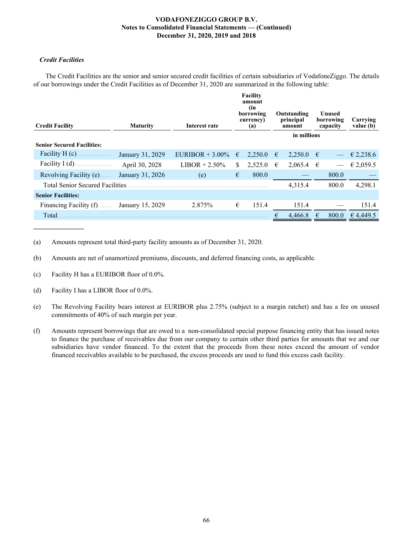# *Credit Facilities*

The Credit Facilities are the senior and senior secured credit facilities of certain subsidiaries of VodafoneZiggo. The details of our borrowings under the Credit Facilities as of December 31, 2020 are summarized in the following table:

| <b>Credit Facility</b>                  | <b>Maturity</b>  | Interest rate     |    | <b>Facility</b><br>amount<br>(in<br>borrowing<br>currency)<br>(a) |   | Outstanding<br>principal<br>amount |            | Unused<br>borrowing<br>capacity | Carrying<br>value (b) |
|-----------------------------------------|------------------|-------------------|----|-------------------------------------------------------------------|---|------------------------------------|------------|---------------------------------|-----------------------|
|                                         |                  |                   |    |                                                                   |   | in millions                        |            |                                 |                       |
| <b>Senior Secured Facilities:</b>       |                  |                   |    |                                                                   |   |                                    |            |                                 |                       |
| Facility $H(c)$ .                       | January 31, 2029 | EURIBOR $+3.00\%$ | €  | 2,250.0                                                           | € | 2,250.0                            | $\epsilon$ |                                 | € 2,238.6             |
| Facility $I(d)$ .                       | April 30, 2028   | $LIBOR + 2.50\%$  | S. | 2,525.0                                                           | € | 2,065.4                            | $\epsilon$ |                                 | € 2,059.5             |
| Revolving Facility (e).                 | January 31, 2026 | (e)               | €  | 800.0                                                             |   |                                    |            | 800.0                           |                       |
| <b>Total Senior Secured Facilities.</b> |                  |                   |    |                                                                   |   | 4,315.4                            |            | 800.0                           | 4,298.1               |
| <b>Senior Facilities:</b>               |                  |                   |    |                                                                   |   |                                    |            |                                 |                       |
| Financing Facility (f)                  | January 15, 2029 | 2.875%            | €  | 151.4                                                             |   | 151.4                              |            |                                 | 151.4                 |
| <b>Total</b>                            |                  |                   |    |                                                                   |   | 4,466.8                            | €          | 800.0                           | € 4,449.5             |

(a) Amounts represent total third-party facility amounts as of December 31, 2020.

(b) Amounts are net of unamortized premiums, discounts, and deferred financing costs, as applicable.

- (c) Facility H has a EURIBOR floor of 0.0%.
- (d) Facility I has a LIBOR floor of 0.0%.
- (e) The Revolving Facility bears interest at EURIBOR plus 2.75% (subject to a margin ratchet) and has a fee on unused commitments of 40% of such margin per year.
- (f) Amounts represent borrowings that are owed to a non-consolidated special purpose financing entity that has issued notes to finance the purchase of receivables due from our company to certain other third parties for amounts that we and our subsidiaries have vendor financed. To the extent that the proceeds from these notes exceed the amount of vendor financed receivables available to be purchased, the excess proceeds are used to fund this excess cash facility.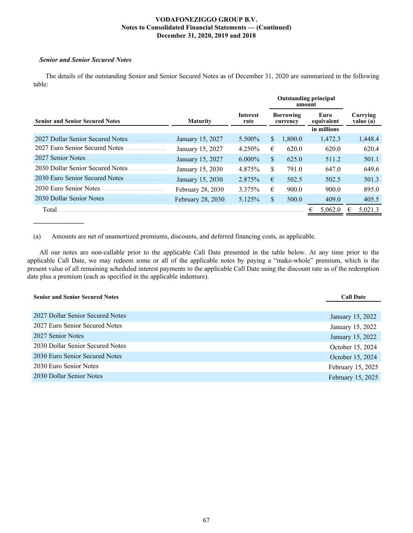### *Senior and Senior Secured Notes*

**\_\_\_\_\_\_\_\_\_\_\_\_\_\_\_**

The details of the outstanding Senior and Senior Secured Notes as of December 31, 2020 are summarized in the following table:

|                                        |                   |                  | <b>Outstanding principal</b><br>amount |         |  |                    |                       |
|----------------------------------------|-------------------|------------------|----------------------------------------|---------|--|--------------------|-----------------------|
| <b>Senior and Senior Secured Notes</b> | <b>Maturity</b>   | Interest<br>rate | <b>Borrowing</b><br>currency           |         |  | Euro<br>equivalent | Carrying<br>value (a) |
|                                        |                   |                  |                                        |         |  | in millions        |                       |
| 2027 Dollar Senior Secured Notes       | January 15, 2027  | 5.500%           | <sup>S</sup>                           | 1,800.0 |  | 1,472.3            | 1,448.4               |
| 2027 Euro Senior Secured Notes         | January 15, 2027  | 4.250%           | €                                      | 620.0   |  | 620.0              | 620.4                 |
| 2027 Senior Notes                      | January 15, 2027  | $6.000\%$        | \$                                     | 625.0   |  | 511.2              | 501.1                 |
| 2030 Dollar Senior Secured Notes       | January 15, 2030  | 4.875%           | \$                                     | 791.0   |  | 647.0              | 649.6                 |
| 2030 Euro Senior Secured Notes         | January 15, 2030  | 2.875%           | €                                      | 502.5   |  | 502.5              | 501.3                 |
| 2030 Euro Senior Notes                 | February 28, 2030 | 3.375%           | €                                      | 900.0   |  | 900.0              | 895.0                 |
| 2030 Dollar Senior Notes               | February 28, 2030 | 5.125%           | \$                                     | 500.0   |  | 409.0              | 405.5                 |
| Total                                  |                   |                  |                                        |         |  | 5,062.0            | 5,021.3               |

(a) Amounts are net of unamortized premiums, discounts, and deferred financing costs, as applicable.

All our notes are non-callable prior to the applicable Call Date presented in the table below. At any time prior to the applicable Call Date, we may redeem some or all of the applicable notes by paying a "make-whole" premium, which is the present value of all remaining scheduled interest payments to the applicable Call Date using the discount rate as of the redemption date plus a premium (each as specified in the applicable indenture).

| <b>Senior and Senior Secured Notes</b> | <b>Call Date</b>  |
|----------------------------------------|-------------------|
|                                        |                   |
| 2027 Dollar Senior Secured Notes       | January 15, 2022  |
| 2027 Euro Senior Secured Notes         | January 15, 2022  |
| 2027 Senior Notes                      | January 15, 2022  |
| 2030 Dollar Senior Secured Notes       | October 15, 2024  |
| 2030 Euro Senior Secured Notes         | October 15, 2024  |
| 2030 Euro Senior Notes                 | February 15, 2025 |
| 2030 Dollar Senior Notes               | February 15, 2025 |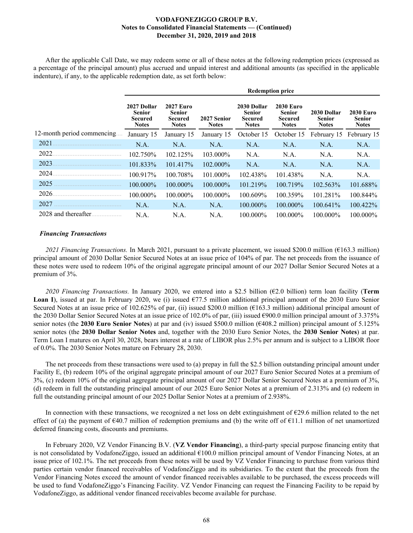After the applicable Call Date, we may redeem some or all of these notes at the following redemption prices (expressed as a percentage of the principal amount) plus accrued and unpaid interest and additional amounts (as specified in the applicable indenture), if any, to the applicable redemption date, as set forth below:

|                            |                                                                | <b>Redemption price</b>                                      |                             |                                                                |                                                              |                                              |                                            |  |  |  |
|----------------------------|----------------------------------------------------------------|--------------------------------------------------------------|-----------------------------|----------------------------------------------------------------|--------------------------------------------------------------|----------------------------------------------|--------------------------------------------|--|--|--|
|                            | 2027 Dollar<br><b>Senior</b><br><b>Secured</b><br><b>Notes</b> | <b>2027 Euro</b><br><b>Senior</b><br>Secured<br><b>Notes</b> | 2027 Senior<br><b>Notes</b> | 2030 Dollar<br><b>Senior</b><br><b>Secured</b><br><b>Notes</b> | <b>2030 Euro</b><br><b>Senior</b><br>Secured<br><b>Notes</b> | 2030 Dollar<br><b>Senior</b><br><b>Notes</b> | <b>2030 Euro</b><br>Senior<br><b>Notes</b> |  |  |  |
| 12-month period commencing | January 15                                                     | January 15                                                   | January 15                  | October 15                                                     | October 15                                                   | February 15                                  | February 15                                |  |  |  |
| 2021                       | N.A.                                                           | N.A.                                                         | N.A.                        | N.A.                                                           | N.A.                                                         | N.A.                                         | N.A.                                       |  |  |  |
| 2022                       | 102.750%                                                       | 102.125%                                                     | 103.000%                    | N.A.                                                           | N.A.                                                         | N.A.                                         | N.A.                                       |  |  |  |
| 2023                       | 101.833%                                                       | 101.417%                                                     | 102.000%                    | N.A.                                                           | N.A.                                                         | N.A.                                         | N.A.                                       |  |  |  |
| 2024                       | 100.917%                                                       | 100.708%                                                     | 101.000%                    | 102.438%                                                       | 101.438%                                                     | N.A.                                         | N.A.                                       |  |  |  |
| 2025                       | 100.000%                                                       | 100.000%                                                     | 100.000%                    | 101.219%                                                       | 100.719%                                                     | 102.563%                                     | 101.688%                                   |  |  |  |
| 2026                       | 100.000%                                                       | $100.000\%$                                                  | $100.000\%$                 | 100.609%                                                       | 100.359%                                                     | 101.281%                                     | 100.844%                                   |  |  |  |
| 2027                       | N.A.                                                           | N.A.                                                         | N.A.                        | 100.000%                                                       | 100.000%                                                     | 100.641%                                     | 100.422%                                   |  |  |  |
| 2028 and thereafter.       | N.A.                                                           | N.A.                                                         | N.A.                        | $100.000\%$                                                    | $100.000\%$                                                  | $100.000\%$                                  | $100.000\%$                                |  |  |  |

### *Financing Transactions*

*2021 Financing Transactions.* In March 2021, pursuant to a private placement, we issued \$200.0 million (€163.3 million) principal amount of 2030 Dollar Senior Secured Notes at an issue price of 104% of par. The net proceeds from the issuance of these notes were used to redeem 10% of the original aggregate principal amount of our 2027 Dollar Senior Secured Notes at a premium of 3%.

2020 Financing Transactions. In January 2020, we entered into a \$2.5 billion ( $\epsilon$ 2.0 billion) term loan facility (**Term Loan I**), issued at par. In February 2020, we (i) issued €77.5 million additional principal amount of the 2030 Euro Senior Secured Notes at an issue price of 102.625% of par, (ii) issued \$200.0 million ( $\epsilon$ 163.3 million) additional principal amount of the 2030 Dollar Senior Secured Notes at an issue price of 102.0% of par, (iii) issued €900.0 million principal amount of 3.375% senior notes (the **2030 Euro Senior Notes**) at par and (iv) issued \$500.0 million (€408.2 million) principal amount of 5.125% senior notes (the **2030 Dollar Senior Notes** and, together with the 2030 Euro Senior Notes, the **2030 Senior Notes**) at par. Term Loan I matures on April 30, 2028, bears interest at a rate of LIBOR plus 2.5% per annum and is subject to a LIBOR floor of 0.0%. The 2030 Senior Notes mature on February 28, 2030.

The net proceeds from these transactions were used to (a) prepay in full the \$2.5 billion outstanding principal amount under Facility E, (b) redeem 10% of the original aggregate principal amount of our 2027 Euro Senior Secured Notes at a premium of 3%, (c) redeem 10% of the original aggregate principal amount of our 2027 Dollar Senior Secured Notes at a premium of 3%, (d) redeem in full the outstanding principal amount of our 2025 Euro Senior Notes at a premium of 2.313% and (e) redeem in full the outstanding principal amount of our 2025 Dollar Senior Notes at a premium of 2.938%.

In connection with these transactions, we recognized a net loss on debt extinguishment of  $E29.6$  million related to the net effect of (a) the payment of  $\epsilon$ 40.7 million of redemption premiums and (b) the write off of  $\epsilon$ 11.1 million of net unamortized deferred financing costs, discounts and premiums.

In February 2020, VZ Vendor Financing B.V. (**VZ Vendor Financing**), a third-party special purpose financing entity that is not consolidated by VodafoneZiggo, issued an additional €100.0 million principal amount of Vendor Financing Notes, at an issue price of 102.1%. The net proceeds from these notes will be used by VZ Vendor Financing to purchase from various third parties certain vendor financed receivables of VodafoneZiggo and its subsidiaries. To the extent that the proceeds from the Vendor Financing Notes exceed the amount of vendor financed receivables available to be purchased, the excess proceeds will be used to fund VodafoneZiggo's Financing Facility. VZ Vendor Financing can request the Financing Facility to be repaid by VodafoneZiggo, as additional vendor financed receivables become available for purchase.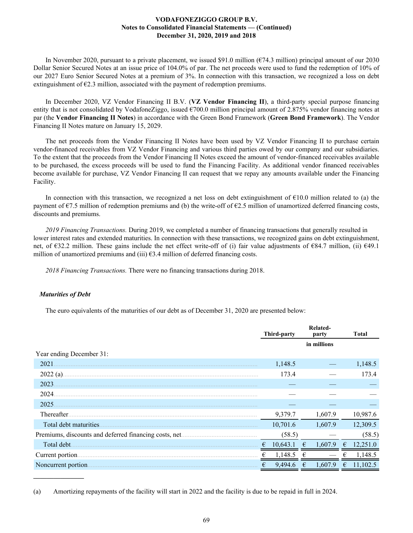In November 2020, pursuant to a private placement, we issued \$91.0 million ( $\epsilon$ 74.3 million) principal amount of our 2030 Dollar Senior Secured Notes at an issue price of 104.0% of par. The net proceeds were used to fund the redemption of 10% of our 2027 Euro Senior Secured Notes at a premium of 3%. In connection with this transaction, we recognized a loss on debt extinguishment of  $E2.3$  million, associated with the payment of redemption premiums.

In December 2020, VZ Vendor Financing II B.V. (**VZ Vendor Financing II**), a third-party special purpose financing entity that is not consolidated by VodafoneZiggo, issued  $\epsilon$ 700.0 million principal amount of 2.875% vendor financing notes at par (the **Vendor Financing II Notes**) in accordance with the Green Bond Framework (**Green Bond Framework**). The Vendor Financing II Notes mature on January 15, 2029.

The net proceeds from the Vendor Financing II Notes have been used by VZ Vendor Financing II to purchase certain vendor-financed receivables from VZ Vendor Financing and various third parties owed by our company and our subsidiaries. To the extent that the proceeds from the Vendor Financing II Notes exceed the amount of vendor-financed receivables available to be purchased, the excess proceeds will be used to fund the Financing Facility. As additional vendor financed receivables become available for purchase, VZ Vendor Financing II can request that we repay any amounts available under the Financing Facility.

In connection with this transaction, we recognized a net loss on debt extinguishment of  $\epsilon$ 10.0 million related to (a) the payment of  $\epsilon$ 7.5 million of redemption premiums and (b) the write-off of  $\epsilon$ 2.5 million of unamortized deferred financing costs, discounts and premiums.

*2019 Financing Transactions.* During 2019, we completed a number of financing transactions that generally resulted in lower interest rates and extended maturities. In connection with these transactions, we recognized gains on debt extinguishment, net, of €32.2 million. These gains include the net effect write-off of (i) fair value adjustments of €84.7 million, (ii) €49.1 million of unamortized premiums and (iii)  $\epsilon$ 3.4 million of deferred financing costs.

*2018 Financing Transactions.* There were no financing transactions during 2018.

### *Maturities of Debt*

**\_\_\_\_\_\_\_\_\_\_\_\_\_\_\_**

The euro equivalents of the maturities of our debt as of December 31, 2020 are presented below:

|                          | Third-party   |   | Related-<br>party |   | <b>Total</b> |
|--------------------------|---------------|---|-------------------|---|--------------|
|                          |               |   | in millions       |   |              |
| Year ending December 31: |               |   |                   |   |              |
| 2021                     | 1,148.5       |   |                   |   | 1,148.5      |
| $2022(a)$ .              | 173.4         |   |                   |   | 173.4        |
| 2023                     |               |   |                   |   |              |
| 2024                     |               |   |                   |   |              |
| 2025                     |               |   |                   |   |              |
| Thereafter.              | 9,379.7       |   | 1,607.9           |   | 10,987.6     |
| Total debt maturities.   | 10,701.6      |   | 1,607.9           |   | 12,309.5     |
|                          | (58.5)        |   |                   |   | (58.5)       |
| Total debt.              | 10,643.1<br>€ | € | 1.607.9           | € | 12 251 0     |
| Current portion.         | 1,148.5       |   |                   |   | 1,148.5      |
| Noncurrent portion       | 9,494.6<br>€  | € | 1.607.9           | € | 11,102.5     |

<sup>(</sup>a) Amortizing repayments of the facility will start in 2022 and the facility is due to be repaid in full in 2024.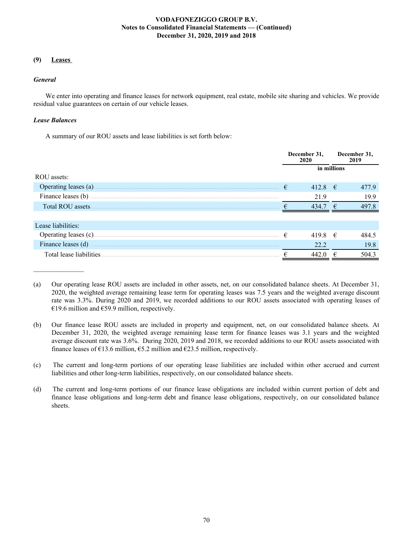# **(9) Leases**

### *General*

We enter into operating and finance leases for network equipment, real estate, mobile site sharing and vehicles. We provide residual value guarantees on certain of our vehicle leases.

# *Lease Balances*

A summary of our ROU assets and lease liabilities is set forth below:

|                         | December 31,<br>2020 |             | December 31,<br>2019 |       |
|-------------------------|----------------------|-------------|----------------------|-------|
|                         | in millions          |             |                      |       |
| ROU assets:             |                      |             |                      |       |
| Operating leases (a).   | €                    | 412.8 $\in$ |                      | 477.9 |
| Finance leases (b)      |                      | 21.9        |                      | 19.9  |
| Total ROU assets        |                      | 434.7 $\in$ |                      | 497.8 |
|                         |                      |             |                      |       |
| Lease liabilities:      |                      |             |                      |       |
| Operating leases (c)    | €                    | 419.8       | $\epsilon$           | 484.5 |
| Finance leases (d)      |                      | 22.2        |                      | 19.8  |
| Total lease liabilities |                      | 442.0       | ₽                    | 504.3 |

<sup>(</sup>a) Our operating lease ROU assets are included in other assets, net, on our consolidated balance sheets. At December 31, 2020, the weighted average remaining lease term for operating leases was 7.5 years and the weighted average discount rate was 3.3%. During 2020 and 2019, we recorded additions to our ROU assets associated with operating leases of €19.6 million and €59.9 million, respectively.

<sup>(</sup>b) Our finance lease ROU assets are included in property and equipment, net, on our consolidated balance sheets. At December 31, 2020, the weighted average remaining lease term for finance leases was 3.1 years and the weighted average discount rate was 3.6%. During 2020, 2019 and 2018, we recorded additions to our ROU assets associated with finance leases of  $\epsilon$ 13.6 million,  $\epsilon$ 5.2 million and  $\epsilon$ 23.5 million, respectively.

<sup>(</sup>c) The current and long-term portions of our operating lease liabilities are included within other accrued and current liabilities and other long-term liabilities, respectively, on our consolidated balance sheets.

<sup>(</sup>d) The current and long-term portions of our finance lease obligations are included within current portion of debt and finance lease obligations and long-term debt and finance lease obligations, respectively, on our consolidated balance sheets.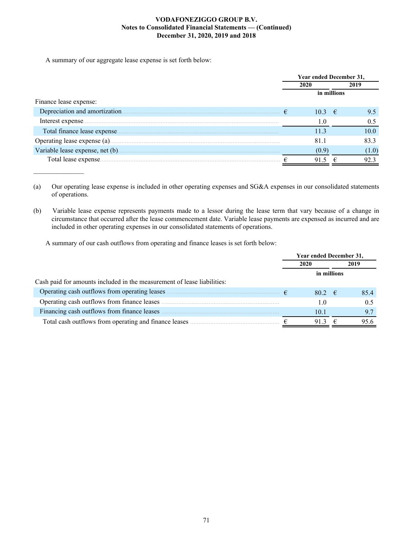A summary of our aggregate lease expense is set forth below:

 $\mathcal{L}_\text{max}$  and  $\mathcal{L}_\text{max}$ 

|                                  | Year ended December 31, |                     |  |       |
|----------------------------------|-------------------------|---------------------|--|-------|
|                                  |                         | 2020                |  | 2019  |
|                                  | in millions             |                     |  |       |
| Finance lease expense:           |                         |                     |  |       |
| Depreciation and amortization.   |                         | $10.3 \t\t\epsilon$ |  | 9.5   |
| Interest expense.                |                         | 1.0                 |  | 0.5   |
| Total finance lease expense.     |                         | 11.3                |  | 10.0  |
| Operating lease expense (a)      |                         | 81.1                |  | 83.3  |
| Variable lease expense, net (b). |                         | (0.9)               |  | (1.0) |
| Total lease expense.             |                         | 91.5                |  | 92.3  |

(a) Our operating lease expense is included in other operating expenses and SG&A expenses in our consolidated statements of operations.

(b) Variable lease expense represents payments made to a lessor during the lease term that vary because of a change in circumstance that occurred after the lease commencement date. Variable lease payments are expensed as incurred and are included in other operating expenses in our consolidated statements of operations.

A summary of our cash outflows from operating and finance leases is set forth below:

|                                                                         | <b>Year ended December 31,</b> |   |      |  |
|-------------------------------------------------------------------------|--------------------------------|---|------|--|
|                                                                         | 2020                           |   | 2019 |  |
|                                                                         | in millions                    |   |      |  |
| Cash paid for amounts included in the measurement of lease liabilities: |                                |   |      |  |
|                                                                         | $80.2 \quad \in$               |   | 854  |  |
| Operating cash outflows from finance leases.                            | 1.0                            |   | 0.5  |  |
| Financing cash outflows from finance leases                             | 10.1                           |   | 97   |  |
| Total cash outflows from operating and finance leases                   | 913                            | € | 95.6 |  |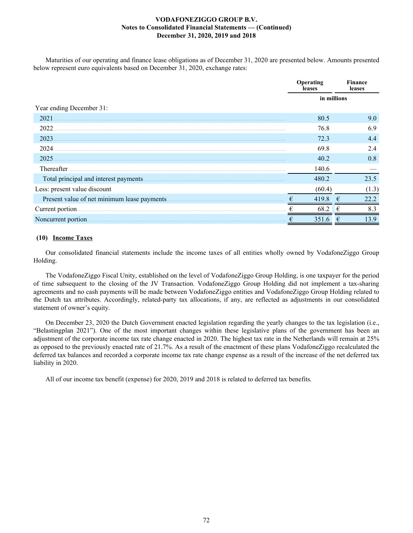Maturities of our operating and finance lease obligations as of December 31, 2020 are presented below. Amounts presented below represent euro equivalents based on December 31, 2020, exchange rates:

|                                        | Operating<br>leases | Finance<br>leases |  |  |  |
|----------------------------------------|---------------------|-------------------|--|--|--|
|                                        | in millions         |                   |  |  |  |
| Year ending December 31:               |                     |                   |  |  |  |
| 2021                                   | 80.5                | 9.0               |  |  |  |
| 2022                                   | 76.8                | 6.9               |  |  |  |
| 2023                                   | 72.3                | 4.4               |  |  |  |
| 2024.                                  | 69.8                | 2.4               |  |  |  |
| 2025                                   | 40.2                | 0.8               |  |  |  |
| Thereafter.                            | 140.6               |                   |  |  |  |
| Total principal and interest payments. | 480.2               | 23.5              |  |  |  |
| Less: present value discount           | (60.4)              | (1.3)             |  |  |  |
|                                        | 419.8<br>€          | 22.2<br>€         |  |  |  |
| Current portion                        | 68.2                | €<br>8.3          |  |  |  |
| Noncurrent portion.                    | 351.6<br>€          | 13.9<br>€         |  |  |  |

### **(10) Income Taxes**

Our consolidated financial statements include the income taxes of all entities wholly owned by VodafoneZiggo Group Holding.

The VodafoneZiggo Fiscal Unity, established on the level of VodafoneZiggo Group Holding, is one taxpayer for the period of time subsequent to the closing of the JV Transaction. VodafoneZiggo Group Holding did not implement a tax-sharing agreements and no cash payments will be made between VodafoneZiggo entities and VodafoneZiggo Group Holding related to the Dutch tax attributes. Accordingly, related-party tax allocations, if any, are reflected as adjustments in our consolidated statement of owner's equity.

On December 23, 2020 the Dutch Government enacted legislation regarding the yearly changes to the tax legislation (i.e., "Belastingplan 2021"). One of the most important changes within these legislative plans of the government has been an adjustment of the corporate income tax rate change enacted in 2020. The highest tax rate in the Netherlands will remain at 25% as opposed to the previously enacted rate of 21.7%. As a result of the enactment of these plans VodafoneZiggo recalculated the deferred tax balances and recorded a corporate income tax rate change expense as a result of the increase of the net deferred tax liability in 2020.

All of our income tax benefit (expense) for 2020, 2019 and 2018 is related to deferred tax benefits.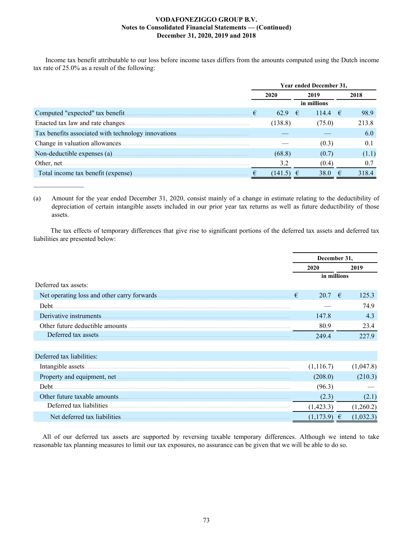Income tax benefit attributable to our loss before income taxes differs from the amounts computed using the Dutch income tax rate of 25.0% as a result of the following:

|                                                                                                                                                           | Year ended December 31, |         |                   |  |       |  |  |  |
|-----------------------------------------------------------------------------------------------------------------------------------------------------------|-------------------------|---------|-------------------|--|-------|--|--|--|
|                                                                                                                                                           |                         | 2020    | 2019              |  | 2018  |  |  |  |
|                                                                                                                                                           |                         |         | in millions       |  |       |  |  |  |
| Computed "expected" tax benefit.<br><b>Contract Contract Contract Contract Contract Contract Contract Contract Contract Contract Contract Contract Co</b> | €                       | 62.9    | −€<br>114.4 $\in$ |  | 98.9  |  |  |  |
| Enacted tax law and rate changes.                                                                                                                         |                         | (138.8) | (75.0)            |  | 213.8 |  |  |  |
| Tax benefits associated with technology innovations                                                                                                       |                         |         |                   |  | 6.0   |  |  |  |
|                                                                                                                                                           |                         |         | (0.3)             |  | 0.1   |  |  |  |
|                                                                                                                                                           |                         | (68.8)  | (0.7)             |  | (1.1) |  |  |  |
|                                                                                                                                                           |                         | 3.2     | (0.4)             |  | 0.7   |  |  |  |
|                                                                                                                                                           |                         | (141.5) | 38.0              |  | 318.4 |  |  |  |

(a) Amount for the year ended December 31, 2020, consist mainly of a change in estimate relating to the deductibility of depreciation of certain intangible assets included in our prior year tax returns as well as future deductibility of those assets.

 $\mathcal{L}_\text{max}$  , where  $\mathcal{L}_\text{max}$ 

 The tax effects of temporary differences that give rise to significant portions of the deferred tax assets and deferred tax liabilities are presented below:

|                                              | December 31, |           |   |           |
|----------------------------------------------|--------------|-----------|---|-----------|
|                                              |              | 2020      |   | 2019      |
|                                              | in millions  |           |   |           |
| Deferred tax assets:                         |              |           |   |           |
| Net operating loss and other carry forwards. | €            | 20.7      | € | 125.3     |
| Debt.                                        |              |           |   | 74.9      |
| Derivative instruments                       |              | 147.8     |   | 4.3       |
|                                              |              | 80.9      |   | 23.4      |
| Deferred tax assets.                         |              | 249.4     |   | 227.9     |
|                                              |              |           |   |           |
| Deferred tax liabilities:                    |              |           |   |           |
|                                              |              | (1,116.7) |   | (1,047.8) |
|                                              |              | (208.0)   |   | (210.3)   |
| Debt.                                        |              | (96.3)    |   |           |
| Other future taxable amounts.                |              | (2.3)     |   | (2.1)     |
| Deferred tax liabilities.                    |              | (1,423.3) |   | (1,260.2) |
| Net deferred tax liabilities.                |              | (1,173.9) | € | (1,032.3) |

All of our deferred tax assets are supported by reversing taxable temporary differences. Although we intend to take reasonable tax planning measures to limit our tax exposures, no assurance can be given that we will be able to do so.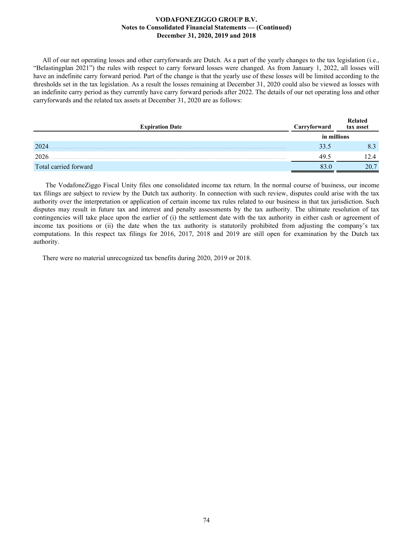All of our net operating losses and other carryforwards are Dutch. As a part of the yearly changes to the tax legislation (i.e., "Belastingplan 2021") the rules with respect to carry forward losses were changed. As from January 1, 2022, all losses will have an indefinite carry forward period. Part of the change is that the yearly use of these losses will be limited according to the thresholds set in the tax legislation. As a result the losses remaining at December 31, 2020 could also be viewed as losses with an indefinite carry period as they currently have carry forward periods after 2022. The details of our net operating loss and other carryforwards and the related tax assets at December 31, 2020 are as follows:

| <b>Expiration Date</b> | Carryforward | Related<br>tax asset |
|------------------------|--------------|----------------------|
|                        | in millions  |                      |
| 2024                   | 33.5         |                      |
| 2026                   | 49.5         | 12 4                 |
| Total carried forward  |              | 20.7                 |

The VodafoneZiggo Fiscal Unity files one consolidated income tax return. In the normal course of business, our income tax filings are subject to review by the Dutch tax authority. In connection with such review, disputes could arise with the tax authority over the interpretation or application of certain income tax rules related to our business in that tax jurisdiction. Such disputes may result in future tax and interest and penalty assessments by the tax authority. The ultimate resolution of tax contingencies will take place upon the earlier of (i) the settlement date with the tax authority in either cash or agreement of income tax positions or (ii) the date when the tax authority is statutorily prohibited from adjusting the company's tax computations. In this respect tax filings for 2016, 2017, 2018 and 2019 are still open for examination by the Dutch tax authority.

There were no material unrecognized tax benefits during 2020, 2019 or 2018.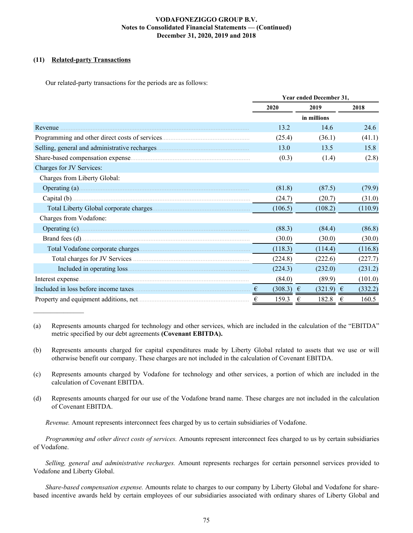# **(11) Related-party Transactions**

 $\frac{1}{2}$ 

Our related-party transactions for the periods are as follows:

|                                                                                                                                                                                                                                     | Year ended December 31, |               |            |  |  |  |  |
|-------------------------------------------------------------------------------------------------------------------------------------------------------------------------------------------------------------------------------------|-------------------------|---------------|------------|--|--|--|--|
|                                                                                                                                                                                                                                     | 2020                    | 2019          | 2018       |  |  |  |  |
|                                                                                                                                                                                                                                     |                         | in millions   |            |  |  |  |  |
| Revenue                                                                                                                                                                                                                             | 13.2                    | 14.6          | 24.6       |  |  |  |  |
|                                                                                                                                                                                                                                     | (25.4)                  | (36.1)        | (41.1)     |  |  |  |  |
|                                                                                                                                                                                                                                     | 13.0                    | 13.5          | 15.8       |  |  |  |  |
|                                                                                                                                                                                                                                     | (0.3)                   | (1.4)         | (2.8)      |  |  |  |  |
| Charges for JV Services:                                                                                                                                                                                                            |                         |               |            |  |  |  |  |
| Charges from Liberty Global:                                                                                                                                                                                                        |                         |               |            |  |  |  |  |
|                                                                                                                                                                                                                                     | (81.8)                  | (87.5)        | (79.9)     |  |  |  |  |
|                                                                                                                                                                                                                                     | (24.7)                  | (20.7)        | (31.0)     |  |  |  |  |
|                                                                                                                                                                                                                                     | (106.5)                 | (108.2)       | (110.9)    |  |  |  |  |
| Charges from Vodafone:                                                                                                                                                                                                              |                         |               |            |  |  |  |  |
|                                                                                                                                                                                                                                     | (88.3)                  | (84.4)        | (86.8)     |  |  |  |  |
|                                                                                                                                                                                                                                     | (30.0)                  | (30.0)        | (30.0)     |  |  |  |  |
|                                                                                                                                                                                                                                     | (118.3)                 | (114.4)       | (116.8)    |  |  |  |  |
|                                                                                                                                                                                                                                     | (224.8)                 | (222.6)       | (227.7)    |  |  |  |  |
|                                                                                                                                                                                                                                     | (224.3)                 | (232.0)       | (231.2)    |  |  |  |  |
| Interest expense <i>material expense</i> and the set of the set of the set of the set of the set of the set of the set of the set of the set of the set of the set of the set of the set of the set of the set of the set of the se | (84.0)                  | (89.9)        | (101.0)    |  |  |  |  |
|                                                                                                                                                                                                                                     | $(308.3) \in$<br>€      | $(321.9) \in$ | (332.2)    |  |  |  |  |
|                                                                                                                                                                                                                                     | €<br>159.3              | 182.8<br>€    | 160.5<br>€ |  |  |  |  |

<sup>(</sup>a) Represents amounts charged for technology and other services, which are included in the calculation of the "EBITDA" metric specified by our debt agreements **(Covenant EBITDA).**

- (b) Represents amounts charged for capital expenditures made by Liberty Global related to assets that we use or will otherwise benefit our company. These charges are not included in the calculation of Covenant EBITDA.
- (c) Represents amounts charged by Vodafone for technology and other services, a portion of which are included in the calculation of Covenant EBITDA.
- (d) Represents amounts charged for our use of the Vodafone brand name. These charges are not included in the calculation of Covenant EBITDA.

*Revenue.* Amount represents interconnect fees charged by us to certain subsidiaries of Vodafone.

*Programming and other direct costs of services.* Amounts represent interconnect fees charged to us by certain subsidiaries of Vodafone.

*Selling, general and administrative recharges.* Amount represents recharges for certain personnel services provided to Vodafone and Liberty Global.

*Share-based compensation expense.* Amounts relate to charges to our company by Liberty Global and Vodafone for sharebased incentive awards held by certain employees of our subsidiaries associated with ordinary shares of Liberty Global and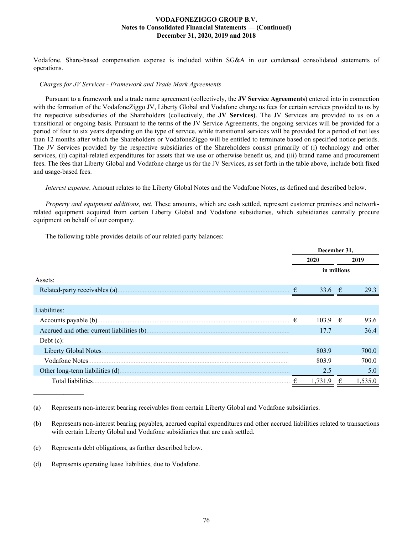Vodafone. Share-based compensation expense is included within SG&A in our condensed consolidated statements of operations.

### *Charges for JV Services - Framework and Trade Mark Agreements*

Pursuant to a framework and a trade name agreement (collectively, the **JV Service Agreements**) entered into in connection with the formation of the VodafoneZiggo JV, Liberty Global and Vodafone charge us fees for certain services provided to us by the respective subsidiaries of the Shareholders (collectively, the **JV Services)**. The JV Services are provided to us on a transitional or ongoing basis. Pursuant to the terms of the JV Service Agreements, the ongoing services will be provided for a period of four to six years depending on the type of service, while transitional services will be provided for a period of not less than 12 months after which the Shareholders or VodafoneZiggo will be entitled to terminate based on specified notice periods. The JV Services provided by the respective subsidiaries of the Shareholders consist primarily of (i) technology and other services, (ii) capital-related expenditures for assets that we use or otherwise benefit us, and (iii) brand name and procurement fees. The fees that Liberty Global and Vodafone charge us for the JV Services, as set forth in the table above, include both fixed and usage-based fees.

*Interest expense*. Amount relates to the Liberty Global Notes and the Vodafone Notes, as defined and described below.

*Property and equipment additions, net.* These amounts, which are cash settled, represent customer premises and networkrelated equipment acquired from certain Liberty Global and Vodafone subsidiaries, which subsidiaries centrally procure equipment on behalf of our company.

The following table provides details of our related-party balances:

|                                |   | December 31,    |      |         |  |
|--------------------------------|---|-----------------|------|---------|--|
|                                |   | 2020            | 2019 |         |  |
|                                |   | in millions     |      |         |  |
| Assets:                        |   |                 |      |         |  |
| Related-party receivables (a). | € | 33.6 $\epsilon$ |      | 293     |  |
|                                |   |                 |      |         |  |
| Liabilities:                   |   |                 |      |         |  |
|                                | € | $103.9 \in$     |      | 93.6    |  |
|                                |   | 17.7            |      | 36.4    |  |
| Debt $(c)$ :                   |   |                 |      |         |  |
| Liberty Global Notes.          |   | 803.9           |      | 700.0   |  |
| Vodafone Notes.                |   | 803.9           |      | 700.0   |  |
|                                |   | 2.5             |      | 5.0     |  |
| Total liabilities.             |   | 1,731.9         | €    | 1,535.0 |  |

<sup>(</sup>a) Represents non-interest bearing receivables from certain Liberty Global and Vodafone subsidiaries.

 $\mathcal{L}_\text{max}$  , where  $\mathcal{L}_\text{max}$ 

<sup>(</sup>b) Represents non-interest bearing payables, accrued capital expenditures and other accrued liabilities related to transactions with certain Liberty Global and Vodafone subsidiaries that are cash settled.

<sup>(</sup>c) Represents debt obligations, as further described below.

<sup>(</sup>d) Represents operating lease liabilities, due to Vodafone.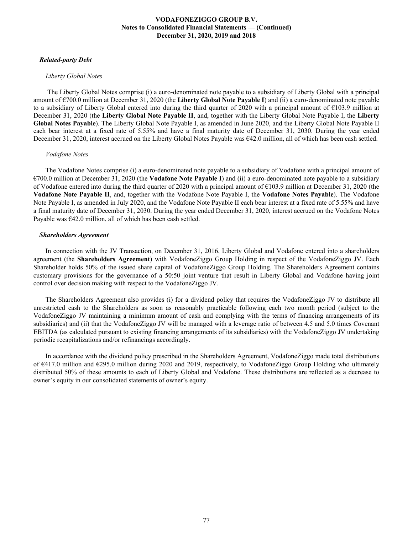### *Related-party Debt*

#### *Liberty Global Notes*

 The Liberty Global Notes comprise (i) a euro-denominated note payable to a subsidiary of Liberty Global with a principal amount of €700.0 million at December 31, 2020 (the **Liberty Global Note Payable I**) and (ii) a euro-denominated note payable to a subsidiary of Liberty Global entered into during the third quarter of 2020 with a principal amount of €103.9 million at December 31, 2020 (the **Liberty Global Note Payable II**, and, together with the Liberty Global Note Payable I, the **Liberty Global Notes Payable**). The Liberty Global Note Payable I, as amended in June 2020, and the Liberty Global Note Payable II each bear interest at a fixed rate of 5.55% and have a final maturity date of December 31, 2030. During the year ended December 31, 2020, interest accrued on the Liberty Global Notes Payable was €42.0 million, all of which has been cash settled.

#### *Vodafone Notes*

The Vodafone Notes comprise (i) a euro-denominated note payable to a subsidiary of Vodafone with a principal amount of €700.0 million at December 31, 2020 (the **Vodafone Note Payable I**) and (ii) a euro-denominated note payable to a subsidiary of Vodafone entered into during the third quarter of 2020 with a principal amount of  $\epsilon$ 103.9 million at December 31, 2020 (the **Vodafone Note Payable II**, and, together with the Vodafone Note Payable I, the **Vodafone Notes Payable**). The Vodafone Note Payable I, as amended in July 2020, and the Vodafone Note Payable II each bear interest at a fixed rate of 5.55% and have a final maturity date of December 31, 2030. During the year ended December 31, 2020, interest accrued on the Vodafone Notes Payable was  $\epsilon$ 42.0 million, all of which has been cash settled.

#### *Shareholders Agreement*

In connection with the JV Transaction, on December 31, 2016, Liberty Global and Vodafone entered into a shareholders agreement (the **Shareholders Agreement**) with VodafoneZiggo Group Holding in respect of the VodafoneZiggo JV. Each Shareholder holds 50% of the issued share capital of VodafoneZiggo Group Holding. The Shareholders Agreement contains customary provisions for the governance of a 50:50 joint venture that result in Liberty Global and Vodafone having joint control over decision making with respect to the VodafoneZiggo JV.

The Shareholders Agreement also provides (i) for a dividend policy that requires the VodafoneZiggo JV to distribute all unrestricted cash to the Shareholders as soon as reasonably practicable following each two month period (subject to the VodafoneZiggo JV maintaining a minimum amount of cash and complying with the terms of financing arrangements of its subsidiaries) and (ii) that the VodafoneZiggo JV will be managed with a leverage ratio of between 4.5 and 5.0 times Covenant EBITDA (as calculated pursuant to existing financing arrangements of its subsidiaries) with the VodafoneZiggo JV undertaking periodic recapitalizations and/or refinancings accordingly.

In accordance with the dividend policy prescribed in the Shareholders Agreement, VodafoneZiggo made total distributions of €417.0 million and €295.0 million during 2020 and 2019, respectively, to VodafoneZiggo Group Holding who ultimately distributed 50% of these amounts to each of Liberty Global and Vodafone. These distributions are reflected as a decrease to owner's equity in our consolidated statements of owner's equity.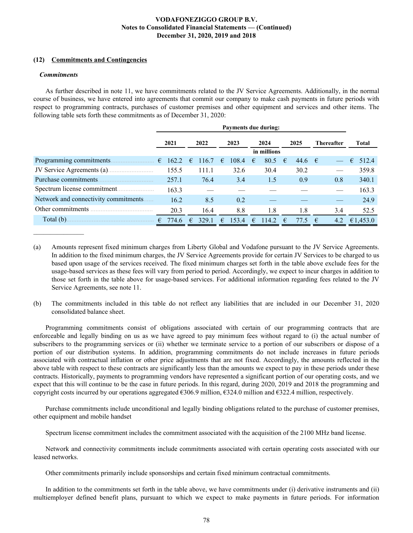### **(12) Commitments and Contingencies**

### *Commitments*

 $\mathcal{L}_\text{max}$  , where  $\mathcal{L}_\text{max}$ 

As further described in note 11, we have commitments related to the JV Service Agreements. Additionally, in the normal course of business, we have entered into agreements that commit our company to make cash payments in future periods with respect to programming contracts, purchases of customer premises and other equipment and services and other items. The following table sets forth these commitments as of December 31, 2020:

|                                       | Payments due during: |       |            |       |   |       |   |             |   |      |            |                          |   |          |
|---------------------------------------|----------------------|-------|------------|-------|---|-------|---|-------------|---|------|------------|--------------------------|---|----------|
|                                       |                      | 2021  |            | 2022  |   | 2023  |   | 2024        |   | 2025 |            | <b>Thereafter</b>        |   | Total    |
|                                       |                      |       |            |       |   |       |   | in millions |   |      |            |                          |   |          |
| Programming commitments.              | €                    | 162.2 | $\epsilon$ | 116.7 | € | 108.4 | € | 80.5        | € | 44.6 | $\epsilon$ | $\overline{\phantom{m}}$ | € | 512.4    |
| JV Service Agreements (a)             |                      | 155.5 |            | 111.1 |   | 32.6  |   | 30.4        |   | 30.2 |            |                          |   | 359.8    |
| Purchase commitments.                 |                      | 257.1 |            | 76.4  |   | 3.4   |   | 1.5         |   | 0.9  |            | 0.8                      |   | 340.1    |
|                                       |                      | 163.3 |            |       |   |       |   |             |   |      |            |                          |   | 163.3    |
| Network and connectivity commitments. |                      | 16.2  |            | 8.5   |   | 0.2   |   |             |   |      |            |                          |   | 24.9     |
| Other commitments                     |                      | 20.3  |            | 16.4  |   | 8.8   |   | 1.8         |   | 1.8  |            | 3.4                      |   | 52.5     |
| Total (b).                            | €                    | 774.6 | €          | 329.1 | € | 153.4 |   | 114.2       | € | 77.5 | €          | 4.2                      |   | €1,453.0 |

(a) Amounts represent fixed minimum charges from Liberty Global and Vodafone pursuant to the JV Service Agreements. In addition to the fixed minimum charges, the JV Service Agreements provide for certain JV Services to be charged to us based upon usage of the services received. The fixed minimum charges set forth in the table above exclude fees for the usage-based services as these fees will vary from period to period. Accordingly, we expect to incur charges in addition to those set forth in the table above for usage-based services. For additional information regarding fees related to the JV Service Agreements, see note 11.

(b) The commitments included in this table do not reflect any liabilities that are included in our December 31, 2020 consolidated balance sheet.

Programming commitments consist of obligations associated with certain of our programming contracts that are enforceable and legally binding on us as we have agreed to pay minimum fees without regard to (i) the actual number of subscribers to the programming services or (ii) whether we terminate service to a portion of our subscribers or dispose of a portion of our distribution systems. In addition, programming commitments do not include increases in future periods associated with contractual inflation or other price adjustments that are not fixed. Accordingly, the amounts reflected in the above table with respect to these contracts are significantly less than the amounts we expect to pay in these periods under these contracts. Historically, payments to programming vendors have represented a significant portion of our operating costs, and we expect that this will continue to be the case in future periods. In this regard, during 2020, 2019 and 2018 the programming and copyright costs incurred by our operations aggregated €306.9 million, €324.0 million and €322.4 million, respectively.

Purchase commitments include unconditional and legally binding obligations related to the purchase of customer premises, other equipment and mobile handset

Spectrum license commitment includes the commitment associated with the acquisition of the 2100 MHz band license.

Network and connectivity commitments include commitments associated with certain operating costs associated with our leased networks.

Other commitments primarily include sponsorships and certain fixed minimum contractual commitments.

In addition to the commitments set forth in the table above, we have commitments under (i) derivative instruments and (ii) multiemployer defined benefit plans, pursuant to which we expect to make payments in future periods. For information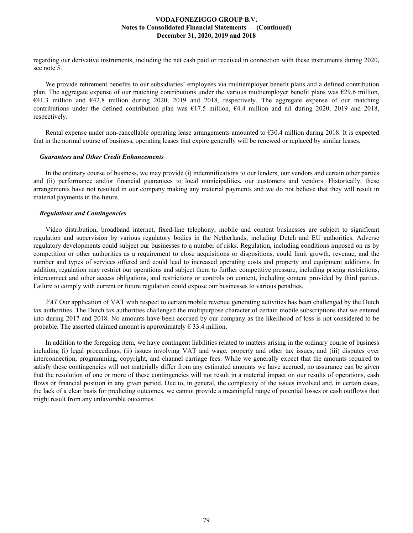regarding our derivative instruments, including the net cash paid or received in connection with these instruments during 2020, see note 5.

We provide retirement benefits to our subsidiaries' employees via multiemployer benefit plans and a defined contribution plan. The aggregate expense of our matching contributions under the various multiemployer benefit plans was  $\epsilon$ 29.6 million, €41.3 million and €42.8 million during 2020, 2019 and 2018, respectively. The aggregate expense of our matching contributions under the defined contribution plan was €17.5 million, €4.4 million and nil during 2020, 2019 and 2018, respectively.

Rental expense under non-cancellable operating lease arrangements amounted to €30.4 million during 2018. It is expected that in the normal course of business, operating leases that expire generally will be renewed or replaced by similar leases.

### *Guarantees and Other Credit Enhancements*

In the ordinary course of business, we may provide (i) indemnifications to our lenders, our vendors and certain other parties and (ii) performance and/or financial guarantees to local municipalities, our customers and vendors. Historically, these arrangements have not resulted in our company making any material payments and we do not believe that they will result in material payments in the future.

### *Regulations and Contingencies*

Video distribution, broadband internet, fixed-line telephony, mobile and content businesses are subject to significant regulation and supervision by various regulatory bodies in the Netherlands, including Dutch and EU authorities. Adverse regulatory developments could subject our businesses to a number of risks. Regulation, including conditions imposed on us by competition or other authorities as a requirement to close acquisitions or dispositions, could limit growth, revenue, and the number and types of services offered and could lead to increased operating costs and property and equipment additions. In addition, regulation may restrict our operations and subject them to further competitive pressure, including pricing restrictions, interconnect and other access obligations, and restrictions or controls on content, including content provided by third parties. Failure to comply with current or future regulation could expose our businesses to various penalties.

*VAT* Our application of VAT with respect to certain mobile revenue generating activities has been challenged by the Dutch tax authorities. The Dutch tax authorities challenged the multipurpose character of certain mobile subscriptions that we entered into during 2017 and 2018. No amounts have been accrued by our company as the likelihood of loss is not considered to be probable. The asserted claimed amount is approximately  $\in$  33.4 million.

In addition to the foregoing item, we have contingent liabilities related to matters arising in the ordinary course of business including (i) legal proceedings, (ii) issues involving VAT and wage, property and other tax issues, and (iii) disputes over interconnection, programming, copyright, and channel carriage fees. While we generally expect that the amounts required to satisfy these contingencies will not materially differ from any estimated amounts we have accrued, no assurance can be given that the resolution of one or more of these contingencies will not result in a material impact on our results of operations, cash flows or financial position in any given period. Due to, in general, the complexity of the issues involved and, in certain cases, the lack of a clear basis for predicting outcomes, we cannot provide a meaningful range of potential losses or cash outflows that might result from any unfavorable outcomes.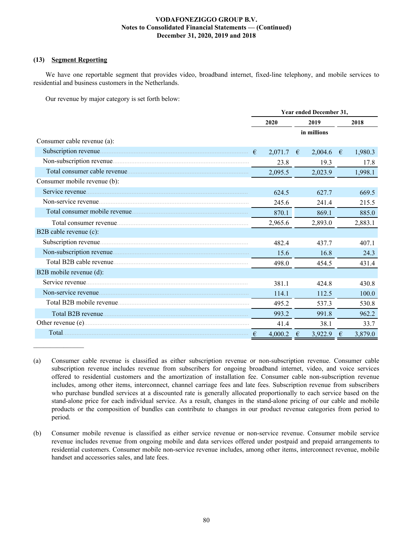### **(13) Segment Reporting**

 $\mathcal{L}_\text{max}$  , where  $\mathcal{L}_\text{max}$ 

We have one reportable segment that provides video, broadband internet, fixed-line telephony, and mobile services to residential and business customers in the Netherlands.

Our revenue by major category is set forth below:

|                              | Year ended December 31, |         |   |             |   |         |  |
|------------------------------|-------------------------|---------|---|-------------|---|---------|--|
|                              | 2020                    |         |   | 2019        |   | 2018    |  |
|                              |                         |         |   | in millions |   |         |  |
| Consumer cable revenue (a):  |                         |         |   |             |   |         |  |
|                              | $\epsilon$              | 2,071.7 | € | 2,004.6     | € | 1,980.3 |  |
|                              |                         | 23.8    |   | 19.3        |   | 17.8    |  |
|                              |                         | 2,095.5 |   | 2,023.9     |   | 1,998.1 |  |
| Consumer mobile revenue (b): |                         |         |   |             |   |         |  |
|                              |                         | 624.5   |   | 627.7       |   | 669.5   |  |
|                              |                         | 245.6   |   | 241.4       |   | 215.5   |  |
|                              |                         | 870.1   |   | 869.1       |   | 885.0   |  |
|                              |                         | 2,965.6 |   | 2,893.0     |   | 2,883.1 |  |
| B2B cable revenue (c):       |                         |         |   |             |   |         |  |
|                              |                         | 482.4   |   | 4377        |   | 4071    |  |
|                              |                         | 15.6    |   | 16.8        |   | 24.3    |  |
|                              |                         | 498.0   |   | 454.5       |   | 431.4   |  |
| B2B mobile revenue (d):      |                         |         |   |             |   |         |  |
|                              |                         | 381.1   |   | 4248        |   | 430.8   |  |
|                              |                         | 114.1   |   | 112.5       |   | 100.0   |  |
|                              |                         | 495.2   |   | 537.3       |   | 530.8   |  |
| Total B2B revenue            |                         | 993.2   |   | 991.8       |   | 962.2   |  |
|                              |                         | 41.4    |   | 38.1        |   | 33.7    |  |
|                              |                         | 4,000.2 | € | 3,922.9     | € | 3,879.0 |  |

<sup>(</sup>a) Consumer cable revenue is classified as either subscription revenue or non-subscription revenue. Consumer cable subscription revenue includes revenue from subscribers for ongoing broadband internet, video, and voice services offered to residential customers and the amortization of installation fee. Consumer cable non-subscription revenue includes, among other items, interconnect, channel carriage fees and late fees. Subscription revenue from subscribers who purchase bundled services at a discounted rate is generally allocated proportionally to each service based on the stand-alone price for each individual service. As a result, changes in the stand-alone pricing of our cable and mobile products or the composition of bundles can contribute to changes in our product revenue categories from period to period.

<sup>(</sup>b) Consumer mobile revenue is classified as either service revenue or non-service revenue. Consumer mobile service revenue includes revenue from ongoing mobile and data services offered under postpaid and prepaid arrangements to residential customers. Consumer mobile non-service revenue includes, among other items, interconnect revenue, mobile handset and accessories sales, and late fees.